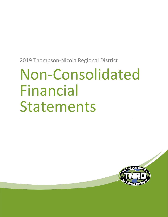# Non-Consolidated Financial Statements

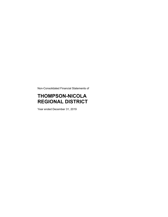Non-Consolidated Financial Statements of

# **THOMPSON-NICOLA REGIONAL DISTRICT**

Year ended December 31, 2019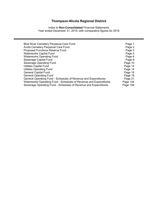Index to **Non-Consolidated** Financial Statements Year ended December 31, 2019, with comparative figures for 2018

| <b>Blue River Cemetery Perpetual Care Fund</b>                    | Page 1   |
|-------------------------------------------------------------------|----------|
| Avola Cemetery Perpetual Care Fund                                | Page 2   |
| Proposed Functions Reserve Fund                                   | Page 3   |
| <b>Waterworks Capital Fund</b>                                    | Page 4   |
| <b>Waterworks Operating Fund</b>                                  | Page 6   |
| Sewerage Capital Fund                                             | Page 8   |
| Sewerage Operating Fund                                           | Page 10  |
| <b>Utilities Capital Fund</b>                                     | Page 12  |
| <b>Utilities Operating Fund</b>                                   | Page 14  |
| <b>General Capital Fund</b>                                       | Page 16  |
| <b>General Operating Fund</b>                                     | Page 18  |
| General Operating Fund - Schedules of Revenue and Expenditures    | Page 21  |
| Waterworks Operating Fund - Schedules of Revenue and Expenditures | Page 144 |
| Sewerage Operating Fund - Schedules of Revenue and Expenditures   | Page 156 |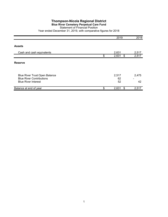## **Blue River Cemetery Perpetual Care Fund**

#### Statement of Financial Position

|                                                                                                 | 2019              | 2018        |
|-------------------------------------------------------------------------------------------------|-------------------|-------------|
| <b>Assets</b>                                                                                   |                   |             |
| Cash and cash equivalents                                                                       | 2,631             | 2,517       |
|                                                                                                 | \$<br>2,631<br>\$ | 2,517       |
| <b>Reserve</b>                                                                                  |                   |             |
| Blue River Trust: Open Balance<br><b>Blue River Contributions</b><br><b>Blue River Interest</b> | 2,517<br>62<br>52 | 2,475<br>42 |
| Balance at end of year                                                                          | \$<br>\$<br>2,631 | 2,517       |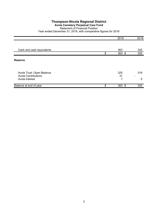## **Avola Cemetery Perpetual Care Fund**

## Statement of Financial Position

|                                                         | 2019            | 2018                                |
|---------------------------------------------------------|-----------------|-------------------------------------|
|                                                         |                 |                                     |
| Cash and cash equivalents                               | 363             | 325                                 |
|                                                         | \$<br>363 \$    | 325                                 |
| <b>Reserve</b>                                          |                 |                                     |
| Avola Trust: Open Balance<br><b>Avola Contributions</b> | 325<br>31       | 319<br>$\qquad \qquad \blacksquare$ |
| Avola Interest                                          | 7               | 5                                   |
| Balance at end of year                                  | \$<br>363<br>\$ | 325                                 |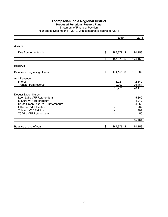## **Proposed Functions Reserve Fund**

Statement of Financial Position

| Year ended December 31, 2019, with comparative figures for 2018 |  |  |  |  |
|-----------------------------------------------------------------|--|--|--|--|
|-----------------------------------------------------------------|--|--|--|--|

|                                                                                                                                                                                                          | 2019                      | 2018                                        |
|----------------------------------------------------------------------------------------------------------------------------------------------------------------------------------------------------------|---------------------------|---------------------------------------------|
| <b>Assets</b>                                                                                                                                                                                            |                           |                                             |
| Due from other funds                                                                                                                                                                                     | \$<br>187,379 \$          | 174,158                                     |
|                                                                                                                                                                                                          | \$<br>187,379 \$          | 174,158                                     |
| <b>Reserve</b>                                                                                                                                                                                           |                           |                                             |
| Balance at beginning of year                                                                                                                                                                             | \$<br>174,158 \$          | 161,509                                     |
| Add Revenue:<br>Interest<br>Transfer from reserve                                                                                                                                                        | 3,221<br>10,000<br>13,221 | 2,649<br>25,464<br>28,113                   |
| <b>Deduct Expenditures:</b><br>Loon Lake VFF Referendum<br>McLure VFF Referendum<br>South Green Lake VFF Referendum<br>Little Fort VFF Petition<br><b>Tobiano VFF Petition</b><br>70 Mile VFF Referendum |                           | 5,869<br>4,212<br>4,659<br>267<br>407<br>50 |
|                                                                                                                                                                                                          |                           | 15,464                                      |
| Balance at end of year                                                                                                                                                                                   | \$<br>187,379 \$          | 174,158                                     |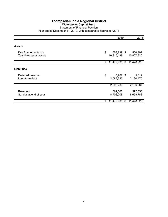## **Waterworks Capital Fund**

Statement of Financial Position Year ended December 31, 2019, with comparative figures for 2018

|                                                 |               | 2019                     | 2018                  |
|-------------------------------------------------|---------------|--------------------------|-----------------------|
| <b>Assets</b>                                   |               |                          |                       |
| Due from other funds<br>Tangible capital assets | \$            | 657,739 \$<br>10,815,199 | 560,997<br>10,867,926 |
|                                                 | $\$\$         | 11,472,938 \$            | 11,428,923            |
| <b>Liabilities</b>                              |               |                          |                       |
| Deferred revenue<br>Long-term debt              | $\frac{1}{2}$ | $5,907$ \$<br>2,089,323  | 5,812<br>2,190,475    |
|                                                 |               | 2,095,230                | 2,196,287             |
| Reserves<br>Surplus at end of year              |               | 669,500<br>8,708,208     | 572,853<br>8,659,783  |
|                                                 | \$            | 11,472,938<br>\$         | 11,428,923            |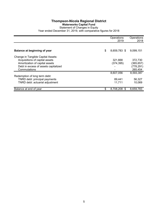## **Thompson-Nicola Regional District Waterworks Capital Fund** Statement of Changes in Equity Year ended December 31, 2019, with comparative figures for 2018

|                                      | Operations<br>2019    | Operations<br>2018 |
|--------------------------------------|-----------------------|--------------------|
|                                      |                       |                    |
| Balance at beginning of year         | \$<br>8,659,783 \$    | 9,099,151          |
| Change in Tangible Capital Assets:   |                       |                    |
| Acquisitions of capital assets       | 321,668               | 372,730            |
| Amortization of capital assets       | (374, 395)            | (365, 657)         |
| Debt in excess of assets capitalized |                       | (778, 291)         |
| Commutations                         |                       | 265,454            |
|                                      | 8,607,056             | 8,593,387          |
| Redemption of long term debt:        |                       |                    |
| TNRD debt: principal payments        | 89,441                | 56,327             |
| TNRD debt: actuarial adjustment      | 11,711                | 10.069             |
| Balance at end of year               | \$<br>8,708,208<br>S. | 8,659,783          |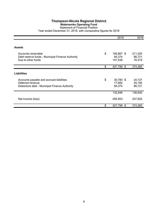## **Waterworks Operating Fund**

#### Statement of Financial Position Year ended December 31, 2019, with comparative figures for 2018

|                                                                                                              | 2019                                  | 2018                        |
|--------------------------------------------------------------------------------------------------------------|---------------------------------------|-----------------------------|
| <b>Assets</b>                                                                                                |                                       |                             |
| Accounts receivable<br>Debt reserve funds - Municipal Finance Authority<br>Due to other funds                | \$<br>195,887 \$<br>84,374<br>147,538 | 211,025<br>86,721<br>76,519 |
|                                                                                                              | \$<br>427,799<br>\$                   | 374,265                     |
| <b>Liabilities</b>                                                                                           |                                       |                             |
| Accounts payable and accrued liabilities<br>Deferred revenue<br>Debenture debt - Municipal Finance Authority | \$<br>$30,780$ \$<br>17,692<br>84,374 | 24,727<br>25,192<br>86,721  |
|                                                                                                              | 132,846                               | 136,640                     |
| Net income (loss)                                                                                            | 294,953                               | 237,625                     |
|                                                                                                              | \$<br>427,799<br>\$                   | 374,265                     |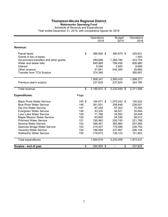#### **Waterworks Operating Fund**

Schedule of Revenue and Expenditures

|                                                                      |            | Operations         | <b>Budget</b>                      | Operations         |
|----------------------------------------------------------------------|------------|--------------------|------------------------------------|--------------------|
|                                                                      |            | 2019               | 2019                               | 2018               |
| Revenue:                                                             |            |                    |                                    |                    |
| Parcel taxes<br>Grants in lieu of taxes                              | \$         | 386,692 \$         | 380,879 \$                         | 329,631<br>1,483   |
| Government transfers and other grants                                |            | 289,856            | 1,266,790                          | 323,754            |
| Water and sewer tolls                                                |            | 845,969            | 799,456                            | 826,980            |
| Interest                                                             |            | 9,394              | 3,925                              | 9,906              |
| Other revenue                                                        |            | 51,941             | 544,385                            | 28,860             |
| <b>Transfer from TCA Surplus</b>                                     |            | 374,395            |                                    | 365,657            |
|                                                                      |            | 1,958,247          | 2,995,435                          | 1,886,271          |
| Previous year's surplus                                              |            | 237,625            | 237,624                            | 324,785            |
| <b>Total revenue</b>                                                 | \$         | 2,195,872 \$       | 3,233,059 \$                       | 2,211,056          |
| <b>Expenditures:</b>                                                 | Page       |                    |                                    |                    |
| <b>Black Pines Water Service</b>                                     | 145 \$     | 194,671 \$         | 1,575,042 \$                       | 150,622            |
| <b>Blue River Water Service</b>                                      | 146        | 261,931            | 258,848                            | 238,001            |
| Del Oro Water Service                                                | 147        | 87,250             | 97,302                             | 70,393             |
| Evergreen Water Service                                              | 148        | 43,330             | 48,521                             | 35,844             |
| Loon Lake Water Service                                              | 149        | 71,766             | 78,593                             | 54,449             |
| <b>Maple Mission Water Service</b><br><b>Pritchard Water Service</b> | 150<br>151 | 63,850             | 54,336                             | 58,012             |
| Savona Water Service                                                 | 152        | 195,962<br>399,481 | 200,745<br>365,984                 | 221,786<br>547,665 |
| <b>Spences Bridge Water Service</b>                                  | 153        | 215,937            | 179,598                            | 238,752            |
| Vavenby Water Service                                                | 154        | 188,069            | 237,967                            | 206,104            |
| <b>Walhachin Water Service</b>                                       | 155        | 178,672            | 136,123                            | 151,803            |
| Total expenditures                                                   |            | 1,900,919          | 3,233,059                          | 1,973,431          |
| Surplus - end of year                                                | \$         | 294,953 \$         | \$<br>$\qquad \qquad \blacksquare$ | 237,625            |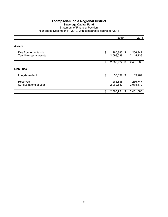#### **Sewerage Capital Fund** Statement of Financial Position

|                                                 | 2019                          | 2018                 |
|-------------------------------------------------|-------------------------------|----------------------|
|                                                 |                               |                      |
| <b>Assets</b>                                   |                               |                      |
| Due from other funds<br>Tangible capital assets | \$<br>265,885 \$<br>2,098,039 | 256,747<br>2,145,139 |
|                                                 | \$<br>2,363,924<br>\$         | 2,401,886            |
| <b>Liabilities</b>                              |                               |                      |
| Long-term debt                                  | \$<br>35,397 \$               | 69,267               |
| Reserves<br>Surplus at end of year              | 265,885<br>2,062,642          | 256,747<br>2,075,872 |
|                                                 | \$<br>2,363,924<br>\$         | 2,401,886            |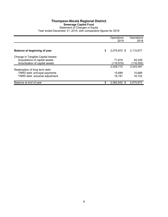## **Thompson-Nicola Regional District Sewerage Capital Fund** Statement of Changes in Equity Year ended December 31, 2019, with comparative figures for 2018

|                                     | Operations<br>2019 | Operations<br>2018 |
|-------------------------------------|--------------------|--------------------|
|                                     |                    |                    |
| <b>Balance at beginning of year</b> | \$<br>2,075,872 \$ | 2,110,677          |
| Change in Tangible Capital Assets:  |                    |                    |
| Acquisitions of capital assets      | 71.819             | 49,339             |
| Amortization of capital assets      | (118,919)          | (116, 555)         |
|                                     | 2,028,772          | 2,043,461          |
| Redemption of long term debt:       |                    |                    |
| TNRD debt: principal payments       | 15,689             | 15,689             |
| TNRD debt: actuarial adjustment     | 18.181             | 16.722             |
| Balance at end of year              | \$<br>2,062,642 \$ | 2,075,872          |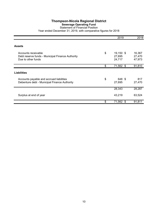## **Sewerage Operating Fund**

#### Statement of Financial Position Year ended December 31, 2019, with comparative figures for 2018

|                                                  | 2019            | 2018   |
|--------------------------------------------------|-----------------|--------|
|                                                  |                 |        |
| <b>Assets</b>                                    |                 |        |
| Accounts receivable                              | \$<br>19,150 \$ | 16,367 |
| Debt reserve funds - Municipal Finance Authority | 27,695          | 27,470 |
| Due to other funds                               | 24,717          | 47,973 |
|                                                  | \$<br>71,562 \$ | 91,810 |
|                                                  |                 |        |
| <b>Liabilities</b>                               |                 |        |
| Accounts payable and accrued liabilities         | \$<br>648 \$    | 817    |
| Debenture debt - Municipal Finance Authority     | 27,695          | 27,470 |
|                                                  |                 |        |
|                                                  | 28,343          | 28,287 |
| Surplus at end of year                           | 43,219          | 63,524 |
|                                                  |                 |        |
|                                                  | \$<br>71,562 \$ | 91,811 |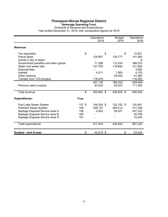#### **Sewerage Operating Fund**

#### Schedule of Revenue and Expenditures Year ended December 31, 2019, with comparative figures for 2018

|                                       |        | Operations<br>2019 | <b>Budget</b><br>2019 | Operations<br>2018 |
|---------------------------------------|--------|--------------------|-----------------------|--------------------|
| Revenue:                              |        |                    |                       |                    |
| Tax requisition                       | \$     | \$                 | \$                    | 12,931             |
| Parcel taxes                          |        | 134,957            | 134,777               | 141,582            |
| Grants in lieu of taxes               |        |                    |                       | 8                  |
| Government transfers and other grants |        | 71,286             | 112,033               | 398,572            |
| Water and sewer tolls                 |        | 127,765            | 118,692               | 121,565            |
| Disposal fees                         |        |                    |                       | 3,060              |
| Interest                              |        | 4,211              | 1,900                 | 4,103              |
| Other revenue                         |        |                    | 25,000                | 41,090             |
| Transfer from TCA Surplus             |        | 118,919            |                       | 116,555            |
|                                       |        | 457,138            | 392,402               | 839,466            |
| Previous year's surplus               |        | 63,524             | 63,523                | 111,083            |
| <b>Total revenue</b>                  | \$     | 520,662 \$         | 455,925 \$            | 950,549            |
| <b>Expenditures:</b>                  | Page   |                    |                       |                    |
| Paul Lake Sewer System                | 157 \$ | 146,304 \$         | 132,192 \$            | 120,461            |
| <b>Pritchard Sewer System</b>         | 158    | 326,737            | 264,412               | 317,246            |
| Septage Disposal Service Area A       | 159    | 4,402              | 59,321                | 407,322            |
| Septage Disposal Service Area B       | 160    |                    |                       | 25,756             |
| Septage Disposal Service Area O       | 161    |                    |                       | 16,240             |
| Total expenditures                    |        | 477,443            | 455,925               | 887,025            |
| Surplus - end of year                 | \$     | 43,219 \$          | \$                    | 63,524             |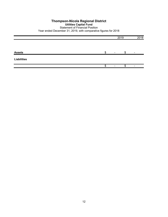## **Thompson-Nicola Regional District Utilities Capital Fund** Statement of Financial Position Year ended December 31, 2019, with comparative figures for 2018

|                    |   | 2019 |   | 2018 |
|--------------------|---|------|---|------|
|                    |   |      |   |      |
| <b>Assets</b>      | œ |      |   |      |
| <b>Liabilities</b> |   |      |   |      |
|                    |   |      | æ |      |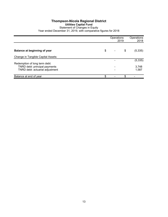## **Thompson-Nicola Regional District Utilities Capital Fund** Statement of Changes in Equity

|                                                                | Operations | 2019 | Operations<br>2018 |
|----------------------------------------------------------------|------------|------|--------------------|
| Balance at beginning of year                                   | \$         | \$   | (5, 335)           |
| Change in Tangible Capital Assets:                             |            |      |                    |
|                                                                |            |      | (5, 335)           |
| Redemption of long term debt:<br>TNRD debt: principal payments |            |      | 3,748              |
| TNRD debt: actuarial adjustment                                |            |      | 1,587              |
| Balance at end of year                                         | \$         | \$   |                    |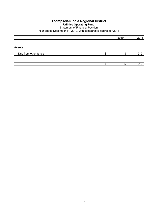#### **Thompson-Nicola Regional District Utilities Operating Fund** Statement of Financial Position

|                      |   |                          | 2019 |     |  |
|----------------------|---|--------------------------|------|-----|--|
|                      |   |                          |      |     |  |
| <b>Assets</b>        |   |                          |      |     |  |
| Due from other funds | ጥ | $\overline{\phantom{a}}$ |      | 919 |  |
|                      |   |                          |      |     |  |
|                      | S |                          | Œ    | 919 |  |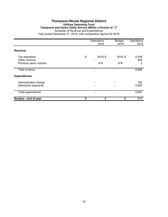#### **Thompson-Nicola Regional District Utilities Operating Fund Telephone and Hydro Utility Service Within a Portion of "J"** Schedule of Revenue and Expenditures Year ended December 31, 2019, with comparative figures for 2018

|                                             | Operations<br>2019 | <b>Budget</b><br>2019 | Operations<br>2018 |
|---------------------------------------------|--------------------|-----------------------|--------------------|
| Revenue:                                    |                    |                       |                    |
| Tax requisition                             | \$<br>$(919)$ \$   | $(919)$ \$            | 6,248              |
| Other revenue<br>Previous year's surplus    | 919                | 919                   | 656<br>2           |
| Total revenue                               |                    |                       | 6,906              |
| <b>Expenditures:</b>                        |                    |                       |                    |
| Administration charge<br>Debenture payments |                    |                       | 182<br>5,805       |
| Total expenditures                          |                    |                       | 5,987              |
| Surplus - end of year                       | \$<br>\$           | \$                    | 919                |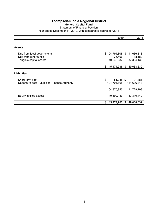## **Thompson-Nicola Regional District General Capital Fund** Statement of Financial Position Year ended December 31, 2019, with comparative figures for 2018

|                                                                               | 2019                                                | 2018                 |
|-------------------------------------------------------------------------------|-----------------------------------------------------|----------------------|
| Assets                                                                        |                                                     |                      |
| Due from local governments<br>Due from other funds<br>Tangible capital assets | \$104,794,808 \$111,636,318<br>36,496<br>40,643,682 | 18,189<br>37,384,132 |
|                                                                               | \$145,474,986 \$149,038,639                         |                      |
| <b>Liabilities</b>                                                            |                                                     |                      |
| Short-term debt<br>Debenture debt - Municipal Finance Authority               | \$<br>81,035 \$<br>104,794,808 111,636,318          | 91,881               |
|                                                                               | 111,728,199<br>104,875,843                          |                      |
| Equity in fixed assets                                                        | 40,599,143                                          | 37,310,440           |
|                                                                               | \$145,474,986 \$149,038,639                         |                      |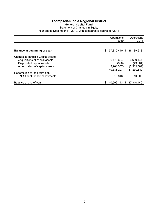## **Thompson-Nicola Regional District General Capital Fund** Statement of Changes in Equity Year ended December 31, 2019, with comparative figures for 2018

|                                                                      | Operations<br>2019             | Operations<br>2018 |
|----------------------------------------------------------------------|--------------------------------|--------------------|
| Balance at beginning of year                                         | \$<br>37,310,440 \$ 36,189,618 |                    |
|                                                                      |                                |                    |
| Change in Tangible Capital Assets:<br>Acquisitions of capital assets | 6,179,604                      | 3,699,447          |
| Disposal of capital assets                                           | (390)                          | (49, 864)          |
| Amortization of capital assets                                       | (2,901,357)                    | (2,539,561)        |
| Redemption of long term debt:                                        | 40.588.297                     | 37,299,640         |
| TNRD debt: principal payments                                        | 10.846                         | 10,800             |
| Balance at end of year                                               | \$<br>40,599,143 \$            | 37,310,440         |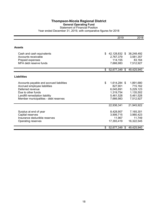## **Thompson-Nicola Regional District General Operating Fund** Statement of Financial Position

|                                          | 2019                          | 2018       |
|------------------------------------------|-------------------------------|------------|
|                                          |                               |            |
| <b>Assets</b>                            |                               |            |
| Cash and cash equivalents                | \$<br>42,128,832 \$           | 38,248,492 |
| Accounts receivable                      | 2,767,379                     | 3,581,357  |
| Prepaid expenses                         | 114,155                       | 83,164     |
| MFA debt reserve funds                   | 7,666,983                     | 7,512,927  |
|                                          | \$<br>52,677,349 \$49,425,940 |            |
|                                          |                               |            |
| <b>Liabilities</b>                       |                               |            |
| Accounts payable and accrued liabilities | \$<br>1,614,284 \$            | 1,891,680  |
| Accrued employee liabilities             | 827,901                       | 715,162    |
| Deferred revenue                         | 6,045,891                     | 5,229,123  |
| Due to other funds                       | 1,319,754                     | 1,135,502  |
| Landfill remediation liability           | 5,461,528                     | 5,461,528  |
| Member municipalities - debt reserves    | 7,666,983                     | 7,512,927  |
|                                          |                               |            |
|                                          | 22,936,341                    | 21,945,922 |
| Surplus at end of year                   | 8,428,907                     | 7,165,301  |
| Capital reserves                         | 3,906,715                     | 3,980,423  |
| Insurance deductible reserves            | 11,967                        | 11,749     |
| Operating reserves                       | 17,393,419                    | 16,322,545 |
|                                          |                               |            |
|                                          | \$<br>52,677,349 \$           | 49,425,940 |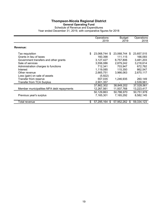#### **General Operating Fund**

#### Schedule of Revenue and Expenditures Year ended December 31, 2019, with comparative figures for 2018

|                                                                                                                                                                                                                                                                    | Operations<br>2019                                                                                                               | Budget<br>2019                                                                                     | Operations<br>2018                                                                                         |
|--------------------------------------------------------------------------------------------------------------------------------------------------------------------------------------------------------------------------------------------------------------------|----------------------------------------------------------------------------------------------------------------------------------|----------------------------------------------------------------------------------------------------|------------------------------------------------------------------------------------------------------------|
| Revenue:                                                                                                                                                                                                                                                           |                                                                                                                                  |                                                                                                    |                                                                                                            |
| Tax requisition<br>Grants in lieu of taxes<br>Government transfers and other grants<br>Sale of services<br>Administration charges to functions<br>Interest<br>Other revenue<br>Loss (gain) on sale of assets<br>Transfer from reserve<br>Transfer from TCA Surplus | \$<br>23,068,744 \$<br>160,398<br>3,127,427<br>3,556,086<br>712,341<br>1,119,085<br>2,665,751<br>(5,922)<br>557,035<br>2,901,357 | 23,068,744 \$<br>111,115<br>6,757,806<br>2,879,242<br>703,947<br>115,350<br>3,966,063<br>1,246,935 | 23,657,515<br>166,093<br>3,481,203<br>3,218,614<br>672,762<br>862,547<br>2,670,117<br>260,149<br>2,539,561 |
| Member municipalities MFA debt repayments                                                                                                                                                                                                                          | 37,862,302<br>12,267,561                                                                                                         | 38,849,202<br>11,937,768                                                                           | 37,528,561<br>13,223,417                                                                                   |
| Previous year's surplus                                                                                                                                                                                                                                            | 50,129,863<br>7,165,301                                                                                                          | 50,786,970<br>7,165,292                                                                            | 50,751,978<br>8,582,145                                                                                    |
| Total revenue                                                                                                                                                                                                                                                      | \$<br>57,295,164<br>- \$                                                                                                         | 57,952,262<br>S                                                                                    | 59,334,123                                                                                                 |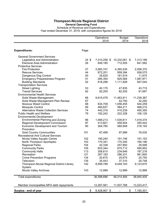# **General Operating Fund**

Schedule of Revenue and Expenditures Year ended December 31, 2019, with comparative figures for 2018

|                                              |                 | Operations<br>2019 | <b>Budget</b><br>2019 | Operations<br>2018 |
|----------------------------------------------|-----------------|--------------------|-----------------------|--------------------|
|                                              |                 |                    |                       |                    |
| <b>Expenditures:</b>                         | Page            |                    |                       |                    |
| <b>General Government Services</b>           |                 |                    |                       |                    |
| Legislative and Administration               | $24 \text{ } $$ | 7,310,258 \$       | 10,332,061 \$         | 7,313,199          |
| Electoral Area Administration                | 26              | 649,185            | 712,505               | 641,562            |
| <b>Protective Services</b>                   |                 |                    |                       |                    |
| <b>Fire Protection</b>                       | 27              | 2,683,747          | 4,365,535             | 2,058,370          |
| <b>Rescue Services</b>                       | 44              | 872,201            | 959,394               | 938,075            |
| Dangerous Dog Control                        | 50              | 35,625             | 181,919               | 11,675             |
| <b>Emergency Preparedness Program</b>        | 51              | 285,354            | 825,584               | 1,587,871          |
| <b>Building Standards</b>                    | 52              | 918,298            | 1,111,928             | 947,044            |
| <b>Transportation Services</b>               |                 |                    |                       |                    |
| <b>Street Lighting</b>                       | 53              | 40,175             | 47,835                | 43,715             |
| <b>Transit Services</b>                      | 62              | 82,205             | 82,205                | 81,697             |
| <b>Environmental Health Services</b>         |                 |                    |                       |                    |
| Solid Waste Management                       | 66              | 9,615,479          | 11,463,911            | 11,239,367         |
| Solid Waste Management Plan Review           | 67              |                    | 42,750                | 32,250             |
| <b>Noxious Weed Control</b>                  | 68              | 834,709            | 1,056,455             | 544,259            |
| <b>Mosquito Control</b>                      | 69              | 485,627            | 584,211               | 468,215            |
| <b>Alternative Waste Collection Services</b> | 74              | 442,316            | 410,239               | 450,350            |
| <b>Public Health and Welfare</b>             | 79              | 182,242            | 222,328               | 106,129            |
| <b>Environmental Development</b>             |                 |                    |                       |                    |
| <b>Environmental Planning and Zoning</b>     | 86              | 1,069,213          | 1,535,611             | 1,019,374          |
| Regional Development Commission              | 87              | 413,821            | 459,404               | 355,442            |
| <b>Economic Development and Tourism</b>      | 90              | 264,780            | 580,948               | 216,193            |
| Promotion                                    |                 |                    |                       |                    |
| <b>Gold Country Communities</b>              | 101             | 87,499             | 97,999                | 76,535             |
| <b>Recreational And Cultural Services</b>    |                 |                    |                       |                    |
| Nicola Valley Aquatic Centre                 | 102             | 195,240            | 191,746               | 191,153            |
| North Thompson Sportsplex                    | 103             | 170,341            | 170,340               | 165,196            |
| <b>Regional Parks</b>                        | 104             | 42,338             | 257,850               | 29,599             |
| <b>Community Parks</b>                       | 105             | 653,344            | 675,712               | 495,852            |
| <b>Community Halls</b>                       | 113             | 308,610            | 234,646               | 187,218            |
| Recreation                                   | 121             | 287,183            | 286,231               | 561,893            |
| <b>Crime Prevention Programs</b>             | 134             | 20,675             | 25,675                | 20,750             |
| Television                                   | 135             | 35,443             | 37,310                | 25,748             |
| Thompson-Nicola Regional District Library    | 142             | 8,599,789          | 9,049,163             | 9,123,675          |
| System                                       |                 |                    |                       |                    |
| Nicola Valley Archives                       | 143             | 12,999             | 12,999                | 12,999             |
| Total expenditures                           |                 | 36,598,696         | 46,014,494            | 38,945,405         |
| Member municipalities MFA debt repayments    |                 | 12,267,561         | 11,937,768            | 13,223,417         |
| Surplus - end of year                        | \$              | 8,428,907 \$       |                       | \$<br>7,165,301    |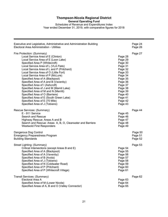**General Operating Fund**

Schedules of Revenue and Expenditures Index Year ended December 31, 2019, with comparative figures for 2018

| Executive and Legislative, Administrative and Administration Building<br>Electoral Area Administration - Utilities                                                                                                                                                                                                                                                                                                                                                                                                                                                                                                                                                                                                                                                                                                                  | Page 24<br>Page 26            |
|-------------------------------------------------------------------------------------------------------------------------------------------------------------------------------------------------------------------------------------------------------------------------------------------------------------------------------------------------------------------------------------------------------------------------------------------------------------------------------------------------------------------------------------------------------------------------------------------------------------------------------------------------------------------------------------------------------------------------------------------------------------------------------------------------------------------------------------|-------------------------------|
| Fire Protection: (Summary)<br>Local Service Area of E (Clinton)<br>Page 28<br>Local Service Area of E (Loon Lake)<br>Page 29<br>Specified Area P (Whitecroft)<br>Page 30<br>Local Service Area of L (VLA Flats)<br>Page 31<br>Local Service Area of L and P (Pritchard)<br>Page 32<br>Local Service Area of O (Little Fort)<br>Page 33<br>Local Service Area of P (McLure)<br>Page 34<br>Specified Area of A (Blackpool)<br>Page 35<br>Specified Area of A and B (Vavenby)<br>Page 36<br>Specified Area of I (Ashcroft)<br>Page 37<br>Specified Area of J and M (Mamit Lake)<br>Page 38<br>Specified Area of M and N (Merritt)<br>Page 39<br>Specified Area of O (Barriere)<br>Page 40<br>Specified Area of E (South Green Lake)<br>Page 41<br>Specified Area of E (70 Mile)<br>Page 42<br>Specified Area of J (Tobiano)<br>Page 43 | Page 27                       |
| Rescue Services: (Summary)<br>E - 911 Service<br>Page 45<br>Search and Rescue<br>Page 46<br>Page 47<br>Highway Rescue: Areas A and B<br>Search and Rescue: Areas A, B, O, Clearwater and Barriere<br>Page 48<br><b>Westwold First Responders</b><br>Page 49                                                                                                                                                                                                                                                                                                                                                                                                                                                                                                                                                                         | Page 44                       |
| Dangerous Dog Control<br><b>Emergency Preparedness Program</b><br><b>Building Standards</b>                                                                                                                                                                                                                                                                                                                                                                                                                                                                                                                                                                                                                                                                                                                                         | Page 50<br>Page 51<br>Page 52 |
| Street Lighting: (Summary)<br>Critical Intersections (except Areas B and E)<br>Page 54<br>Specified Area of A (Blackpool)<br>Page 55<br>Specified Area of A (Vavenby)<br>Page 56<br>Specified Area of B (Avola)<br>Page 57<br>Specified Area of J (Tobiano)<br>Page 58<br>Specified Area of N (Coldwater Road)<br>Page 59<br>Specified Area of P (Pritchard)<br>Page 60<br>Specified Area of P (Whitecroft Village)<br>Page 61                                                                                                                                                                                                                                                                                                                                                                                                      | Page 53                       |
| Transit Services: (Summary)<br>Electoral Area A<br>Page 63<br>Specified Area of M (Lower Nicola)<br>Page 64<br>Specified Areas of A, B and O (Valley Connector)<br>Page 65                                                                                                                                                                                                                                                                                                                                                                                                                                                                                                                                                                                                                                                          | Page 62                       |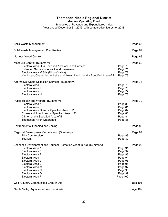**General Operating Fund**

Schedules of Revenue and Expenditures Index Year ended December 31, 2019, with comparative figures for 2018

| Solid Waste Management                                                                                                                                                                                                                                                     |                                                                                                             | Page 66  |
|----------------------------------------------------------------------------------------------------------------------------------------------------------------------------------------------------------------------------------------------------------------------------|-------------------------------------------------------------------------------------------------------------|----------|
| Solid Waste Management Plan Review                                                                                                                                                                                                                                         |                                                                                                             | Page 67  |
| <b>Noxious Weed Control</b>                                                                                                                                                                                                                                                |                                                                                                             | Page 68  |
| Mosquito Control: (Summary)<br>Electoral Area O, a Specified Area of P and Barriere<br>Extended Service of Area A and Clearwater<br>Electoral Area M & N (Nicola Valley)<br>Kamloops, Chase, Logan Lake and Areas J and L and a Specified Area of P                        | Page 70<br>Page 71<br>Page 72<br>Page 73                                                                    | Page 69  |
| Alternative Waste Collection Services: (Summary)<br>Electoral Area B<br>Electoral Area J<br>Electoral Area P<br>Electoral Area N                                                                                                                                           | Page 75<br>Page 76<br>Page 77<br>Page 78                                                                    | Page 74  |
| Public Health and Welfare: (Summary)<br>Electoral Area A<br>Electoral Area B<br>Electoral Area O and a Specified Area of P<br>Chase and Area L and a Specified Area of P<br>Clinton and a Specified Area of E<br><b>Thompson River Watershed</b>                           | Page 80<br>Page 81<br>Page 82<br>Page 83<br>Page 84<br>Page 85                                              | Page 79  |
| Environmental Planning and Zoning                                                                                                                                                                                                                                          |                                                                                                             | Page 86  |
| Regional Development Commission: (Summary)<br><b>Film Commission</b><br>Tourism                                                                                                                                                                                            | Page 88<br>Page 89                                                                                          | Page 87  |
| Economic Development and Tourism Promotion Grant-in-Aid: (Summary)<br>Electoral Area A<br>Electoral Area B<br>Electoral Area E<br>Electoral Area I<br>Electoral Area J<br>Electoral Area L<br>Electoral Area M<br>Electoral Area N<br>Electoral Area O<br>Electoral Area P | Page 91<br>Page 92<br>Page 93<br>Page 94<br>Page 95<br>Page 96<br>Page 97<br>Page 98<br>Page 99<br>Page 100 | Page 90  |
| Gold Country Communities Grant-in-Aid                                                                                                                                                                                                                                      |                                                                                                             | Page 101 |
| Nicola Valley Aquatic Centre Grant-in-Aid                                                                                                                                                                                                                                  |                                                                                                             | Page 102 |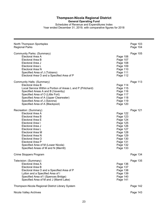**General Operating Fund**

Schedules of Revenue and Expenditures Index Year ended December 31, 2019, with comparative figures for 2018

| North Thompson Sportsplex<br><b>Regional Parks</b>                                                                                                                                                                                                                                                          |                                                                                                                                              | Page 103<br>Page 104 |
|-------------------------------------------------------------------------------------------------------------------------------------------------------------------------------------------------------------------------------------------------------------------------------------------------------------|----------------------------------------------------------------------------------------------------------------------------------------------|----------------------|
| Community Parks: (Summary)<br>Electoral Area A<br>Electoral Area B<br>Electoral Area J<br>Electoral Area L<br><b>Electoral Area N</b><br>Specified Area of J (Tobiano)<br>Electoral Area O and a Specified Area of P                                                                                        | Page 106<br>Page 107<br>Page 108<br>Page 109<br>Page 110<br>Page 111<br>Page 112                                                             | Page 105             |
| Community Halls: (Summary)<br>Electoral Area B<br>Local Service Within a Portion of Areas L and P (Pritchard)<br>Specified Areas A and B (Vavenby)<br>Specified Area of O (Little Fort)<br>Specified Area of A (Upper Clearwater)<br>Specified Area of J (Savona)<br>Specified Area of A (Blackpool)        | Page 114<br>Page 115<br>Page 116<br>Page 117<br>Page 118<br>Page 119<br>Page 120                                                             | Page 113             |
| Recreation: (Summary)<br>Electoral Area A<br>Electoral Area B<br>Electoral Area E<br>Electoral Area I<br>Electoral Area J<br>Electoral Area L<br>Electoral Area M<br>Electoral Area N<br>Electoral Area O<br>Electoral Area P<br>Specified Area of M (Lower Nicola)<br>Specified Areas of M and N (Merritt) | Page 122<br>Page 123<br>Page 124<br>Page 125<br>Page 126<br>Page 127<br>Page 128<br>Page 129<br>Page 130<br>Page 131<br>Page 132<br>Page 133 | Page 121             |
| Crime Stoppers Program                                                                                                                                                                                                                                                                                      |                                                                                                                                              | Page 134             |
| Television: (Summary)<br>Electoral Area A<br>Electoral Area B<br>Electoral Area O and a Specified Area of P<br>Lytton and a Specified Area of I<br>Specified Area of I (Spences Bridge)<br>Specified Area of M and J (Mamit Lake)                                                                           | Page 136<br>Page 137<br>Page 138<br>Page 139<br>Page 140<br>Page 141                                                                         | Page 135             |
| Thompson-Nicola Regional District Library System                                                                                                                                                                                                                                                            |                                                                                                                                              | Page 142             |
| Nicola Valley Archives                                                                                                                                                                                                                                                                                      |                                                                                                                                              | Page 143             |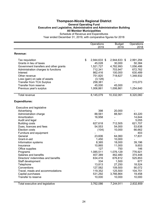#### **Thompson-Nicola Regional District General Operating Fund Executive and Legislative, Administrative and Administration Building All Member Municipalities** Schedule of Revenue and Expenditures

|                                       | Operations         | <b>Budget</b>  | Operations |
|---------------------------------------|--------------------|----------------|------------|
|                                       | 2019               | 2019           | 2018       |
| Revenue:                              |                    |                |            |
| Tax requisition                       | \$<br>2,944,633 \$ | 2,944,633 \$   | 2,991,294  |
| Grants in lieu of taxes               | 45,028             | 30,000         | 50,384     |
| Government transfers and other grants | 1,521,727          | 4,782,993      | 1,056,486  |
| Administration charges to functions   | 712,341            | 703,947        | 672,762    |
| Interest                              | 862,416            | 100,000        | 630,489    |
| Other revenue                         | 751,820            | 718,627        | 1,348,932  |
| Loss (gain) on sale of assets         | (3, 128)           |                |            |
| <b>Transfer from TCA Surplus</b>      | 258,381            |                | 315,073    |
| Transfer from reserve                 | 45,000             | 45,000         |            |
| Previous year's surplus               | 1,006,861          | 1,006,861      | 1,254,640  |
| Total revenue                         | 8,145,079          | 10,332,061     | 8,320,060  |
| <b>Expenditures:</b>                  |                    |                |            |
| <b>Executive and legislative</b>      |                    |                |            |
| Advertising                           | 398                | 20,000         |            |
| Administration charge                 | 88,561             | 88,561         | 83,220     |
| Amortization                          | 16,958             | $\blacksquare$ | 14,644     |
| Audit and legal                       |                    |                | 5,055      |
| <b>Building costs</b>                 | 627,618            | 712,505        | 621,707    |
| Dues, licences and fees               | 54,553             | 54,000         | 53,638     |
| Election costs                        | (104)              | 10,000         | 66,662     |
| Furniture and equipment               |                    |                | 403        |
| General                               | 23,606             | 64,060         | 17,831     |
| Grant-in-aid                          | 1,450              | 10,000         |            |
| Information systems                   | 8,365              | 18,000         | 39,196     |
| Insurance                             | 10,865             | 11,000         | 9,653      |
| Office supplies                       | 127                | 750            | 146        |
| Programs                              | 1,085,511          | 1,076,129      | 776,921    |
| Salaries and benefits                 | 407,389            | 462,480        | 374,448    |
| Directors' indemnities and benefits   | 634,416            | 676,812        | 525,853    |
| Staff development                     | 334                | 1,500          | 677        |
| Telephone                             | 13,813             | 27,250         | 18,524     |
| Conventions                           | 127,582            | 109,500        | 90,072     |
| Travel, meals and accommodations      | 119,352            | 125,500        | 104,751    |
| Capital purchases                     | 531,292            | 3,766,864      | 19,458     |
| Transfer to reserve                   | 10,000             | 10,000         | 10,000     |
| Total executive and legislative       | 3,762,086          | 7,244,911      | 2,832,859  |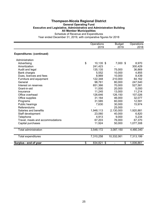#### **Thompson-Nicola Regional District General Operating Fund Executive and Legislative, Administrative and Administration Building All Member Municipalities** Schedule of Revenue and Expenditures

|                                  | Operations<br>2019 | <b>Budget</b><br>2019 | Operations<br>2018 |
|----------------------------------|--------------------|-----------------------|--------------------|
| <b>Expenditures: (continued)</b> |                    |                       |                    |
| Administration                   |                    |                       |                    |
| Advertising                      | \$<br>10,135 \$    | 7,000 \$              | 8,970              |
| Amortization                     | 241,423            |                       | 300,429            |
| Audit and legal                  | 135,135            | 75,000                | 36,869             |
| Bank charges                     | 5,552              | 10,000                | 4,855              |
| Dues, licences and fees          | 8,969              | 10,000                | 8,439              |
| Furniture and equipment          | 122,348            | 210,000               | 84,162             |
| General                          | 98,761             | 80,000                | 247,540            |
| Interest on reserves             | 651,366            | 70,000                | 527,581            |
| Grant-in-aid                     | 11,000             | 20,000                | 5,000              |
| Insurance                        | 11,245             | 13,000                | 11,214             |
| Office overhead                  | 126,646            | 126,150               | 107,026            |
| Office supplies                  | 31,164             | 46,000                | 32,077             |
| Programs                         | 31,585             | 60,000                | 12,591             |
| Public hearings                  | 7,630              | 30,000                | 15,974             |
| Referendums                      |                    | 25,000                |                    |
| Salaries and benefits            | 1,948,113          | 2,130,000             | 1,920,881          |
| Staff development                | 23,060             | 40,000                | 6,820              |
| Telephone                        | 4,913              | 9,000                 | 5,234              |
| Travel, meals and accommodations | 67,203             | 76,000                | 67,370             |
| Capital purchases                | 11,924             | 50,000                | 1,077,308          |
| <b>Total administration</b>      | 3,548,172          | 3,087,150             | 4,480,340          |
| <b>Total expenditures</b>        | 7,310,258          | 10,332,061            | 7,313,199          |
| Surplus - end of year            | \$<br>834,821 \$   | \$                    | 1,006,861          |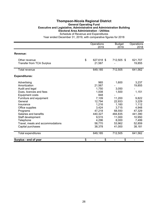#### **Thompson-Nicola Regional District General Operating Fund Executive and Legislative, Administrative and Administration Building Electoral Area Administration - Utilities** Schedule of Revenue and Expenditures

|                                                   | Operations<br>2019         | <b>Budget</b><br>2019 | Operations<br>2018 |
|---------------------------------------------------|----------------------------|-----------------------|--------------------|
|                                                   |                            |                       |                    |
| Revenue:                                          |                            |                       |                    |
| Other revenue<br><b>Transfer from TCA Surplus</b> | \$<br>627,618 \$<br>21,567 | 712,505 \$            | 621,707<br>19,855  |
| <b>Total revenue</b>                              | 649,185                    | 712,505               | 641,562            |
| <b>Expenditures:</b>                              |                            |                       |                    |
| Advertising                                       | 965                        | 1,600                 | 3,237              |
| Amortization                                      | 21,567                     |                       | 19,855             |
| Audit and legal                                   | 1,750                      | 3,050                 |                    |
| Dues, licences and fees                           | 1,008                      | 1,500                 | 1,151              |
| Equipment costs                                   | 848                        |                       |                    |
| Furniture and equipment                           | 7,109                      | 11,200                | 9,822              |
| General                                           | 12,794                     | 22,933                | 3,229              |
| Insurance                                         | 1,216                      | 1,160                 | 1,112              |
| Office supplies                                   | 3,424                      | 3,715                 | 4,948              |
| Programs                                          | 47,218                     | 68,550                | 47,329             |
| Salaries and benefits                             | 440,327                    | 484,835               | 441,390            |
| Staff development                                 | 9,515                      | 11,000                | 10,950             |
| Telephone                                         | 4,296                      | 8,000                 | 7,499              |
| Travel, meals and accommodations                  | 58,770                     | 53,962                | 52,859             |
| Capital purchases                                 | 38,378                     | 41,000                | 38,181             |
| Total expenditures                                | 649,185                    | 712,505               | 641,562            |
| Surplus - end of year                             | \$<br>\$                   | \$                    |                    |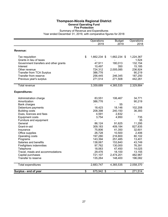## **Thompson-Nicola Regional District General Operating Fund Fire Protection**

Summary of Revenue and Expenditures Year ended December 31, 2019, with comparative figures for 2018

|                                       | Operations<br>2019 | <b>Budget</b><br>2019          | Operations<br>2018 |
|---------------------------------------|--------------------|--------------------------------|--------------------|
| Revenue:                              |                    |                                |                    |
| Tax requisition                       | \$<br>1,662,234 \$ | 1,662,234 \$                   | 1,224,367          |
| Grants in lieu of taxes               |                    |                                | 1,524              |
| Government transfers and other grants | 47,911             | 180,013                        | 132,154            |
| Interest                              | 10,497             | 350                            | 15,185             |
| Other revenue                         | 724,312            | 2,005,085                      | 236,924            |
| <b>Transfer from TCA Surplus</b>      | 386,776            |                                | 90,219             |
| Transfer from reserve                 | 256,445            | 246,345                        | 187,250            |
| Previous year's surplus               | 271,514            | 271,508                        | 442,261            |
| Total revenue                         | 3,359,689          | 4,365,535                      | 2,329,884          |
| <b>Expenditures:</b>                  |                    |                                |                    |
| Administration charge                 | 83,551             | 106,467                        | 34,771             |
| Amortization                          | 386,776            |                                | 90,219             |
| Bank charges                          |                    | 55                             |                    |
| Debenture payments                    | 18,423             | 18,146                         | 102,208            |
| <b>Building costs</b>                 | 208,398            | 240,150                        | 36,393             |
| Dues, licences and fees               | 4,591              | 2,832                          | $\blacksquare$     |
| <b>Equipment costs</b>                | 3,754              | 4,950                          | 735                |
| Furniture and equipment               |                    |                                | 35                 |
| General                               | 86,124             | 91,625                         | 11,295             |
| Grant-in-aid                          | 309,183            | 409,184                        | 827,835            |
| Insurance                             | 75,806             | 41,350                         | 32,601             |
| Office supplies                       | 26,728             | 10,500                         | 2,406              |
| Operating costs                       | 197,280            | 216,800                        | 80,102             |
| Programs                              | 143,394            | 251,485                        | 13,401             |
| Salaries and benefits                 | 138,067            | 153,840                        | 43,749             |
| Firefighters indemnities              | 97,762             | 130,000                        | 76,391             |
| Telephone                             | 18,063             | 47,450                         | 14,025             |
| Travel, meals and accommodations      | 29,476             | 18,100                         | 13,155             |
| Capital purchases                     | 721,107            | 2,474,201                      | 482,967            |
| Transfer to reserve                   | 135,264            | 148,400                        | 196,082            |
| Total expenditures                    | 2,683,747          | 4,365,535                      | 2,058,370          |
| Surplus - end of year                 | \$<br>675,942 \$   | \$<br>$\overline{\phantom{0}}$ | 271,514            |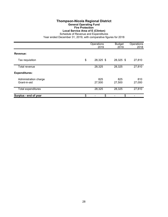#### **Thompson-Nicola Regional District General Operating Fund Fire Protection Local Service Area of E (Clinton)**

Schedule of Revenue and Expenditures

|                                       | Operations<br>2019 | <b>Budget</b><br>2019 | Operations<br>2018 |
|---------------------------------------|--------------------|-----------------------|--------------------|
| Revenue:                              |                    |                       |                    |
| Tax requisition                       | \$<br>28,325 \$    | 28,325 \$             | 27,810             |
| Total revenue                         | 28,325             | 28,325                | 27,810             |
| <b>Expenditures:</b>                  |                    |                       |                    |
| Administration charge<br>Grant-in-aid | 825<br>27,500      | 825<br>27,500         | 810<br>27,000      |
| Total expenditures                    | 28,325             | 28,325                | 27,810             |
| Surplus - end of year                 | \$<br>\$           | \$                    |                    |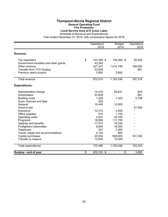#### **Thompson-Nicola Regional District General Operating Fund Fire Protection Local Service Area of E (Loon Lake)**

Schedule of Revenue and Expenditures

|                                       | Operations<br>2019   | <b>Budget</b><br>2019 | Operations<br>2018 |
|---------------------------------------|----------------------|-----------------------|--------------------|
| Revenue:                              |                      |                       |                    |
|                                       | \$                   |                       |                    |
| Tax requisition                       | 144,369 \$<br>43,393 | 144,369 \$            | 28,325             |
| Government transfers and other grants |                      |                       |                    |
| Other revenue                         | 327,247              | 1,014,785             | 168,000            |
| <b>Transfer from TCA Surplus</b>      | 53,609               |                       | 891                |
| Previous year's surplus               | 3,892                | 3,892                 |                    |
| <b>Total revenue</b>                  | 572,510              | 1,163,046             | 197,216            |
| <b>Expenditures:</b>                  |                      |                       |                    |
| Administration charge                 | 10,416               | 26,631                | 825                |
| Amortization                          | 53,609               |                       | 891                |
| <b>Building costs</b>                 | 1,309                | 7,300                 | 2,758              |
| Dues, licences and fees               | 526                  |                       |                    |
| General                               | 10,445               | 10,000                |                    |
| Grant-in-aid                          |                      |                       | 27,500             |
| Insurance                             | 10,315               | 4,500                 |                    |
| Office supplies                       | 910                  | 1,100                 |                    |
| Operating costs                       | 3,547                | 20,700                |                    |
| Programs                              | 18,956               | 111,785               |                    |
| Salaries and benefits                 | 17,073               | 19,230                |                    |
| Firefighters indemnities              | 8,693                | 16,000                |                    |
| Telephone                             | 527                  | 7,000                 |                    |
| Travel, meals and accommodations      | 4,100                | 800                   |                    |
| Capital purchases                     | 20,054               | 928,000               | 161,350            |
| Transfer to reserve                   | 10,000               | 10,000                |                    |
| Total expenditures                    | 170,480              | 1,163,046             | 193,324            |
| Surplus - end of year                 | \$<br>402,030 \$     | \$                    | 3,892              |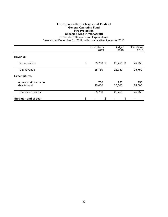## **Thompson-Nicola Regional District General Operating Fund Fire Protection Specified Area P (Whitecroft)**

Schedule of Revenue and Expenditures

|                                       | Operations<br>2019 | <b>Budget</b><br>2019 | Operations<br>2018 |
|---------------------------------------|--------------------|-----------------------|--------------------|
| Revenue:                              |                    |                       |                    |
| Tax requisition                       | \$<br>25,750 \$    | 25,750 \$             | 25,750             |
| Total revenue                         | 25,750             | 25,750                | 25,750             |
| <b>Expenditures:</b>                  |                    |                       |                    |
| Administration charge<br>Grant-in-aid | 750<br>25,000      | 750<br>25,000         | 750<br>25,000      |
| <b>Total expenditures</b>             | 25,750             | 25,750                | 25,750             |
| Surplus - end of year                 | \$<br>\$           | \$                    |                    |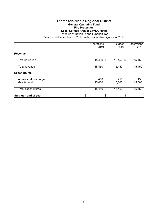#### **Thompson-Nicola Regional District General Operating Fund Fire Protection Local Service Area of L (VLA Flats)**

Schedule of Revenue and Expenditures

|                                       | Operations<br>2019 | <b>Budget</b><br>2019 | Operations<br>2018 |
|---------------------------------------|--------------------|-----------------------|--------------------|
| Revenue:                              |                    |                       |                    |
| Tax requisition                       | \$<br>15,450 \$    | 15,450 \$             | 15,450             |
| Total revenue                         | 15,450             | 15,450                | 15,450             |
| <b>Expenditures:</b>                  |                    |                       |                    |
| Administration charge<br>Grant-in-aid | 450<br>15,000      | 450<br>15,000         | 450<br>15,000      |
| Total expenditures                    | 15,450             | 15,450                | 15,450             |
| Surplus - end of year                 | \$<br>\$           | \$                    |                    |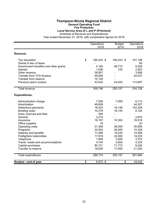## **Thompson-Nicola Regional District General Operating Fund**

## **Fire Protection**

**Local Service Area of L and P (Pritchard)**

Schedule of Revenue and Expenditures

|                                       | Operations<br>2019 | <b>Budget</b><br>2019    | Operations<br>2018           |
|---------------------------------------|--------------------|--------------------------|------------------------------|
|                                       |                    |                          |                              |
| <b>Revenue:</b>                       |                    |                          |                              |
| Tax requisition                       | \$<br>165,243 \$   | 165,243 \$               | 161,195                      |
| Grants in lieu of taxes               |                    |                          | 60                           |
| Government transfers and other grants | 4,165              | 46,772                   | 8,226                        |
| Interest                              | 1,636              | 100                      | 2,923                        |
| Other revenue                         | 38,951             |                          | 3,088                        |
| <b>Transfer from TCA Surplus</b>      | 46,609             |                          | 44,537                       |
| Transfer from reserve                 | 10,100             |                          | $\blacksquare$               |
| Previous year's surplus               | 43,042             | 43,042                   | 114,697                      |
| Total revenue                         | 309,746            | 255,157                  | 334,726                      |
| <b>Expenditures:</b>                  |                    |                          |                              |
| Administration charge                 | 7,059              | 7,059                    | 6,714                        |
| Amortization                          | 46,609             |                          | 44,537                       |
| Debenture payments                    | 18,423             | 18,146                   | 102,208                      |
| <b>Building costs</b>                 | 10,478             | 16,150                   | 6,164                        |
| Dues, licences and fees               | 526                | $\overline{\phantom{a}}$ | $\qquad \qquad \blacksquare$ |
| General                               | 3,214              |                          | 2,870                        |
| Insurance                             | 16,197             | 10,300                   | 16,519                       |
| Office supplies                       | 19                 |                          | 23                           |
| Operating costs                       | 31,308             | 38,500                   | 30,695                       |
| Programs                              | 24,552             | 26,500                   | 10,329                       |
| Salaries and benefits                 | 17,466             | 19,230                   | 15,506                       |
| Firefighters indemnities              | 17,916             | 22,000                   | 19,235                       |
| Telephone                             | 1,906              | 3,500                    | 3,372                        |
| Travel, meals and accommodations      | 4,744              | 5,000                    | 4,233                        |
| Capital purchases                     | 80,721             | 71,772                   | 8,226                        |
| Transfer to reserve                   | 18,636             | 17,000                   | 21,053                       |
| Total expenditures                    | 299,774            | 255,157                  | 291,684                      |
| Surplus - end of year                 | \$<br>9,972 \$     | \$                       | 43,042                       |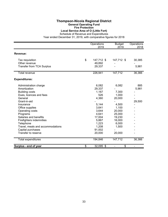#### **Thompson-Nicola Regional District General Operating Fund Fire Protection Local Service Area of O (Little Fort)**

Schedule of Revenue and Expenditures

|                                  | Operations<br>2019 | <b>Budget</b><br>2019 | Operations<br>2018 |
|----------------------------------|--------------------|-----------------------|--------------------|
| Revenue:                         |                    |                       |                    |
| Tax requisition                  | \$<br>147,712 \$   | 147,712 \$            | 30,385             |
| Other revenue                    | 49,892             |                       |                    |
| Transfer from TCA Surplus        | 29,337             |                       | 5,981              |
| <b>Total revenue</b>             | 226,941            | 147,712               | 36,366             |
| <b>Expenditures:</b>             |                    |                       |                    |
| Administration charge            | 6,082              | 6,082                 | 885                |
| Amortization                     | 29,337             |                       | 5,981              |
| <b>Building costs</b>            | 1,167              | 7,300                 |                    |
| Dues, licences and fees          | 526                | 1,000                 |                    |
| General                          | 4,360              | 20,000                |                    |
| Grant-in-aid                     |                    |                       | 29,500             |
| Insurance                        | 5,144              | 4,500                 |                    |
| Office supplies                  | 3,641              | 1,100                 |                    |
| Operating costs                  | 3,644              | 20,000                |                    |
| Programs                         | 4,641              | 25,000                |                    |
| Salaries and benefits            | 17,004             | 19,230                |                    |
| Firefighters indemnities         | 5,867              | 16,000                |                    |
| Telephone                        | 1,223              | 6,000                 |                    |
| Travel, meals and accommodations | 1,208              | 1,500                 |                    |
| Capital purchases                | 91,002             |                       |                    |
| Transfer to reserve              | 20,000             | 20,000                |                    |
| Total expenditures               | 194,846            | 147,712               | 36,366             |
| Surplus - end of year            | \$<br>32,095 \$    | \$                    |                    |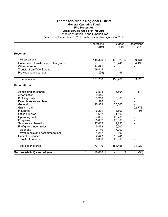#### **Thompson-Nicola Regional District General Operating Fund Fire Protection Local Service Area of P (McLure)**

Schedule of Revenue and Expenditures

|                                       | Operations       | <b>Budget</b>                  | Operations |
|---------------------------------------|------------------|--------------------------------|------------|
|                                       | 2019             | 2019                           | 2018       |
| Revenue:                              |                  |                                |            |
| Tax requisition                       | \$<br>148,320 \$ | 148,320 \$                     | 39,431     |
| Government transfers and other grants |                  | 10,241                         | 64,495     |
| Other revenue                         | 94,091           |                                |            |
| <b>Transfer from TCA Surplus</b>      | 59,445           |                                |            |
| Previous year's surplus               | (96)             | (96)                           |            |
| Total revenue                         | 301,760          | 158,465                        | 103,926    |
| <b>Expenditures:</b>                  |                  |                                |            |
| Administration charge                 | 6,594            | 6,594                          | 1,148      |
| Amortization                          | 59,445           |                                |            |
| <b>Building costs</b>                 | 3,210            | 7,300                          |            |
| Dues, licences and fees               | 526              |                                |            |
| General                               | 10,389           | 20,000                         |            |
| Grant-in-aid                          |                  |                                | 102,778    |
| Insurance                             | 6,231            | 4,500                          | 96         |
| Office supplies                       | 4,657            | 1,100                          |            |
| Operating costs                       | 7,635            | 20,700                         |            |
| Programs                              | 25,632           | 25,000                         |            |
| Salaries and benefits                 | 17,069           | 19,230                         |            |
| Firefighters indemnities              | 5,478            | 16,000                         |            |
| Telephone                             | 2,140            | 7,000                          |            |
| Travel, meals and accommodations      | 1,257            | 800                            |            |
| Capital purchases                     | 2,447            | 10,241                         |            |
| Transfer to reserve                   | 20,000           | 20,000                         |            |
| Total expenditures                    | 172,710          | 158,465                        | 104,022    |
| Surplus (deficit) - end of year       | \$<br>129,050 \$ | \$<br>$\overline{\phantom{0}}$ | (96)       |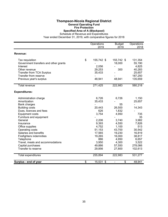#### **Thompson-Nicola Regional District General Operating Fund Fire Protection**

# **Specified Area of A (Blackpool)**

Schedule of Revenue and Expenditures

|                                       | Operations       | <b>Budget</b> | Operations     |
|---------------------------------------|------------------|---------------|----------------|
|                                       | 2019             | 2019          | 2018           |
| Revenue:                              |                  |               |                |
| Tax requisition                       | \$<br>155,742 \$ | 155,742 \$    | 131,354        |
| Government transfers and other grants |                  | 18,000        | 55,190         |
| Interest                              | 2,056            |               | 4,825          |
| Other revenue                         | 29,253           | 300           | 40,283         |
| <b>Transfer from TCA Surplus</b>      | 35,433           |               | 25,657         |
| Transfer from reserve                 |                  |               | 187,250        |
| Previous year's surplus               | 48,941           | 48,941        | 135,659        |
| <b>Total revenue</b>                  | 271,425          | 222,983       | 580,218        |
| <b>Expenditures:</b>                  |                  |               |                |
| Administration charge                 | 6,726            | 6,726         | 1,150          |
| Amortization                          | 35,433           |               | 25,657         |
| Bank charges                          |                  | 55            | $\blacksquare$ |
| <b>Building costs</b>                 | 20,443           | 26,500        | 14,343         |
| Dues, licences and fees               | 626              | 1,832         |                |
| <b>Equipment costs</b>                | 3,754            | 4,950         | 735            |
| Furniture and equipment               |                  |               | 35             |
| General                               | 2,206            | 3,740         | 3,982          |
| Insurance                             | 9,393            | 4,550         | 7,826          |
| Office supplies                       | 4,752            | 1,100         | 513            |
| Operating costs                       | 51,153           | 43,700        | 30,542         |
| Salaries and benefits                 | 17,565           | 19,230        | 16,819         |
| Firefighters indemnities              | 19,265           | 16,000        | 38,817         |
| Telephone                             | 886              | 4,950         | 6,657          |
| Travel, meals and accommodations      | 3,950            | 4,300         | 3,522          |
| Capital purchases                     | 49,886           | 57,550        | 278,066        |
| Transfer to reserve                   | 29,856           | 27,800        | 102,613        |
| Total expenditures                    | 255,894          | 222,983       | 531,277        |
| Surplus - end of year                 | \$<br>15,531 \$  | \$            | 48,941         |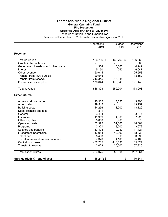# **Thompson-Nicola Regional District General Operating Fund Fire Protection**

**Specified Area of A and B (Vavenby)**

Schedule of Revenue and Expenditures Year ended December 31, 2019, with comparative figures for 2018

|                                       | Operations           | <b>Budget</b> | Operations |
|---------------------------------------|----------------------|---------------|------------|
|                                       | 2019                 | 2019          | 2018       |
| Revenue:                              |                      |               |            |
| Tax requisition                       | \$<br>136,766 \$     | 136,766 \$    | 136,968    |
| Grants in lieu of taxes               |                      |               | 606        |
| Government transfers and other grants | 354                  | 5,000         | 4,242      |
| Interest                              | 5,160                | 250           | 6,047      |
| Other revenue                         | 60,014               |               | 25,553     |
| <b>Transfer from TCA Surplus</b>      | 29,545               |               | 13,152     |
| Transfer from reserve                 | 246,345              | 246,345       |            |
| Previous year's surplus               | 170,644              | 170,643       | 191,440    |
| <b>Total revenue</b>                  | 648,828              | 559,004       | 378,008    |
| <b>Expenditures:</b>                  |                      |               |            |
| Administration charge                 | 10,935               | 17,636        | 3,796      |
| Amortization                          | 29,545               |               | 13,152     |
| <b>Building costs</b>                 | 14,256               | 11,000        | 13,129     |
| Dues, licences and fees               | 811                  |               |            |
| General                               | 3,404                |               | 3,847      |
| Insurance                             | 11,959               | 4,000         | 7,226      |
| Office supplies                       | 5,050                | 3,900         | 1,870      |
| Operating costs                       | 62,375               | 31,800        | 18,864     |
| Programs                              | 3,321                | 13,200        | 3,072      |
| Salaries and benefits                 | 17,404               | 19,230        | 11,424     |
| Firefighters indemnities              | 17,964               | 12,000        | 18,339     |
| Telephone                             | 5,493                | 5,000         | 3,995      |
| Travel, meals and accommodations      | 7,320                | 4,100         | 5,400      |
| Capital purchases                     | 472,215              | 416,638       | 35,324     |
| Transfer to reserve                   | 2,023                | 20,500        | 67,926     |
| Total expenditures                    | 664,075              | 559,004       | 207,364    |
| Surplus (deficit) - end of year       | \$<br>$(15, 247)$ \$ | \$            | 170,644    |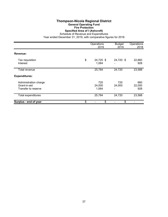# **Thompson-Nicola Regional District General Operating Fund Fire Protection**

**Specified Area of I (Ashcroft)**

Schedule of Revenue and Expenditures

|                                                              | Operations<br>2019       | <b>Budget</b><br>2019 | Operations<br>2018   |
|--------------------------------------------------------------|--------------------------|-----------------------|----------------------|
| Revenue:                                                     |                          |                       |                      |
| Tax requisition<br>Interest                                  | \$<br>24,720 \$<br>1,064 | 24,720 \$             | 22,660<br>928        |
| <b>Total revenue</b>                                         | 25,784                   | 24,720                | 23,588               |
| <b>Expenditures:</b>                                         |                          |                       |                      |
| Administration charge<br>Grant-in-aid<br>Transfer to reserve | 720<br>24,000<br>1,064   | 720<br>24,000         | 660<br>22,000<br>928 |
| Total expenditures                                           | 25,784                   | 24,720                | 23,588               |
| Surplus - end of year                                        | \$<br>\$                 | \$                    |                      |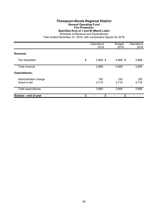#### **Thompson-Nicola Regional District General Operating Fund Fire Protection Specified Area of J and M (Mamit Lake)**

Schedule of Revenue and Expenditures

|                                       | Operations<br>2019 | <b>Budget</b><br>2019 | Operations<br>2018 |
|---------------------------------------|--------------------|-----------------------|--------------------|
| Revenue:                              |                    |                       |                    |
| Tax requisition                       | \$<br>$3,869$ \$   | $3,869$ \$            | 3,869              |
| Total revenue                         | 3,869              | 3,869                 | 3,869              |
| <b>Expenditures:</b>                  |                    |                       |                    |
| Administration charge<br>Grant-in-aid | 150<br>3,719       | 150<br>3,719          | 150<br>3,719       |
| <b>Total expenditures</b>             | 3,869              | 3,869                 | 3,869              |
| Surplus - end of year                 | \$<br>\$           | \$                    |                    |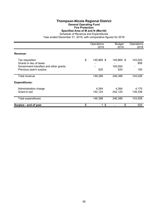#### **Thompson-Nicola Regional District General Operating Fund Fire Protection Specified Area of M and N (Merritt)**

Schedule of Revenue and Expenditures

|                                                                                                                | Operations<br>2019      | <b>Budget</b><br>2019        | Operations<br>2018    |
|----------------------------------------------------------------------------------------------------------------|-------------------------|------------------------------|-----------------------|
| Revenue:                                                                                                       |                         |                              |                       |
| Tax requisition<br>Grants in lieu of taxes<br>Government transfers and other grants<br>Previous year's surplus | \$<br>145,869 \$<br>520 | 145,869 \$<br>100,000<br>520 | 143,020<br>858<br>150 |
| Total revenue                                                                                                  | 146,389                 | 246,389                      | 144,028               |
| <b>Expenditures:</b>                                                                                           |                         |                              |                       |
| Administration charge<br>Grant-in-aid                                                                          | 4,264<br>142,124        | 4,264<br>242,125             | 4,170<br>139,338      |
| <b>Total expenditures</b>                                                                                      | 146,388                 | 246,389                      | 143,508               |
| Surplus - end of year                                                                                          | \$<br>1 <sup>°</sup>    | \$                           | 520                   |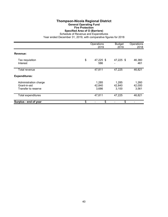#### **Thompson-Nicola Regional District General Operating Fund Fire Protection Specified Area of O (Barriere)**

Schedule of Revenue and Expenditures

|                                                              | Operations<br>2019       | <b>Budget</b><br>2019    | Operations<br>2018       |
|--------------------------------------------------------------|--------------------------|--------------------------|--------------------------|
| Revenue:                                                     |                          |                          |                          |
| Tax requisition<br>Interest                                  | \$<br>47,225 \$<br>586   | 47,225 \$                | 46,360<br>461            |
| Total revenue                                                | 47,811                   | 47,225                   | 46,821                   |
| <b>Expenditures:</b>                                         |                          |                          |                          |
| Administration charge<br>Grant-in-aid<br>Transfer to reserve | 1,285<br>42,840<br>3,686 | 1,285<br>42,840<br>3,100 | 1,260<br>42,000<br>3,561 |
| Total expenditures                                           | 47,811                   | 47,225                   | 46,821                   |
| Surplus - end of year                                        | \$<br>\$                 | \$                       |                          |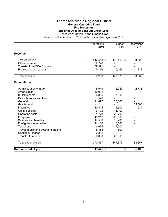#### **Thompson-Nicola Regional District General Operating Fund Fire Protection Specified Area of E (South Green Lake)**

Schedule of Revenue and Expenditures

|                                  | Operations<br>2019 | <b>Budget</b><br>2019 | Operations<br>2018 |
|----------------------------------|--------------------|-----------------------|--------------------|
| <b>Revenue:</b>                  |                    |                       |                    |
|                                  |                    |                       |                    |
| Tax requisition                  | \$<br>142,413 \$   | 142,413 \$            | 93,520             |
| Other revenue                    | 82,728             |                       |                    |
| <b>Transfer from TCA Surplus</b> | 89,991             |                       |                    |
| Previous year's surplus          | 5,166              | 5,166                 | 313                |
| <b>Total revenue</b>             | 320,298            | 147,579               | 93,833             |
| <b>Expenditures:</b>             |                    |                       |                    |
| Administration charge            | 5,949              | 5,949                 | 2,733              |
| Amortization                     | 89,991             |                       |                    |
| <b>Building costs</b>            | 6,866              | 7,300                 |                    |
| Dues, licences and fees          | 526                |                       |                    |
| General                          | 21,697             | 20,000                |                    |
| Grant-in-aid                     |                    |                       | 85,000             |
| Insurance                        | 10,444             | 4,500                 | 934                |
| Office supplies                  | 6,122              | 1,100                 |                    |
| Operating costs                  | 21,778             | 20,700                |                    |
| Programs                         | 43,212             | 25,000                |                    |
| Salaries and benefits            | 17,556             | 19,230                |                    |
| Firefighters indemnities         | 14,166             | 16,000                |                    |
| Telephone                        | 4,675              | 7,000                 |                    |
| Travel, meals and accommodations | 5,484              | 800                   |                    |
| Capital purchases                | 2,391              |                       |                    |
| Transfer to reserve              | 20,000             | 20,000                |                    |
| <b>Total expenditures</b>        | 270,857            | 147,579               | 88,667             |
| Surplus - end of year            | \$<br>49,441 \$    | \$                    | 5,166              |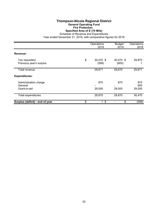# **Thompson-Nicola Regional District General Operating Fund Fire Protection Specified Area of E (70 Mile)**

Schedule of Revenue and Expenditures

|                                                  | Operations<br>2019       | <b>Budget</b><br>2019 | Operations<br>2018   |
|--------------------------------------------------|--------------------------|-----------------------|----------------------|
| Revenue:                                         |                          |                       |                      |
| Tax requisition<br>Previous year's surplus       | \$<br>30,470 \$<br>(599) | 30,470 \$<br>(600)    | 29,870               |
| Total revenue                                    | 29,871                   | 29,870                | 29,871               |
| <b>Expenditures:</b>                             |                          |                       |                      |
| Administration charge<br>General<br>Grant-in-aid | 870<br>29,000            | 870<br>29,000         | 870<br>600<br>29,000 |
| Total expenditures                               | 29,870                   | 29,870                | 30,470               |
| Surplus (deficit) - end of year                  | \$<br>$1 \text{ }$ \$    | \$                    | (599)                |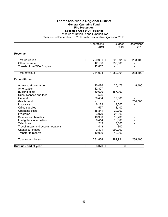#### **Thompson-Nicola Regional District General Operating Fund Fire Protection Specified Area of J (Tobiano)**

Schedule of Revenue and Expenditures

|                                  | Operations<br>2019 | <b>Budget</b><br>2019 | Operations<br>2018 |
|----------------------------------|--------------------|-----------------------|--------------------|
| Revenue:                         |                    |                       |                    |
| Tax requisition                  | \$<br>299,991 \$   | 299,991 \$            | 288,400            |
| Other revenue                    | 42,136             | 990,000               |                    |
| <b>Transfer from TCA Surplus</b> | 42,807             |                       |                    |
| <b>Total revenue</b>             | 384,934            | 1,289,991             | 288,400            |
| <b>Expenditures:</b>             |                    |                       |                    |
| Administration charge            | 20,476             | 20,476                | 8,400              |
| Amortization                     | 42,807             |                       |                    |
| <b>Building costs</b>            | 150,670            | 157,300               |                    |
| Dues, licences and fees          | 526                |                       |                    |
| General                          | 30,404             | 17,885                |                    |
| Grant-in-aid                     |                    |                       | 280,000            |
| Insurance                        | 6,123              | 4,500                 |                    |
| Office supplies                  | 1,577              | 1,100                 |                    |
| Operating costs                  | 15,841             | 20,700                |                    |
| Programs                         | 23,079             | 25,000                |                    |
| Salaries and benefits            | 16,930             | 19,230                |                    |
| Firefighters indemnities         | 8,414              | 16,000                |                    |
| Telephone                        | 1,213              | 7,000                 |                    |
| Travel, meals and accommodations | 1,413              | 800                   |                    |
| Capital purchases                | 2,391              | 990,000               |                    |
| Transfer to reserve              | 10,000             | 10,000                |                    |
| <b>Total expenditures</b>        | 331,864            | 1,289,991             | 288,400            |
| Surplus - end of year            | \$<br>53,070 \$    | \$                    |                    |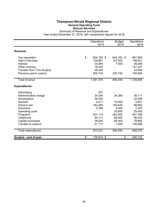### **Thompson-Nicola Regional District General Operating Fund Rescue Services**

Summary of Revenue and Expenditures Year ended December 31, 2019, with comparative figures for 2018

|                                  | Operations<br>2019 | <b>Budget</b><br>2019 | Operations<br>2018 |
|----------------------------------|--------------------|-----------------------|--------------------|
|                                  |                    |                       |                    |
| Revenue:                         |                    |                       |                    |
| Tax requisition                  | \$<br>604,162 \$   | 604,162 \$            | 667,905            |
| Sale of services                 | 156,681            | 147,000               | 148,631            |
| Interest                         | 34,646             | 7,500                 | 29,269             |
| Other revenue                    | 18,424             |                       | 127,231            |
| <b>Transfer from TCA Surplus</b> | 36,429             |                       | 24,936             |
| Previous year's surplus          | 200,733            | 200,732               | 140,836            |
| Total revenue                    | 1,051,075          | 959,394               | 1,138,808          |
| <b>Expenditures:</b>             |                    |                       |                    |
| Advertising                      | 551                |                       |                    |
| Administration charge            | 34,264             | 34,264                | 39,111             |
| Amortization                     | 36,429             |                       | 24,936             |
| General                          | 5,517              | 10,000                | 5,941              |
| Grant-in-aid                     | 162,480            | 192,830               | 98,662             |
| Insurance                        | 2,309              | 4,000                 | 2,423              |
| Operating costs                  |                    | 20,800                | 29,500             |
| Programs                         | 501,113            | 542,000               | 467,348            |
| Telephone                        | 50,111             | 68,000                | 56,423             |
| Capital purchases                | 28,250             | 80,000                | 78,665             |
| Transfer to reserve              | 51,177             | 7,500                 | 135,066            |
| Total expenditures               | 872,201            | 959,394               | 938,075            |
| Surplus - end of year            | \$<br>178,874 \$   | \$                    | 200,733            |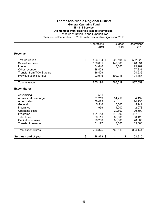### **Thompson-Nicola Regional District General Operating Fund**

# **E - 911 Service**

**All Member Municipalities (except Kamloops)**

Schedule of Revenue and Expenditures

|                                  | Operations<br>2019 | <b>Budget</b><br>2019 | Operations<br>2018 |
|----------------------------------|--------------------|-----------------------|--------------------|
|                                  |                    |                       |                    |
| Revenue:                         |                    |                       |                    |
| Tax requisition                  | \$<br>506,104 \$   | 506,104 \$            | 502,525            |
| Sale of services                 | 156,681            | 147,000               | 148,631            |
| Interest                         | 34,646             | 7,500                 | 29,269             |
| Other revenue                    | 18,423             |                       | 127,231            |
| <b>Transfer from TCA Surplus</b> | 36,429             |                       | 24,936             |
| Previous year's surplus          | 102,915            | 102,915               | 104,467            |
| Total revenue                    | 855,198            | 763,519               | 937,059            |
| <b>Expenditures:</b>             |                    |                       |                    |
| Advertising                      | 551                |                       |                    |
| Administration charge            | 31,219             | 31,219                | 34,192             |
| Amortization                     | 36,429             |                       | 24,936             |
| General                          | 5,516              | 10,000                | 5,941              |
| Insurance                        | 1,959              | 4,000                 | 2,073              |
| Operating costs                  |                    | 20,800                | 29,500             |
| Programs                         | 501,113            | 542,000               | 467,348            |
| Telephone                        | 50,111             | 68,000                | 56,423             |
| Capital purchases                | 28,250             | 80,000                | 78,665             |
| Transfer to reserve              | 51,177             | 7,500                 | 135,066            |
| Total expenditures               | 706,325            | 763,519               | 834,144            |
| <b>Surplus - end of year</b>     | \$<br>148,873 \$   | \$                    | 102,915            |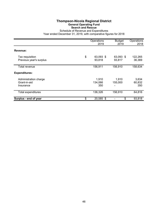# **Thompson-Nicola Regional District General Operating Fund Search and Rescue**

Schedule of Revenue and Expenditures Year ended December 31, 2019, with comparative figures for 2018

|                                                    | Operations<br>2019 |                         | <b>Budget</b><br>2019 | Operations<br>2018     |  |
|----------------------------------------------------|--------------------|-------------------------|-----------------------|------------------------|--|
| Revenue:                                           |                    |                         |                       |                        |  |
| Tax requisition<br>Previous year's surplus         | \$                 | 63,093 \$<br>93,818     | 63,093 \$<br>93,817   | 122,265<br>36,369      |  |
| Total revenue                                      |                    | 156,911                 | 156,910               | 158,634                |  |
| <b>Expenditures:</b>                               |                    |                         |                       |                        |  |
| Administration charge<br>Grant-in-aid<br>Insurance |                    | 1,910<br>134,066<br>350 | 1,910<br>155,000      | 3,634<br>60,832<br>350 |  |
| <b>Total expenditures</b>                          |                    | 136,326                 | 156,910               | 64,816                 |  |
| Surplus - end of year                              | \$                 | 20,585 \$               | \$                    | 93,818                 |  |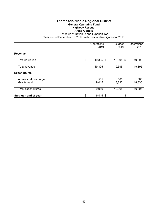#### **Thompson-Nicola Regional District General Operating Fund Highway Rescue: Areas A and B**

Schedule of Revenue and Expenditures

|                                       | Operations<br>2019 | <b>Budget</b><br>2019 | Operations<br>2018 |  |
|---------------------------------------|--------------------|-----------------------|--------------------|--|
| Revenue:                              |                    |                       |                    |  |
| Tax requisition                       | \$<br>19,395 \$    | 19,395 \$             | 19,395             |  |
| Total revenue                         | 19,395             | 19,395                | 19,395             |  |
| <b>Expenditures:</b>                  |                    |                       |                    |  |
| Administration charge<br>Grant-in-aid | 565<br>9,415       | 565<br>18,830         | 565<br>18,830      |  |
| Total expenditures                    | 9,980              | 19,395                | 19,395             |  |
| Surplus - end of year                 | \$<br>$9,415$ \$   | \$                    |                    |  |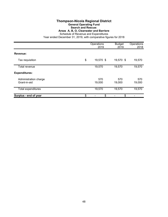# **Thompson-Nicola Regional District**

#### **General Operating Fund**

**Search and Rescue:**

**Areas A, B, O, Clearwater and Barriere**

Schedule of Revenue and Expenditures

|                                       | Operations<br>2019 | <b>Budget</b><br>2019 | Operations<br>2018 |  |
|---------------------------------------|--------------------|-----------------------|--------------------|--|
| Revenue:                              |                    |                       |                    |  |
| Tax requisition                       | \$<br>19,570 \$    | 19,570 \$             | 19,570             |  |
| Total revenue                         | 19,570             | 19,570                | 19,570             |  |
| <b>Expenditures:</b>                  |                    |                       |                    |  |
| Administration charge<br>Grant-in-aid | 570<br>19,000      | 570<br>19,000         | 570<br>19,000      |  |
| Total expenditures                    | 19,570             | 19,570                | 19,570             |  |
| Surplus - end of year                 | \$<br>\$           | \$                    |                    |  |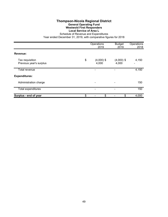# **Thompson-Nicola Regional District General Operating Fund Westwold First Responders Local Service of Area L**

Schedule of Revenue and Expenditures Year ended December 31, 2019, with comparative figures for 2018

|                                            | Operations<br>2019          | <b>Budget</b><br>2019 | Operations<br>2018 |  |
|--------------------------------------------|-----------------------------|-----------------------|--------------------|--|
| Revenue:                                   |                             |                       |                    |  |
| Tax requisition<br>Previous year's surplus | \$<br>$(4,000)$ \$<br>4,000 | $(4,000)$ \$<br>4,000 | 4,150              |  |
| Total revenue                              |                             |                       | 4,150              |  |
| <b>Expenditures:</b>                       |                             |                       |                    |  |
| Administration charge                      |                             |                       | 150                |  |
| <b>Total expenditures</b>                  |                             |                       | 150                |  |
| Surplus - end of year                      | \$<br>\$                    | \$                    | 4,000              |  |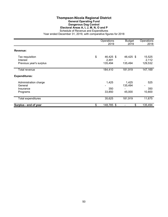#### **Thompson-Nicola Regional District General Operating Fund Dangerous Dog Control Electoral Areas A, I, J, M, N, O and P** Schedule of Revenue and Expenditures

|                             | Operations<br>2019       |           | Operations<br>2018 |
|-----------------------------|--------------------------|-----------|--------------------|
| Revenue:                    |                          |           |                    |
| Tax requisition<br>Interest | \$<br>46,425 \$<br>2,491 | 46,425 \$ | 15,525<br>2,112    |
| Previous year's surplus     | 135,494                  | 135,494   | 129,532            |
| Total revenue               | 184,410                  | 181,919   | 147,169            |
| <b>Expenditures:</b>        |                          |           |                    |
| Administration charge       | 1,425                    | 1,425     | 525                |
| General                     |                          | 135,494   |                    |
| Insurance                   | 350                      |           | 350                |
| Programs                    | 33,850                   | 45,000    | 10,800             |
| Total expenditures          | 35,625                   | 181,919   | 11,675             |
| Surplus - end of year       | \$<br>148,785 \$         | \$        | 135,494            |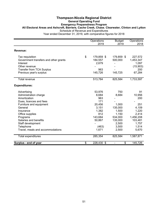#### **Thompson-Nicola Regional District General Operating Fund Emergency Preparedness Program All Electoral Areas and Ashcroft, Barriere, Cache Creek, Chase. Clearwater, Clinton and Lytton** Schedule of Revenue and Expenditures Year ended December 31, 2019, with comparative figures for 2018

Operations Budget Operations 2019 2019 2018 **Revenue:** Tax requisition \$ 179,859 \$ 179,859 \$ 227,572 Government transfers and other grants 184,557 500,000 1,453,347<br>1.097 - 1.097 - 2.679 Interest 2,679 - 1,097 Other revenue (15,903) Transfer from TCA Surplus 145,726 145,725 200<br>Previous year's surplus 145,726 145,725 67,284 Previous year's surplus 145,726 145,725 Total revenue 513,784 825,584 1,733,597 **Expenditures:** Advertising 53,976 750 91 Administration charge 8,684<br>Amortization 8,684 Amortization 963 - 200 Dues, licences and fees 171 - 171 - 171 - 171 - 1000 Furniture and equipment 20,456 20,456 1,000 251 General 3,151 135,000 4,109 Insurance 1,382 1,500 1,220 Office supplies 2,414 2 and 2,414 2.414 **812** 2,414 Programs 143,684 534,000 1,456,208 Salaries and benefits 60,867 135,000 103,481 Staff development 1,757 Telephone (463) 3,500 1,514 Travel, meals and accommodations 1,671 2,500 5,670 Total expenditures 285,354 825,584 1,587,871 **Surplus - end of year by Community Community Community State 3 and State 3 and State 3 and State 3 and State 3 and State 3 and State 3 and State 3 and State 3 and State 3 and State 3 and State 3 and State 3 and State 3**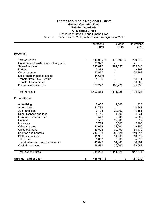# **Thompson-Nicola Regional District General Operating Fund Building Standards All Electoral Areas**

Schedule of Revenue and Expenditures

|                                       | Operations<br>2019 | <b>Budget</b><br>2019 | Operations<br>2018 |
|---------------------------------------|--------------------|-----------------------|--------------------|
| Revenue:                              |                    |                       |                    |
| Tax requisition                       | \$<br>443,099 \$   | 443,099 \$            | 280,679            |
| Government transfers and other grants | 76,343             |                       |                    |
| Sale of services                      | 645,690            | 481,550               | 565,046            |
| Interest                              | 3,388              |                       | 3,192              |
| Other revenue                         | 30,967             |                       | 24,768             |
| Loss (gain) on sale of assets         | (4,667)            |                       |                    |
| <b>Transfer from TCA Surplus</b>      | 21,786             |                       | 14,841             |
| Transfer from reserve                 |                    |                       | 50,000             |
| Previous year's surplus               | 187,279            | 187,279               | 195,797            |
| <b>Total revenue</b>                  | 1,403,885          | 1,111,928             | 1,134,323          |
| <b>Expenditures:</b>                  |                    |                       |                    |
| Advertising                           | 3,057              | 2,000                 | 1,420              |
| Amortization                          | 21,786             |                       | 14,841             |
| Audit and legal                       | 2,723              | 20,000                | 14,151             |
| Dues, licences and fees               | 5,415              | 4,500                 | 4,331              |
| Furniture and equipment               | 540                | 8,000                 | 5,803              |
| General                               | 6,582              | 22,500                | 1,812              |
| Insurance                             | 2,724              | 6,000                 | 2,496              |
| Office supplies                       | 20,063             | 22,200                | 19,150             |
| Office overhead                       | 39,528             | 39,403                | 34,430             |
| Salaries and benefits                 | 716,168            | 883,325               | 740,617            |
| Staff development                     | 11,989             | 14,000                | 10,315             |
| Telephone                             | 5,093              | 6,000                 | 5,315              |
| Travel, meals and accommodations      | 46,049             | 54,000                | 58,781             |
| Capital purchases                     | 36,581             | 30,000                | 33,582             |
| Total expenditures                    | 918,298            | 1,111,928             | 947,044            |
| Surplus - end of year                 | \$<br>485,587 \$   | \$                    | 187,279            |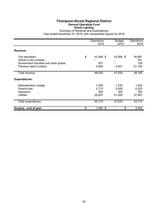# **Thompson-Nicola Regional District General Operating Fund Street Lighting**

Summary of Revenue and Expenditures Year ended December 31, 2019, with comparative figures for 2018

|                                                                                                                | Operations<br>2019              | <b>Budget</b><br>2019           | Operations<br>2018              |
|----------------------------------------------------------------------------------------------------------------|---------------------------------|---------------------------------|---------------------------------|
| Revenue:                                                                                                       |                                 |                                 |                                 |
| Tax requisition<br>Grants in lieu of taxes<br>Government transfers and other grants<br>Previous year's surplus | \$<br>43,384 \$<br>201<br>4,450 | 43,384 \$<br>4,451              | 26,681<br>201<br>129<br>21,154  |
| Total revenue                                                                                                  | 48,035                          | 47,835                          | 48,165                          |
| <b>Expenditures:</b>                                                                                           |                                 |                                 |                                 |
| Administration charge<br>Grant-in-aid<br>Insurance<br><b>Utilities</b>                                         | 1,535<br>2,713<br>300<br>35,627 | 1,535<br>5,000<br>300<br>41,000 | 1,535<br>4,223<br>300<br>37,657 |
| Total expenditures                                                                                             | 40,175                          | 47,835                          | 43,715                          |
| Surplus - end of year                                                                                          | \$<br>7,860 \$                  | \$                              | 4,450                           |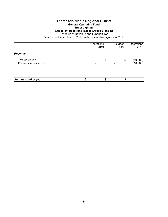# **Thompson-Nicola Regional District General Operating Fund**

#### **Street Lighting**

#### **Critical Intersections (except Areas B and E)**

Schedule of Revenue and Expenditures

|                                            | Operations                     | 2019 |                          | <b>Budget</b><br>2019 | Operations<br>2018  |
|--------------------------------------------|--------------------------------|------|--------------------------|-----------------------|---------------------|
| Revenue:                                   |                                |      |                          |                       |                     |
| Tax requisition<br>Previous year's surplus | \$<br>$\overline{\phantom{0}}$ | \$   | $\overline{\phantom{a}}$ | \$                    | (10, 986)<br>10,986 |
|                                            |                                |      |                          |                       |                     |
| Surplus - end of year                      |                                | \$   |                          | \$                    |                     |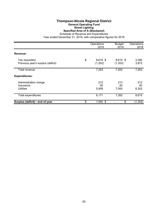# **Thompson-Nicola Regional District General Operating Fund Street Lighting Specified Area of A (Blackpool)**

Schedule of Revenue and Expenditures

|                                                        | Operations<br>2019 |                        | <b>Budget</b><br>2019  | Operations<br>2018 |  |
|--------------------------------------------------------|--------------------|------------------------|------------------------|--------------------|--|
| Revenue:                                               |                    |                        |                        |                    |  |
| Tax requisition<br>Previous year's surplus (deficit)   | \$                 | $8,615$ \$<br>(1, 352) | $8,615$ \$<br>(1, 353) | 3,390<br>3,873     |  |
| Total revenue                                          |                    | 7,263                  | 7,262                  | 7,263              |  |
| <b>Expenditures:</b>                                   |                    |                        |                        |                    |  |
| Administration charge<br>Insurance<br><b>Utilities</b> |                    | 212<br>50<br>5,909     | 212<br>50<br>7,000     | 212<br>50<br>8,353 |  |
| Total expenditures                                     |                    | 6,171                  | 7,262                  | 8,615              |  |
| Surplus (deficit) - end of year                        | \$                 | $1,092$ \$             | \$                     | (1, 352)           |  |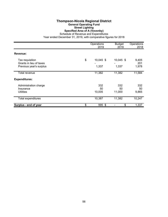# **Thompson-Nicola Regional District General Operating Fund Street Lighting Specified Area of A (Vavenby)**

Schedule of Revenue and Expenditures

|                                            | Operations<br>2019 | <b>Budget</b><br>2019 | Operations<br>2018 |
|--------------------------------------------|--------------------|-----------------------|--------------------|
| Revenue:                                   |                    |                       |                    |
| Tax requisition<br>Grants in lieu of taxes | \$<br>10,045 \$    | 10,045 \$             | 9,405<br>201       |
| Previous year's surplus                    | 1,337              | 1,337                 | 1,978              |
| Total revenue                              | 11,382             | 11,382                | 11,584             |
| <b>Expenditures:</b>                       |                    |                       |                    |
| Administration charge                      | 332                | 332                   | 332                |
| Insurance<br><b>Utilities</b>              | 50<br>10,005       | 50<br>11,000          | 50<br>9,865        |
| Total expenditures                         | 10,387             | 11,382                | 10,247             |
| Surplus - end of year                      | \$<br>995 \$       | \$                    | 1,337              |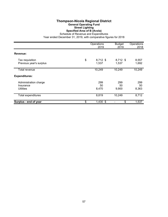# **Thompson-Nicola Regional District General Operating Fund Street Lighting Specified Area of B (Avola)**

Schedule of Revenue and Expenditures Year ended December 31, 2019, with comparative figures for 2018

|                                                        | Operations<br>2019 |                     | <b>Budget</b><br>2019 | Operations<br>2018 |  |
|--------------------------------------------------------|--------------------|---------------------|-----------------------|--------------------|--|
| Revenue:                                               |                    |                     |                       |                    |  |
| Tax requisition<br>Previous year's surplus             | \$                 | $8,712$ \$<br>1,537 | 8,712 \$<br>1,537     | 8,557<br>1,692     |  |
| Total revenue                                          |                    | 10,249              | 10,249                | 10,249             |  |
| <b>Expenditures:</b>                                   |                    |                     |                       |                    |  |
| Administration charge<br>Insurance<br><b>Utilities</b> |                    | 299<br>50<br>8,470  | 299<br>50<br>9,900    | 299<br>50<br>8,363 |  |
| Total expenditures                                     |                    | 8,819               | 10,249                | 8,712              |  |
| Surplus - end of year                                  | \$                 | $1,430$ \$          | \$                    | 1,537              |  |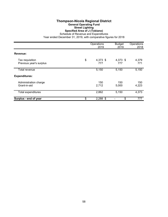# **Thompson-Nicola Regional District General Operating Fund Street Lighting Specified Area of J (Tobiano)**

Schedule of Revenue and Expenditures

|                                            | Operations<br>2019    | <b>Budget</b><br>2019 | Operations<br>2018 |
|--------------------------------------------|-----------------------|-----------------------|--------------------|
| Revenue:                                   |                       |                       |                    |
| Tax requisition<br>Previous year's surplus | \$<br>4,373 \$<br>777 | 4,373 \$<br>777       | 4,379<br>771       |
| Total revenue                              | 5,150                 | 5,150                 | 5,150              |
| <b>Expenditures:</b>                       |                       |                       |                    |
| Administration charge<br>Grant-in-aid      | 150<br>2,712          | 150<br>5,000          | 150<br>4,223       |
| <b>Total expenditures</b>                  | 2,862                 | 5,150                 | 4,373              |
| Surplus - end of year                      | \$<br>$2,288$ \$      | \$                    | 777                |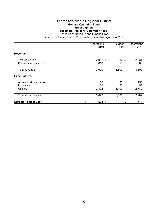#### **Thompson-Nicola Regional District General Operating Fund Street Lighting Specified Area of N (Coldwater Road)** Schedule of Revenue and Expenditures

|                                                 | Operations<br>2019      | <b>Budget</b><br>2019 | Operations<br>2018 |
|-------------------------------------------------|-------------------------|-----------------------|--------------------|
| Revenue:                                        |                         |                       |                    |
| Tax requisition<br>Previous year's surplus      | \$<br>$2,982$ \$<br>618 | $2,982$ \$<br>618     | 2,931<br>669       |
| Total revenue                                   | 3,600                   | 3,600                 | 3,600              |
| <b>Expenditures:</b>                            |                         |                       |                    |
| Administration charge<br>Insurance<br>Utilities | 150<br>50<br>2,822      | 150<br>50<br>3,400    | 150<br>50<br>2,782 |
| Total expenditures                              | 3,022                   | 3,600                 | 2,982              |
| Surplus - end of year                           | \$<br>578 \$            | \$                    | 618                |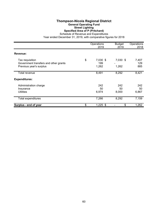# **Thompson-Nicola Regional District General Operating Fund Street Lighting Specified Area of P (Pritchard)**

Schedule of Revenue and Expenditures

|                                                                                     | Operations<br>2019             | <b>Budget</b><br>2019 | Operations<br>2018  |
|-------------------------------------------------------------------------------------|--------------------------------|-----------------------|---------------------|
| Revenue:                                                                            |                                |                       |                     |
| Tax requisition<br>Government transfers and other grants<br>Previous year's surplus | \$<br>7,030 \$<br>199<br>1,262 | 7,030 \$<br>1,262     | 7,407<br>129<br>885 |
| Total revenue                                                                       | 8,491                          | 8,292                 | 8,421               |
| <b>Expenditures:</b>                                                                |                                |                       |                     |
| Administration charge<br>Insurance<br><b>Utilities</b>                              | 242<br>50<br>6,974             | 242<br>50<br>8,000    | 242<br>50<br>6,867  |
| Total expenditures                                                                  | 7,266                          | 8,292                 | 7,159               |
| Surplus - end of year                                                               | \$<br>$1,225$ \$               | \$                    | 1,262               |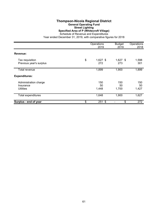#### **Thompson-Nicola Regional District General Operating Fund Street Lighting Specified Area of P (Whitecroft Village)** Schedule of Revenue and Expenditures

|                                                 | Operations<br>2019      | <b>Budget</b><br>2019 | Operations<br>2018 |
|-------------------------------------------------|-------------------------|-----------------------|--------------------|
| Revenue:                                        |                         |                       |                    |
| Tax requisition<br>Previous year's surplus      | \$<br>$1,627$ \$<br>272 | $1,627$ \$<br>273     | 1,598<br>301       |
| Total revenue                                   | 1,899                   | 1,900                 | 1,899              |
| <b>Expenditures:</b>                            |                         |                       |                    |
| Administration charge<br>Insurance<br>Utilities | 150<br>50<br>1,448      | 150<br>50<br>1,700    | 150<br>50<br>1,427 |
| Total expenditures                              | 1,648                   | 1,900                 | 1,627              |
| Surplus - end of year                           | \$<br>$251$ \$          | \$                    | 272                |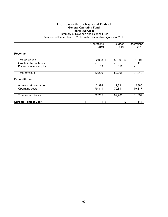# **Thompson-Nicola Regional District General Operating Fund Transit Services**

Summary of Revenue and Expenditures

|                                                                       | Operations<br>2019     | <b>Budget</b><br>2019 | Operations<br>2018 |
|-----------------------------------------------------------------------|------------------------|-----------------------|--------------------|
| Revenue:                                                              |                        |                       |                    |
| Tax requisition<br>Grants in lieu of taxes<br>Previous year's surplus | \$<br>82,093 \$<br>113 | 82,093 \$<br>112      | 81,697<br>113      |
| Total revenue                                                         | 82,206                 | 82,205                | 81,810             |
| <b>Expenditures:</b>                                                  |                        |                       |                    |
| Administration charge<br>Operating costs                              | 2,394<br>79,811        | 2,394<br>79,811       | 2,380<br>79,317    |
| Total expenditures                                                    | 82,205                 | 82,205                | 81,697             |
| Surplus - end of year                                                 | \$<br>\$<br>1          | \$                    | 113                |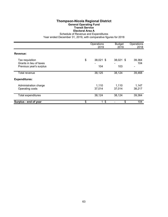# **Thompson-Nicola Regional District General Operating Fund Transit Service Electoral Area A**

Schedule of Revenue and Expenditures

|                                                                       | Operations<br>2019     | <b>Budget</b><br>2019 | Operations<br>2018 |
|-----------------------------------------------------------------------|------------------------|-----------------------|--------------------|
| Revenue:                                                              |                        |                       |                    |
| Tax requisition<br>Grants in lieu of taxes<br>Previous year's surplus | \$<br>38,021 \$<br>104 | 38,021 \$<br>103      | 39,364<br>104      |
| <b>Total revenue</b>                                                  | 38,125                 | 38,124                | 39,468             |
| <b>Expenditures:</b>                                                  |                        |                       |                    |
| Administration charge<br>Operating costs                              | 1,110<br>37,014        | 1,110<br>37,014       | 1,147<br>38,217    |
| Total expenditures                                                    | 38,124                 | 38,124                | 39,364             |
| Surplus - end of year                                                 | \$<br>$1 \text{ }$ \$  | \$                    | 104                |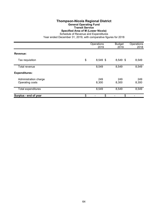# **Thompson-Nicola Regional District General Operating Fund Transit Service**

**Specified Area of M (Lower Nicola)**

Schedule of Revenue and Expenditures

|                                          | Operations<br>2019 | <b>Budget</b><br>2019 | Operations<br>2018 |
|------------------------------------------|--------------------|-----------------------|--------------------|
| Revenue:                                 |                    |                       |                    |
| Tax requisition                          | \$<br>8,549 \$     | 8,549 \$              | 8,549              |
| Total revenue                            | 8,549              | 8,549                 | 8,549              |
| <b>Expenditures:</b>                     |                    |                       |                    |
| Administration charge<br>Operating costs | 249<br>8,300       | 249<br>8,300          | 249<br>8,300       |
| <b>Total expenditures</b>                | 8,549              | 8,549                 | 8,549              |
| Surplus - end of year                    | \$<br>\$           | \$                    |                    |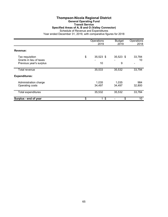#### **Thompson-Nicola Regional District General Operating Fund Transit Service Specified Areas of A, B and O (Valley Connector)** Schedule of Revenue and Expenditures Year ended December 31, 2019, with comparative figures for 2018

|                                                                       | Operations<br>2019                    | <b>Budget</b><br>2019 | Operations<br>2018 |
|-----------------------------------------------------------------------|---------------------------------------|-----------------------|--------------------|
| Revenue:                                                              |                                       |                       |                    |
| Tax requisition<br>Grants in lieu of taxes<br>Previous year's surplus | \$<br>35,523 \$<br>10                 | 35,523 \$<br>9        | 33,784<br>10       |
| Total revenue                                                         | 35,533                                | 35,532                | 33,794             |
| <b>Expenditures:</b>                                                  |                                       |                       |                    |
| Administration charge<br>Operating costs                              | 1,035<br>34,497                       | 1,035<br>34,497       | 984<br>32,800      |
| Total expenditures                                                    | 35,532                                | 35,532                | 33,784             |
| Surplus - end of year                                                 | \$<br>$\boldsymbol{\mathsf{S}}$<br>1. | \$                    | 10                 |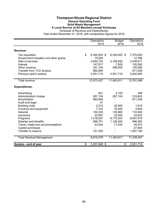#### **Thompson-Nicola Regional District General Operating Fund Solid Waste Management A Local Service of All Members except Kamloops** Schedule of Revenue and Expenditures

|                                       | Operations<br>2019 | <b>Budget</b><br>2019        | Operations<br>2018 |
|---------------------------------------|--------------------|------------------------------|--------------------|
| Revenue:                              |                    |                              |                    |
| Tax requisition                       | \$<br>6,350,000 \$ | 6,350,000 \$                 | 7,375,000          |
| Government transfers and other grants | 15,000             |                              | 12,786             |
| Sale of services                      | 2,694,742          | 2,185,692                    | 2,438,817          |
| Interest                              | 147,917            | 7,500                        | 135,260            |
| Other revenue                         | 351,100            | 369,000                      | 155,580            |
| <b>Transfer from TCA Surplus</b>      | 862,949            |                              | 871,038            |
| Previous year's surplus               | 2,551,719          | 2,551,719                    | 2,802,605          |
| <b>Total revenue</b>                  | 12,973,427         | 11,463,911                   | 13,791,086         |
| <b>Expenditures:</b>                  |                    |                              |                    |
| Advertising                           | 621                | 4,100                        | 446                |
| Administration charge                 | 287,104            | 287,104                      | 319,653            |
| Amortization                          | 862,949            | $\qquad \qquad \blacksquare$ | 871,038            |
| Audit and legal                       | 37                 |                              |                    |
| <b>Building costs</b>                 | 2,012              | 20,500                       | 1,615              |
| Furniture and equipment               | 7,722              | 16,400                       | 3,654              |
| General                               | 100,230            | 130,862                      | 115,540            |
| Insurance                             | 23,067             | 32,500                       | 23,623             |
| Programs                              | 7,218,937          | 9,775,203                    | 6,937,919          |
| Salaries and benefits                 | 968,751            | 1,126,000                    | 896,064            |
| Travel, meals and accommodations      | 43,044             | 71,242                       | 44,972             |
| Capital purchases                     |                    |                              | 27,663             |
| Transfer to reserve                   | 101,005            |                              | 1,997,180          |
| <b>Total Residual Management</b>      | 9,615,479          | 11,463,911                   | 11,239,367         |
| Surplus - end of year                 | \$<br>3,357,948 \$ | \$<br>Ξ.                     | 2,551,719          |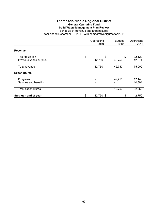# **Thompson-Nicola Regional District General Operating Fund Solid Waste Management Plan Review**

Schedule of Revenue and Expenditures Year ended December 31, 2019, with comparative figures for 2018

|                                            | Operations<br>2019 | <b>Budget</b><br>2019 | Operations<br>2018 |
|--------------------------------------------|--------------------|-----------------------|--------------------|
| Revenue:                                   |                    |                       |                    |
| Tax requisition<br>Previous year's surplus | \$<br>\$<br>42,750 | \$<br>42,750          | 32,129<br>42,871   |
| Total revenue                              | 42,750             | 42,750                | 75,000             |
| <b>Expenditures:</b>                       |                    |                       |                    |
| Programs<br>Salaries and benefits          |                    | 42,750                | 17,446<br>14,804   |
| Total expenditures                         |                    | 42,750                | 32,250             |
| Surplus - end of year                      | \$<br>42,750 \$    | \$                    | 42,750             |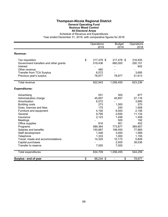# **Thompson-Nicola Regional District General Operating Fund Noxious Weed Control All Electoral Areas**

Schedule of Revenue and Expenditures

|                                                      | Operations<br>2019 | <b>Budget</b><br>2019 | Operations<br>2018 |
|------------------------------------------------------|--------------------|-----------------------|--------------------|
| Revenue:                                             |                    |                       |                    |
| Tax requisition                                      | \$<br>317,478 \$   | 317,478 \$            | 316,935            |
| Government transfers and other grants                | 519,436            | 660,000               | 250,151            |
| Interest                                             |                    |                       | 842                |
| Other revenue                                        | 480                |                       |                    |
| Transfer from TCA Surplus<br>Previous year's surplus | 6,572<br>78,977    | 78,977                | 3,695<br>51,613    |
|                                                      |                    |                       |                    |
| <b>Total revenue</b>                                 | 922,943            | 1,056,455             | 623,236            |
| <b>Expenditures:</b>                                 |                    |                       |                    |
| Advertising                                          | 551                | 300                   | 877                |
| Administration charge                                | 45,857             | 45,857                | 27,116             |
| Amortization                                         | 6,572              |                       | 3,695              |
| <b>Building costs</b>                                | 273                | 1,500                 | 270                |
| Dues, licences and fees                              | 175                | 240                   | 1,658              |
| Furniture and equipment                              | 4,192              | 6,000                 | 2,156              |
| General                                              | 9,795              | 2,650                 | 11,134             |
| Insurance                                            | 2,123              | 1,458                 | 1,458              |
| Meetings                                             |                    | 500                   | 192                |
| Office supplies                                      | 816                | 951                   | 402                |
| Programs                                             | 589,364            | 773,877               | 369,807            |
| Salaries and benefits                                | 150,887            | 199,450               | 77,885             |
| Staff development                                    | 1,446              | 3,000                 | 1,569              |
| Telephone                                            | 1,333              | 1,000                 | 1,155              |
| Travel, meals and accommodations                     | 14,325             | 10,172<br>2,500       | 5,849<br>39,036    |
| Capital purchases<br>Transfer to reserve             | 7,000              | 7,000                 |                    |
| Total expenditures                                   | 834,709            | 1,056,455             | 544,259            |
| Surplus - end of year                                | \$<br>88,234 \$    | \$                    | 78,977             |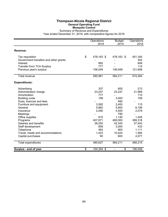## **Thompson-Nicola Regional District General Operating Fund Mosquito Control**

|                                                                                                                                                                                                                                                                                                                            | Operations<br>2019                                                                                              | <b>Budget</b><br>2019                                                                                                          | Operations<br>2018                                                                                                   |
|----------------------------------------------------------------------------------------------------------------------------------------------------------------------------------------------------------------------------------------------------------------------------------------------------------------------------|-----------------------------------------------------------------------------------------------------------------|--------------------------------------------------------------------------------------------------------------------------------|----------------------------------------------------------------------------------------------------------------------|
| Revenue:                                                                                                                                                                                                                                                                                                                   |                                                                                                                 |                                                                                                                                |                                                                                                                      |
| Tax requisition<br>Government transfers and other grants<br>Interest<br><b>Transfer from TCA Surplus</b><br>Previous year's surplus                                                                                                                                                                                        | \$<br>478,163 \$<br>992<br>777<br>106,049                                                                       | 478,163 \$<br>106,048                                                                                                          | 451,345<br>302<br>849<br>110<br>121,658                                                                              |
| Total revenue                                                                                                                                                                                                                                                                                                              | 585,981                                                                                                         | 584,211                                                                                                                        | 574,264                                                                                                              |
| <b>Expenditures:</b>                                                                                                                                                                                                                                                                                                       |                                                                                                                 |                                                                                                                                |                                                                                                                      |
| Advertising<br>Administration charge<br>Amortization<br><b>Building costs</b><br>Dues, licences and fees<br>Furniture and equipment<br>General<br>Insurance<br>Meetings<br>Office supplies<br>Programs<br>Salaries and benefits<br>Staff development<br>Telephone<br>Travel, meals and accommodations<br>Capital purchases | 337<br>23,247<br>777<br>199<br>3,582<br>5,862<br>2,090<br>610<br>407,871<br>38,250<br>806<br>483<br>1,423<br>90 | 600<br>23,247<br>3,000<br>480<br>2,400<br>5,800<br>4,500<br>780<br>1,140<br>485,000<br>42,340<br>3,000<br>900<br>10,424<br>600 | 213<br>21,969<br>110<br>159<br>115<br>8,199<br>2,079<br>1,405<br>389,318<br>37,543<br>433<br>1,111<br>1,484<br>4,077 |
| <b>Total expenditures</b>                                                                                                                                                                                                                                                                                                  | 485,627                                                                                                         | 584,211                                                                                                                        | 468,215                                                                                                              |
| Surplus - end of year                                                                                                                                                                                                                                                                                                      | \$<br>100,354 \$                                                                                                | \$<br>$\qquad \qquad \blacksquare$                                                                                             | 106,049                                                                                                              |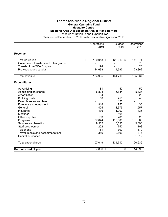# **Thompson-Nicola Regional District**

#### **General Operating Fund Mosquito Control**

# **Electoral Area O, a Specified Area of P and Barriere**

Schedule of Revenue and Expenditures

|                                       | Operations<br>2019 | <b>Budget</b><br>2019 | Operations<br>2018 |
|---------------------------------------|--------------------|-----------------------|--------------------|
| Revenue:                              |                    |                       |                    |
| Tax requisition                       | \$<br>120,013 \$   | 120,013 \$            | 111,671            |
| Government transfers and other grants |                    |                       | 76                 |
| <b>Transfer from TCA Surplus</b>      | 194                |                       | 28                 |
| Previous year's surplus               | 14,698             | 14,697                | 23,862             |
| <b>Total revenue</b>                  | 134,905            | 134,710               | 135,637            |
| <b>Expenditures:</b>                  |                    |                       |                    |
| Advertising                           | 81                 | 150                   | 50                 |
| Administration charge                 | 5,834              | 5,834                 | 5,437              |
| Amortization                          | 194                |                       | 28                 |
| <b>Building costs</b>                 | 50                 | 750                   | 40                 |
| Dues, licences and fees               |                    | 120                   |                    |
| Furniture and equipment               | 918                | 750                   | 36                 |
| General                               | 1,425              | 1,375                 | 1,957              |
| Insurance                             | 436                | 1,000                 | 435                |
| Meetings                              |                    | 195                   |                    |
| Office supplies                       | 153                | 285                   | 28                 |
| Programs                              | 87,644             | 110,000               | 101,668            |
| Salaries and benefits                 | 9,562              | 10,595                | 9,396              |
| Staff development                     | 202                | 750                   | 108                |
| Telephone                             | 161                | 300                   | 370                |
| Travel, meals and accommodations      | 359                | 2,606                 | 374                |
| Capital purchases                     |                    |                       | 1,012              |
| Total expenditures                    | 107,019            | 134,710               | 120,939            |
| Surplus - end of year                 | \$<br>27,886 \$    | \$<br>÷,              | 14,698             |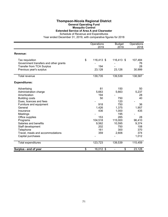## **Thompson-Nicola Regional District General Operating Fund**

# **Mosquito Control**

**Extended Service of Area A and Clearwater**

Schedule of Revenue and Expenditures

|                                       | Operations<br>2019 | <b>Budget</b><br>2019 | Operations<br>2018 |
|---------------------------------------|--------------------|-----------------------|--------------------|
| Revenue:                              |                    |                       |                    |
| Tax requisition                       | \$<br>116,413 \$   | 116,413 \$            | 107,484            |
| Government transfers and other grants |                    |                       | 76                 |
| <b>Transfer from TCA Surplus</b>      | 194                |                       | 28                 |
| Previous year's surplus               | 23,128             | 23,126                | 30,999             |
| <b>Total revenue</b>                  | 139,735            | 139,539               | 138,587            |
| <b>Expenditures:</b>                  |                    |                       |                    |
| Advertising                           | 81                 | 150                   | 50                 |
| Administration charge                 | 5,663              | 5,663                 | 5,237              |
| Amortization                          | 194                |                       | 28                 |
| <b>Building costs</b>                 | 50                 | 750                   | 40                 |
| Dues, licences and fees               |                    | 120                   |                    |
| Furniture and equipment               | 918                | 750                   | 36                 |
| General                               | 1,426              | 1,375                 | 1,957              |
| Insurance                             | 436                | 1,000                 | 435                |
| Meetings                              |                    | 195                   |                    |
| Office supplies                       | 153                | 285                   | 28                 |
| Programs                              | 104,518            | 115,000               | 96,410             |
| Salaries and benefits                 | 9,562              | 10,595                | 9,374              |
| Staff development                     | 202                | 750                   | 108                |
| Telephone                             | 161                | 300                   | 370                |
| Travel, meals and accommodations      | 359                | 2,606                 | 374                |
| Capital purchases                     |                    |                       | 1,012              |
| Total expenditures                    | 123,723            | 139,539               | 115,459            |
| Surplus - end of year                 | \$<br>16,012 \$    | \$                    | 23,128             |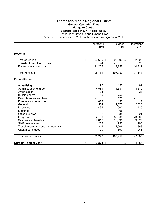### **Thompson-Nicola Regional District General Operating Fund Mosquito Control Electoral Area M & N (Nicola Valley)**

Schedule of Revenue and Expenditures

|                                                             | Operations      | <b>Budget</b>                      | Operations   |
|-------------------------------------------------------------|-----------------|------------------------------------|--------------|
|                                                             | 2019            | 2019                               | 2018         |
| Revenue:                                                    |                 |                                    |              |
| Tax requisition                                             | \$<br>93,699 \$ | 93,699 \$                          | 92,396       |
| <b>Transfer from TCA Surplus</b><br>Previous year's surplus | 194<br>14,258   | 14,258                             | 28<br>14,719 |
| Total revenue                                               | 108,151         | 107,957                            | 107,143      |
|                                                             |                 |                                    |              |
| <b>Expenditures:</b>                                        |                 |                                    |              |
| Advertising                                                 | 95              | 150                                | 62           |
| Administration charge                                       | 4,581           | 4,581                              | 4,519        |
| Amortization                                                | 194             |                                    | 28           |
| <b>Building costs</b>                                       | 50              | 750                                | 40           |
| Dues, licences and fees                                     |                 | 120                                |              |
| Furniture and equipment                                     | 828             | 150                                | 7            |
| General                                                     | 1,584           | 1,675                              | 2,328        |
| Insurance                                                   | 436             | 500                                | 435          |
| Meetings                                                    |                 | 195                                |              |
| Office supplies                                             | 152             | 285                                | 1,321        |
| Programs                                                    | 62,109          | 85,000                             | 73,306       |
| Salaries and benefits                                       | 9,610           | 10,595                             | 9,327        |
| Staff development                                           | 202             | 750                                | 108          |
| Travel, meals and accommodations                            | 346             | 2,606                              | 363          |
| Capital purchases                                           | 90              | 600                                | 1,041        |
| <b>Total expenditures</b>                                   | 80,277          | 107,957                            | 92,885       |
| Surplus - end of year                                       | \$<br>27,874 \$ | \$<br>$\qquad \qquad \blacksquare$ | 14,258       |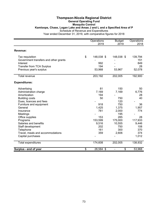## **Thompson-Nicola Regional District General Operating Fund Mosquito Control Kamloops, Chase, Logan Lake and Areas J and L and a Specified Area of P** Schedule of Revenue and Expenditures

|                                       | Operations<br>2019 | <b>Budget</b><br>2019 | Operations<br>2018 |
|---------------------------------------|--------------------|-----------------------|--------------------|
| Revenue:                              |                    |                       |                    |
| Tax requisition                       | \$<br>148,038 \$   | 148,038 \$            | 139,794            |
| Government transfers and other grants |                    |                       | 151                |
| Interest                              | 992                |                       | 849                |
| <b>Transfer from TCA Surplus</b>      | 194                |                       | 28                 |
| Previous year's surplus               | 53,968             | 53,967                | 52,078             |
| Total revenue                         | 203,192            | 202,005               | 192,900            |
| <b>Expenditures:</b>                  |                    |                       |                    |
| Advertising                           | 81                 | 150                   | 50                 |
| Administration charge                 | 7,169              | 7,169                 | 6,776              |
| Amortization                          | 194                |                       | 28                 |
| <b>Building costs</b>                 | 50                 | 750                   | 40                 |
| Dues, licences and fees               |                    | 120                   |                    |
| Furniture and equipment               | 918                | 750                   | 36                 |
| General                               | 1,425              | 1,375                 | 1,957              |
| Insurance                             | 781                | 2,000                 | 774                |
| Meetings                              |                    | 195                   |                    |
| Office supplies                       | 153                | 285                   | 28                 |
| Programs                              | 153,599            | 175,000               | 117,933            |
| Salaries and benefits                 | 9,516              | 10,555                | 9,446              |
| Staff development                     | 202                | 750                   | 108                |
| Telephone                             | 161                | 300                   | 370                |
| Travel, meals and accommodations      | 359                | 2,606                 | 374                |
| Capital purchases                     |                    |                       | 1,012              |
| Total expenditures                    | 174,608            | 202,005               | 138,932            |
| Surplus - end of year                 | \$<br>28,584 \$    | \$                    | 53,968             |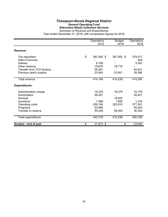# **Thompson-Nicola Regional District General Operating Fund Alternative Waste Collection Services**

|                                  | Operations<br>2019 | <b>Budget</b><br>2019 | Operations<br>2018 |
|----------------------------------|--------------------|-----------------------|--------------------|
| Revenue:                         |                    |                       |                    |
| Tax requisition                  | \$<br>367,582 \$   | 367,582 \$            | 379,017            |
| Sale of services                 |                    |                       | 454                |
| Interest                         | 6,708              |                       | 5,352              |
| Other revenue                    | 19,678             | 18,716                |                    |
| <b>Transfer from TCA Surplus</b> | 56,281             |                       | 54,401             |
| Previous year's surplus          | 23,940             | 23,941                | 35,066             |
| Total revenue                    | 474,189            | 410,239               | 474,290            |
| <b>Expenditures:</b>             |                    |                       |                    |
| Administration charge            | 16,379             | 16,379                | 16,778             |
| Amortization                     | 56,281             |                       | 54,401             |
| General                          |                    | 18,000                |                    |
| Insurance                        | 1,568              | 1,950                 | 1,516              |
| Operating costs                  | 259,184            | 323,910               | 277,281            |
| Programs                         | 53,696             |                       | 64,022             |
| Transfer to reserve              | 55,208             | 50,000                | 36,352             |
| Total expenditures               | 442,316            | 410,239               | 450,350            |
| Surplus - end of year            | \$<br>31,873 \$    | \$                    | 23,940             |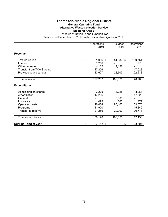## **Thompson-Nicola Regional District General Operating Fund Alternative Waste Collection Service Electoral Area B**

|                                  | Operations<br>2019 | <b>Budget</b><br>2019 | Operations<br>2018 |
|----------------------------------|--------------------|-----------------------|--------------------|
| Revenue:                         |                    |                       |                    |
| Tax requisition                  | \$<br>81,086 \$    | 81,086 \$             | 100,751            |
| Interest                         | 1,256              |                       | 773                |
| Other revenue                    | 4,132              | 4,132                 |                    |
| <b>Transfer from TCA Surplus</b> | 17,206             |                       | 17,023             |
| Previous year's surplus          | 23,607             | 23,607                | 22,213             |
| Total revenue                    | 127,287            | 108,825               | 140,760            |
| <b>Expenditures:</b>             |                    |                       |                    |
| Administration charge            | 3,225              | 3,225                 | 3,964              |
| Amortization                     | 17,206             |                       | 17,023             |
| General                          |                    | 5,000                 |                    |
| Insurance                        | 479                | 500                   | 477                |
| Operating costs                  | 46,084             | 80,100                | 59,076             |
| Programs                         | 11,920             |                       | 15,840             |
| Transfer to reserve              | 21,256             | 20,000                | 20,773             |
| Total expenditures               | 100,170            | 108,825               | 117,153            |
| Surplus - end of year            | \$<br>27,117 \$    | \$                    | 23,607             |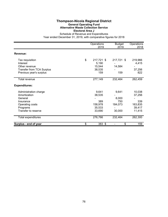## **Thompson-Nicola Regional District General Operating Fund Alternative Waste Collection Service Electoral Area J**

|                                  | Operations<br>2019 | <b>Budget</b><br>2019          | Operations<br>2018 |
|----------------------------------|--------------------|--------------------------------|--------------------|
| Revenue:                         |                    |                                |                    |
| Tax requisition                  | \$<br>217,721 \$   | 217,721 \$                     | 219,966            |
| Interest                         | 5,190              |                                | 4,415              |
| Other revenue                    | 15,544             | 14,584                         |                    |
| <b>Transfer from TCA Surplus</b> | 38,535             |                                | 37,256             |
| Previous year's surplus          | 159                | 159                            | 822                |
| Total revenue                    | 277,149            | 232,464                        | 262,459            |
| <b>Expenditures:</b>             |                    |                                |                    |
| Administration charge            | 9,641              | 9,641                          | 10,038             |
| Amortization                     | 38,535             |                                | 37,256             |
| General                          |                    | 8,000                          |                    |
| Insurance                        | 389                | 750                            | 339                |
| Operating costs                  | 158,978            | 184,073                        | 163,835            |
| Programs                         | 35,533             |                                | 39,417             |
| Transfer to reserve              | 33,690             | 30,000                         | 11,415             |
| Total expenditures               | 276,766            | 232,464                        | 262,300            |
| Surplus - end of year            | \$<br>383 \$       | \$<br>$\overline{\phantom{0}}$ | 159                |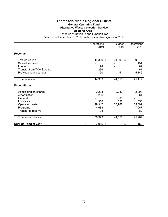## **Thompson-Nicola Regional District General Operating Fund Alternative Waste Collection Service Electoral Area P**

|                                  | Operations<br>2019 | <b>Budget</b><br>2019 | Operations<br>2018 |
|----------------------------------|--------------------|-----------------------|--------------------|
| Revenue:                         |                    |                       |                    |
| Tax requisition                  | \$<br>44,399 \$    | 44,399 \$             | 39,675             |
| Sale of services                 |                    |                       | 454                |
| Interest                         | 94                 |                       | 82                 |
| <b>Transfer from TCA Surplus</b> | 296                |                       | 61                 |
| Previous year's surplus          | 150                | 151                   | 5,145              |
| Total revenue                    | 44,939             | 44,550                | 45,417             |
| <b>Expenditures:</b>             |                    |                       |                    |
| Administration charge            | 2,233              | 2,233                 | 2,008              |
| Amortization                     | 296                |                       | 61                 |
| General                          |                    | 5,000                 |                    |
| Insurance                        | 350                | 350                   | 350                |
| Operating costs                  | 29,317             | 36,967                | 35,699             |
| Programs                         | 4,683              |                       | 7,067              |
| Transfer to reserve              | 94                 |                       | 82                 |
| Total expenditures               | 36,973             | 44,550                | 45,267             |
| Surplus - end of year            | \$<br>7,966 \$     | \$                    | 150                |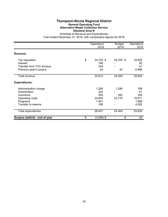## **Thompson-Nicola Regional District General Operating Fund Alternative Waste Collection Service Electoral Area N**

|                                                                                                          | Operations<br>2019                            | <b>Budget</b><br>2019  | Operations<br>2018                           |
|----------------------------------------------------------------------------------------------------------|-----------------------------------------------|------------------------|----------------------------------------------|
| Revenue:                                                                                                 |                                               |                        |                                              |
| Tax requisition<br>Interest<br><b>Transfer from TCA Surplus</b><br>Previous year's surplus               | \$<br>24,376 \$<br>168<br>244<br>24           | 24,376 \$<br>24        | 18,625<br>82<br>61<br>6,886                  |
| Total revenue                                                                                            | 24,812                                        | 24,400                 | 25,654                                       |
| <b>Expenditures:</b>                                                                                     |                                               |                        |                                              |
| Administration charge<br>Amortization<br>Insurance<br>Operating costs<br>Programs<br>Transfer to reserve | 1,280<br>244<br>350<br>24,804<br>1,561<br>168 | 1,280<br>350<br>22,770 | 768<br>61<br>350<br>18,671<br>1,698<br>4,082 |
| Total expenditures                                                                                       | 28,407                                        | 24,400                 | 25,630                                       |
| Surplus (deficit) - end of year                                                                          | \$<br>$(3,595)$ \$                            | \$                     | 24                                           |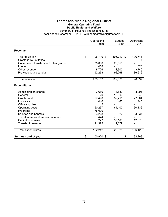## **Thompson-Nicola Regional District General Operating Fund Public Health and Welfare**

|                                            | Operations<br>2019 | <b>Budget</b><br>2019 | Operations<br>2018 |
|--------------------------------------------|--------------------|-----------------------|--------------------|
| Revenue:                                   |                    |                       |                    |
| Tax requisition<br>Grants in lieu of taxes | \$<br>105,710 \$   | 105,710 \$            | 106,711            |
| Government transfers and other grants      | 75,000             | 23,050                |                    |
| Interest                                   | 1,458              |                       | 1,323              |
| Other revenue                              | 8,726              | 1,300                 | 3,740              |
| Previous year's surplus                    | 92,268             | 92,268                | 86,616             |
| <b>Total revenue</b>                       | 283,162            | 222,328               | 198,397            |
| <b>Expenditures:</b>                       |                    |                       |                    |
| Administration charge                      | 3,689              | 3,689                 | 3,091              |
| General                                    | 20                 | 10,000                | 40                 |
| Grant-in-aid                               | 27,490             | 32,215                | 27,304             |
| Insurance                                  | 446                | 460                   | 445                |
| Office supplies                            | 2                  |                       |                    |
| Operating costs                            | 60,237             | 64,100                | 60,136             |
| Programs                                   | 75,000             |                       |                    |
| Salaries and benefits                      | 3,228              | 3,322                 | 3,037              |
| Travel, meals and accommodations           | 474                |                       |                    |
| Capital purchases                          | 277                | 97,163                | 12,076             |
| Transfer to reserve                        | 11,379             | 11,379                |                    |
| Total expenditures                         | 182,242            | 222,328               | 106,129            |
| Surplus - end of year                      | \$<br>100,920 \$   | \$                    | 92,268             |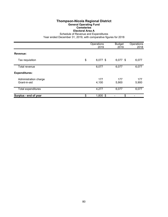## **Thompson-Nicola Regional District General Operating Fund Cemeteries Electoral Area A**

Schedule of Revenue and Expenditures

|                                       | Operations<br>2019 | <b>Budget</b><br>2019 | Operations<br>2018 |
|---------------------------------------|--------------------|-----------------------|--------------------|
| Revenue:                              |                    |                       |                    |
| Tax requisition                       | \$<br>6,077 \$     | 6,077 \$              | 6,077              |
| Total revenue                         | 6,077              | 6,077                 | 6,077              |
| <b>Expenditures:</b>                  |                    |                       |                    |
| Administration charge<br>Grant-in-aid | 177<br>4,100       | 177<br>5,900          | 177<br>5,900       |
| Total expenditures                    | 4,277              | 6,077                 | 6,077              |
| Surplus - end of year                 | \$<br>$1,800$ \$   | \$                    |                    |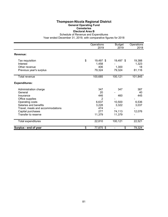### **Thompson-Nicola Regional District General Operating Fund Cemeteries Electoral Area B**

Schedule of Revenue and Expenditures

|                                  | Operations<br>2019 | <b>Budget</b><br>2019 | Operations<br>2018 |
|----------------------------------|--------------------|-----------------------|--------------------|
| Revenue:                         |                    |                       |                    |
| Tax requisition                  | \$<br>19,497 \$    | 19,497 \$             | 19,388             |
| Interest                         | 1,458              |                       | 1,323              |
| Other revenue                    | 406                | 1,300                 | 18                 |
| Previous year's surplus          | 79,324             | 79,324                | 81,116             |
| Total revenue                    | 100,685            | 100,121               | 101,845            |
| <b>Expenditures:</b>             |                    |                       |                    |
| Administration charge            | 347                | 347                   | 387                |
| General                          | 20                 |                       | 40                 |
| Insurance                        | 446                | 460                   | 445                |
| Office supplies                  | 2                  |                       |                    |
| Operating costs                  | 6,637              | 10,500                | 6,536              |
| Salaries and benefits            | 3,228              | 3,322                 | 3,037              |
| Travel, meals and accommodations | 474                |                       |                    |
| Capital purchases                | 277                | 74,113                | 12,076             |
| Transfer to reserve              | 11,379             | 11,379                |                    |
| Total expenditures               | 22,810             | 100,121               | 22,521             |
| Surplus - end of year            | \$<br>77,875 \$    | \$                    | 79,324             |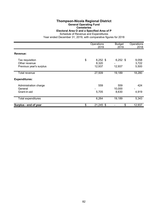# **Thompson-Nicola Regional District**

**General Operating Fund**

**Cemeteries Electoral Area O and a Specified Area of P**

Schedule of Revenue and Expenditures

|                                                             | Operations<br>2019                  | <b>Budget</b><br>2019  | Operations<br>2018      |
|-------------------------------------------------------------|-------------------------------------|------------------------|-------------------------|
| Revenue:                                                    |                                     |                        |                         |
| Tax requisition<br>Other revenue<br>Previous year's surplus | \$<br>$6,252$ \$<br>8,320<br>12,937 | $6,252$ \$<br>12,937   | 9,058<br>3,722<br>5,500 |
| Total revenue                                               | 27,509                              | 19,189                 | 18,280                  |
| <b>Expenditures:</b>                                        |                                     |                        |                         |
| Administration charge<br>General<br>Grant-in-aid            | 559<br>5,705                        | 559<br>10,000<br>8,630 | 424<br>4,919            |
| Total expenditures                                          | 6,264                               | 19,189                 | 5,343                   |
| Surplus - end of year                                       | \$<br>$21,245$ \$                   | \$                     | 12,937                  |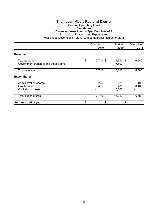## **Thompson-Nicola Regional District General Operating Fund Cemeteries**

**Chase and Area L and a Specified Area of P**

Schedule of Revenue and Expenditures

|                                                            | Operations<br>2019 | <b>Budget</b><br>2019 | Operations<br>2018 |
|------------------------------------------------------------|--------------------|-----------------------|--------------------|
| Revenue:                                                   |                    |                       |                    |
| Tax requisition<br>Government transfers and other grants   | \$<br>7,710 \$     | 7,710 \$<br>7,500     | 6,680              |
| Total revenue                                              | 7,710              | 15,210                | 6,680              |
| <b>Expenditures:</b>                                       |                    |                       |                    |
| Administration charge<br>Grant-in-aid<br>Capital purchases | 225<br>7,485       | 225<br>7,485<br>7,500 | 195<br>6,485       |
| Total expenditures                                         | 7,710              | 15,210                | 6,680              |
| Surplus - end of year                                      | \$<br>\$           | \$                    |                    |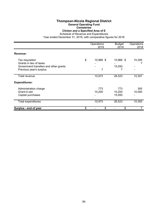## **Thompson-Nicola Regional District General Operating Fund**

**Cemeteries**

**Clinton and a Specified Area of E**

|                                                                                                                | Operations<br>2019   | <b>Budget</b><br>2019   | Operations<br>2018 |
|----------------------------------------------------------------------------------------------------------------|----------------------|-------------------------|--------------------|
| Revenue:                                                                                                       |                      |                         |                    |
| Tax requisition<br>Grants in lieu of taxes<br>Government transfers and other grants<br>Previous year's surplus | \$<br>10,966 \$<br>7 | 10,966 \$<br>15,550     | 10,300             |
| Total revenue                                                                                                  | 10,973               | 26,523                  | 10,307             |
| <b>Expenditures:</b>                                                                                           |                      |                         |                    |
| Administration charge<br>Grant-in-aid<br>Capital purchases                                                     | 773<br>10,200        | 773<br>10,200<br>15,550 | 300<br>10,000      |
| <b>Total expenditures</b>                                                                                      | 10,973               | 26,523                  | 10,300             |
| Surplus - end of year                                                                                          | \$<br>\$             | \$                      |                    |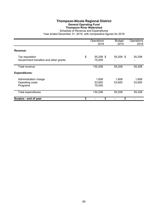## **Thompson-Nicola Regional District General Operating Fund Thompson River Watershed**

|                                                          | Operations<br>2019        | <b>Budget</b><br>2019 | Operations<br>2018 |
|----------------------------------------------------------|---------------------------|-----------------------|--------------------|
| Revenue:                                                 |                           |                       |                    |
| Tax requisition<br>Government transfers and other grants | \$<br>55,208 \$<br>75,000 | 55,208 \$             | 55,208             |
| Total revenue                                            | 130,208                   | 55,208                | 55,208             |
| <b>Expenditures:</b>                                     |                           |                       |                    |
| Administration charge<br>Operating costs<br>Programs     | 1,608<br>53,600<br>75,000 | 1,608<br>53,600       | 1,608<br>53,600    |
| <b>Total expenditures</b>                                | 130,208                   | 55,208                | 55,208             |
| Surplus - end of year                                    | \$<br>\$                  | \$                    |                    |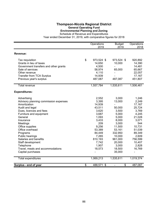## **Thompson-Nicola Regional District General Operating Fund Environmental Planning and Zoning**

Schedule of Revenue and Expenditures

|                                       | Operations<br>2019 | <b>Budget</b><br>2019          | Operations<br>2018 |
|---------------------------------------|--------------------|--------------------------------|--------------------|
| <b>Revenue:</b>                       |                    |                                |                    |
|                                       |                    |                                |                    |
| Tax requisition                       | \$<br>973,524 \$   | 973,524 \$                     | 920,892            |
| Grants in lieu of taxes               | 14,650             | 10,000                         | 14,390             |
| Government transfers and other grants | 4,500              | $\overline{\phantom{0}}$       | 14,481             |
| Sale of services                      | 58,974             | 65,000                         | 65,667             |
| Other revenue                         | 4,110              |                                | 22,057             |
| <b>Transfer from TCA Surplus</b>      | 14,939             |                                | 17,167             |
| Previous year's surplus               | 487,087            | 487,087                        | 451,807            |
| <b>Total revenue</b>                  | 1,557,784          | 1,535,611                      | 1,506,461          |
| <b>Expenditures:</b>                  |                    |                                |                    |
| Advertising                           | 2,552              | 3,000                          | 1,246              |
| Advisory planning commission expenses | 3,395              | 13,000                         | 2,249              |
| Amortization                          | 14,939             |                                | 17,167             |
| Audit and legal                       | 43,511             | 50,000                         | 25,724             |
| Dues, licences and fees               | 3,620              | 3,500                          | 3,769              |
| Furniture and equipment               | 3,687              | 5,000                          | 4,245              |
| General                               | 1,093              | 5,000                          | 21,028             |
| Insurance                             | 3,433              | 8,000                          | 3,071              |
| Meetings                              | 209                | 3,000                          | 544                |
| Office supplies                       | 9,256              | 11,500                         | 10,731             |
| Office overhead                       | 53,389             | 53,161                         | 51,039             |
| Programs                              | 84,449             | 332,950                        | 89,349             |
| Public hearings                       | 7,265              | 10,000                         | 2,609              |
| Salaries and benefits                 | 810,193            | 961,000                        | 756,599            |
| Staff development                     | 7,742              | 20,000                         | 10,407             |
| Telephone                             | 1,907              | 3,000                          | 2,828              |
| Travel, meals and accommodations      | 18,573             | 18,500                         | 16,769             |
| Capital purchases                     |                    | 35,000                         | $\blacksquare$     |
| Total expenditures                    | 1,069,213          | 1,535,611                      | 1,019,374          |
| Surplus - end of year                 | \$<br>488,571 \$   | \$<br>$\overline{\phantom{0}}$ | 487,087            |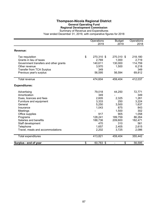## **Thompson-Nicola Regional District General Operating Fund Regional Development Commission**

Summary of Revenue and Expenditures

|                                       | Operations       | <b>Budget</b>                      | Operations |
|---------------------------------------|------------------|------------------------------------|------------|
|                                       | 2019             | 2019                               | 2018       |
| Revenue:                              |                  |                                    |            |
| Tax requisition                       | \$<br>270,310 \$ | 270,310 \$                         | 218,180    |
| Grants in lieu of taxes               | 2,769            | 1,000                              | 2,719      |
| Government transfers and other grants | 140,611          | 130,000                            | 114,759    |
| Other revenue                         | 3,970            | 1,500                              | 6,218      |
| <b>Transfer from TCA Surplus</b>      | 349              |                                    | 349        |
| Previous year's surplus               | 56,595           | 56,594                             | 69,812     |
| <b>Total revenue</b>                  | 474,604          | 459,404                            | 412,037    |
| <b>Expenditures:</b>                  |                  |                                    |            |
| Advertising                           | 79,018           | 44,250                             | 72,771     |
| Amortization                          | 349              |                                    | 349        |
| Dues, licences and fees               | 2,605            | 2,325                              | 1,261      |
| Furniture and equipment               | 3,333            | 250                                | 3,224      |
| General                               | 5,250            | 3,500                              | 1,637      |
| Insurance                             | 1,043            | 875                                | 843        |
| Meetings                              |                  | 1,500                              | 302        |
| Office supplies                       | 917              | 905                                | 1,058      |
| Programs                              | 128,241          | 189,759                            | 86,264     |
| Salaries and benefits                 | 188,736          | 209,600                            | 182,471    |
| Staff development                     | 470              | 310                                | 561        |
| Telephone                             | 1,657            | 2,405                              | 2,615      |
| Travel, meals and accommodations      | 2,202            | 3,725                              | 2,086      |
| <b>Total expenditures</b>             | 413,821          | 459,404                            | 355,442    |
| Surplus - end of year                 | \$<br>60,783 \$  | \$<br>$\qquad \qquad \blacksquare$ | 56,595     |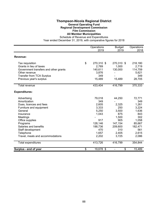## **Thompson-Nicola Regional District General Operating Fund Regional Development Commission Film Commission**

**All Member Municipalities** Schedule of Revenue and Expenditures

|                                       | Operations       | <b>Budget</b> | Operations |
|---------------------------------------|------------------|---------------|------------|
|                                       | 2019             | 2019          | 2018       |
| Revenue:                              |                  |               |            |
| Tax requisition                       | \$<br>270,310 \$ | 270,310 \$    | 218,180    |
| Grants in lieu of taxes               | 2,769            | 1,000         | 2,719      |
| Government transfers and other grants | 140,611          | 130,000       | 114,759    |
| Other revenue                         | 3,876            |               | 5,621      |
| <b>Transfer from TCA Surplus</b>      | 349              |               | 349        |
| Previous year's surplus               | 15,489           | 15,489        | 28,705     |
| Total revenue                         | 433,404          | 416,799       | 370,333    |
|                                       |                  |               |            |
| <b>Expenditures:</b>                  |                  |               |            |
| Advertising                           | 79,018           | 44,250        | 72,771     |
| Amortization                          | 349              |               | 349        |
| Dues, licences and fees               | 2,605            | 2,325         | 1,261      |
| Furniture and equipment               | 3,333            | 250           | 3,224      |
| General                               | 5,250            | 3,500         | 1,636      |
| Insurance                             | 1,043            | 875           | 843        |
| Meetings                              |                  | 1,500         | 302        |
| Office supplies                       | 917              | 905           | 1,058      |
| Programs                              | 128,146          | 147,154       | 85,667     |
| Salaries and benefits                 | 188,736          | 209,600       | 182,471    |
| Staff development                     | 470              | 310           | 561        |
| Telephone                             | 1,657            | 2,405         | 2,615      |
| Travel, meals and accommodations      | 2,202            | 3,725         | 2,086      |
| <b>Total expenditures</b>             | 413,726          | 416,799       | 354,844    |
| Surplus - end of year                 | \$<br>19,678 \$  | \$            | 15,489     |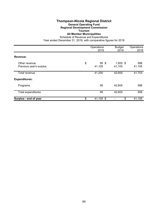# **Thompson-Nicola Regional District**

#### **General Operating Fund Regional Development Commission**

# **Tourism**

### **All Member Municipalities**

Schedule of Revenue and Expenditures

|                                          | Operations<br>2019              | <b>Budget</b><br>2019 | Operations<br>2018 |
|------------------------------------------|---------------------------------|-----------------------|--------------------|
| Revenue:                                 |                                 |                       |                    |
| Other revenue<br>Previous year's surplus | \$<br>95 <sup>°</sup><br>41,105 | $1,500$ \$<br>41,105  | 598<br>41,105      |
| <b>Total revenue</b>                     | 41,200                          | 42,605                | 41,703             |
| <b>Expenditures:</b>                     |                                 |                       |                    |
| Programs                                 | 95                              | 42,605                | 598                |
| <b>Total expenditures</b>                | 95                              | 42,605                | 598                |
| Surplus - end of year                    | \$<br>41,105 \$                 | \$                    | 41,105             |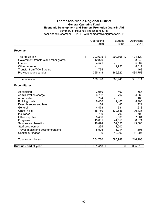### **Thompson-Nicola Regional District General Operating Fund Economic Development and Tourism Promotion Grant-in-Aid** Summary of Revenue and Expenditures Year ended December 31, 2019, with comparative figures for 2018

Operations Budget Operations 2019 2019 2018 **Revenue:** Tax requisition \$ 202,695 \$ 202,695 \$ 124,120 Government transfers and other grants 12,820 - 8,546<br>Interest 12,820 - 8,546 Interest 4,571 - 5,007 Other revenue 8,617 Transfer from TCA Surplus 163<br>Previous year's surplus 163<br>265,318 365,320 434,758 Previous year's surplus 365,318 365,320 434,758 Total revenue 586,198 580,948 581,511 **Expenditures:** Advertising 3,950 400 567 Administration charge 6,792<br>Amortization 6,792 Amortization 794 - 463 Building costs 8,400 9,400 8,400 Pues, licences and fees 184 440 721<br>
General 184 440 721<br>
4.473 331 1.618 General 4,473 331 1,618 Grant-in-aid 135,750 439,536 90,436 Insurance 700 700 700 Office supplies 6,466 9,830 7,061 9,830 7,061 9,830 7,061 9,830 9,830 7,061 9,830 7,061 9,830 7,061 9,830 7,061 Programs 45,631 44,550 38,871 Salaries and benefits **46,874** 52,055 43,380 Staff development<br>
Travel, meals and accommodations<br>
Travel, meals and accommodations<br>
235 5,914 7,806 Travel, meals and accommodations  $\begin{array}{cccc} 5,525 & 5,914 & 7,806 \\ \text{Capital purchases} & 6 & 10,000 & 11,907 \end{array}$ Capital purchases 6 10,000 11,907 10,000 11,907 10,000 11,907 10,000 11,907 10,000 11,907 10,000 11,907 10,007 10,007 10,007 11,907 10,000 11,907 10,000 11,907 11,907 11,907 11,907 11,907 11,907 11,907 11,907 11,907 11,907 Total expenditures 264,780 580,948 216,193 **Surplus - end of year by Community Community State State State State State State State State State State State State State State State State State State State State State State State State State State State State State**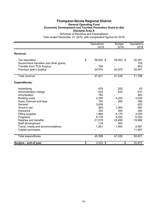### **Thompson-Nicola Regional District General Operating Fund Economic Development and Tourism Promotion Grant-in-Aid Electoral Area A** Schedule of Revenue and Expenditures

|                                       | Operations       | <b>Budget</b> | Operations |
|---------------------------------------|------------------|---------------|------------|
|                                       | 2019             | 2019          | 2018       |
| Revenue:                              |                  |               |            |
| Tax requisition                       | \$<br>26,052 \$  | 26,052 \$     | 25,281     |
| Government transfers and other grants |                  |               | 105        |
| <b>Transfer from TCA Surplus</b>      | 794              |               | 463        |
| Previous year's surplus               | 20,975           | 20,976        | 45,947     |
| <b>Total revenue</b>                  | 47,821           | 47,028        | 71,796     |
| <b>Expenditures:</b>                  |                  |               |            |
| Advertising                           | 978              | 200           | 83         |
| Administration charge                 | 832              | 832           | 810        |
| Amortization                          | 794              |               | 463        |
| <b>Building costs</b>                 | 4,200            | 4,200         | 4,200      |
| Dues, licences and fees               | 184              | 265           | 388        |
| General                               | 3,609            |               | 425        |
| Grant-in-aid                          | 260              | 1,000         | 560        |
| Insurance                             | 350              | 350           | 350        |
| Office supplies                       | 1,868            | 4,175         | 3,030      |
| Programs                              | 8,776            | 9,200         | 6,550      |
| Salaries and benefits                 | 21,579           | 24,406        | 19,968     |
| Staff development                     | 118              | 500           |            |
| Travel, meals and accommodations      | 1,851            | 1,900         | 2,087      |
| Capital purchases                     |                  |               | 11,907     |
| Total expenditures                    | 45,399           | 47,028        | 50,821     |
| Surplus - end of year                 | \$<br>$2,422$ \$ | \$<br>÷,      | 20,975     |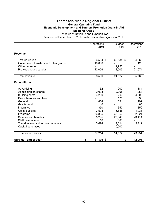### **Thompson-Nicola Regional District General Operating Fund Economic Development and Tourism Promotion Grant-in-Aid Electoral Area B** Schedule of Revenue and Expenditures

|                                       | Operations      | <b>Budget</b> | Operations |
|---------------------------------------|-----------------|---------------|------------|
|                                       | 2019            | 2019          | 2018       |
| Revenue:                              |                 |               |            |
| Tax requisition                       | \$<br>66,584 \$ | 66,584 \$     | 64,563     |
| Government transfers and other grants | 10,000          |               | 123        |
| Other revenue                         |                 | 12,933        |            |
| Previous year's surplus               | 12,006          | 12,005        | 21,074     |
| <b>Total revenue</b>                  | 88,590          | 91,522        | 85,760     |
| <b>Expenditures:</b>                  |                 |               |            |
| Advertising                           | 152             | 200           | 184        |
| Administration charge                 | 2,098           | 2,098         | 1,953      |
| <b>Building costs</b>                 | 4,200           | 5,200         | 4,200      |
| Dues, licences and fees               |                 | 175           | 333        |
| General                               | 864             | 331           | 1,192      |
| Grant-in-aid                          | 10              |               | 60         |
| Insurance                             | 350             | 350           | 350        |
| Office supplies                       | 3,598           | 5,655         | 4,031      |
| Programs                              | 36,855          | 35,350        | 32,321     |
| Salaries and benefits                 | 25,295          | 27,649        | 23,411     |
| Staff development                     | 118             | 500           |            |
| Travel, meals and accommodations      | 3,674           | 4,014         | 5,719      |
| Capital purchases                     |                 | 10,000        |            |
| Total expenditures                    | 77,214          | 91,522        | 73,754     |
| Surplus - end of year                 | \$<br>11,376 \$ | \$            | 12,006     |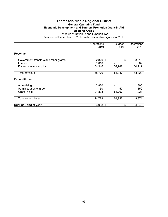# **Thompson-Nicola Regional District General Operating Fund Economic Development and Tourism Promotion Grant-in-Aid Electoral Area E**

|                                                                              | Operations<br>2019                  | <b>Budget</b><br>2019 | Operations<br>2018     |
|------------------------------------------------------------------------------|-------------------------------------|-----------------------|------------------------|
| Revenue:                                                                     |                                     |                       |                        |
| Government transfers and other grants<br>Interest<br>Previous year's surplus | \$<br>$2,820$ \$<br>1,010<br>54,946 | \$<br>54,947          | 8,319<br>882<br>54,119 |
| Total revenue                                                                | 58,776                              | 54,947                | 63,320                 |
| <b>Expenditures:</b>                                                         |                                     |                       |                        |
| Advertising<br>Administration charge<br>Grant-in-aid                         | 2,820<br>150<br>21,808              | 150<br>54,797         | 300<br>150<br>7,924    |
| <b>Total expenditures</b>                                                    | 24,778                              | 54,947                | 8,374                  |
| Surplus - end of year                                                        | \$<br>33,998 \$                     | \$                    | 54,946                 |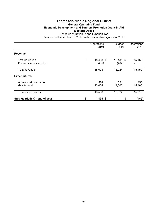### **Thompson-Nicola Regional District General Operating Fund Economic Development and Tourism Promotion Grant-in-Aid Electoral Area I** Schedule of Revenue and Expenditures

|                                            | Operations<br>2019       | <b>Budget</b><br>2019 | Operations<br>2018 |
|--------------------------------------------|--------------------------|-----------------------|--------------------|
| Revenue:                                   |                          |                       |                    |
| Tax requisition<br>Previous year's surplus | \$<br>15,488 \$<br>(465) | 15,488 \$<br>(464)    | 15,450             |
| Total revenue                              | 15,023                   | 15,024                | 15,450             |
| <b>Expenditures:</b>                       |                          |                       |                    |
| Administration charge<br>Grant-in-aid      | 524<br>13,064            | 524<br>14,500         | 450<br>15,465      |
| <b>Total expenditures</b>                  | 13,588                   | 15,024                | 15,915             |
| Surplus (deficit) - end of year            | \$<br>$1,435$ \$         | \$                    | (465)              |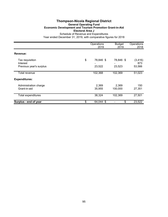### **Thompson-Nicola Regional District General Operating Fund Economic Development and Tourism Promotion Grant-in-Aid Electoral Area J** Schedule of Revenue and Expenditures

|                                                        | Operations<br>2019        | <b>Budget</b><br>2019 | Operations<br>2018        |
|--------------------------------------------------------|---------------------------|-----------------------|---------------------------|
| Revenue:                                               |                           |                       |                           |
| Tax requisition<br>Interest<br>Previous year's surplus | \$<br>78,846 \$<br>23,522 | 78,846 \$<br>23,523   | (3, 416)<br>873<br>53,566 |
| Total revenue                                          | 102,368                   | 102,369               | 51,023                    |
| <b>Expenditures:</b>                                   |                           |                       |                           |
| Administration charge<br>Grant-in-aid                  | 2,369<br>35,955           | 2,369<br>100,000      | 150<br>27,351             |
| <b>Total expenditures</b>                              | 38,324                    | 102,369               | 27,501                    |
| Surplus - end of year                                  | \$<br>64,044 \$           | \$                    | 23,522                    |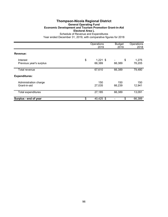### **Thompson-Nicola Regional District General Operating Fund Economic Development and Tourism Promotion Grant-in-Aid Electoral Area L** Schedule of Revenue and Expenditures

|                                       | Operations<br>2019         | <b>Budget</b><br>2019 | Operations<br>2018 |
|---------------------------------------|----------------------------|-----------------------|--------------------|
| Revenue:                              |                            |                       |                    |
| Interest<br>Previous year's surplus   | \$<br>$1,221$ \$<br>66,389 | \$<br>66,389          | 1,275<br>78,205    |
| Total revenue                         | 67,610                     | 66,389                | 79,480             |
| <b>Expenditures:</b>                  |                            |                       |                    |
| Administration charge<br>Grant-in-aid | 150<br>27,035              | 150<br>66,239         | 150<br>12,941      |
| <b>Total expenditures</b>             | 27,185                     | 66,389                | 13,091             |
| Surplus - end of year                 | \$<br>40,425 \$            | \$                    | 66,389             |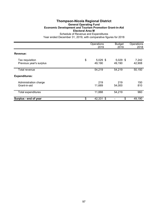# **Thompson-Nicola Regional District General Operating Fund Economic Development and Tourism Promotion Grant-in-Aid Electoral Area M**

|                                            | Operations<br>2019         | <b>Budget</b><br>2019 | Operations<br>2018 |
|--------------------------------------------|----------------------------|-----------------------|--------------------|
| Revenue:                                   |                            |                       |                    |
| Tax requisition<br>Previous year's surplus | \$<br>$5,029$ \$<br>49,190 | $5,029$ \$<br>49,190  | 7,242<br>42,908    |
| Total revenue                              | 54,219                     | 54,219                | 50,150             |
| <b>Expenditures:</b>                       |                            |                       |                    |
| Administration charge<br>Grant-in-aid      | 219<br>11,669              | 219<br>54,000         | 150<br>810         |
| <b>Total expenditures</b>                  | 11,888                     | 54,219                | 960                |
| Surplus - end of year                      | \$<br>42,331 \$            | \$                    | 49,190             |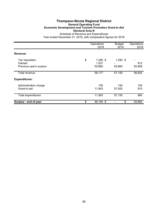### **Thompson-Nicola Regional District General Operating Fund Economic Development and Tourism Promotion Grant-in-Aid Electoral Area N** Schedule of Revenue and Expenditures

|                                                        | Operations<br>2019                  | <b>Budget</b><br>2019 | Operations<br>2018 |
|--------------------------------------------------------|-------------------------------------|-----------------------|--------------------|
| Revenue:                                               |                                     |                       |                    |
| Tax requisition<br>Interest<br>Previous year's surplus | \$<br>$1,290$ \$<br>1,027<br>55,860 | $1,290$ \$<br>55,860  | 912<br>55,908      |
| Total revenue                                          | 58,177                              | 57,150                | 56,820             |
| <b>Expenditures:</b>                                   |                                     |                       |                    |
| Administration charge<br>Grant-in-aid                  | 150<br>11,843                       | 150<br>57,000         | 150<br>810         |
| Total expenditures                                     | 11,993                              | 57,150                | 960                |
| Surplus - end of year                                  | \$<br>46,184 \$                     | \$                    | 55,860             |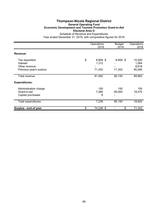### **Thompson-Nicola Regional District General Operating Fund Economic Development and Tourism Promotion Grant-in-Aid Electoral Area O** Schedule of Revenue and Expenditures

|                                                                         | Operations<br>2019                | <b>Budget</b><br>2019 | Operations<br>2018                            |
|-------------------------------------------------------------------------|-----------------------------------|-----------------------|-----------------------------------------------|
| Revenue:                                                                |                                   |                       |                                               |
| Tax requisition<br>Interest<br>Other revenue<br>Previous year's surplus | \$<br>8,808 \$<br>1,312<br>71,342 | 8,808 \$<br>71,342    | 15,000<br>1,064<br>8,618<br>65,280            |
| <b>Total revenue</b>                                                    | 81,462                            | 80,150                | 89,962                                        |
| <b>Expenditures:</b>                                                    |                                   |                       |                                               |
| Administration charge<br>Grant-in-aid<br>Capital purchases              | 150<br>7,080<br>6                 | 150<br>80,000         | 150<br>18,470<br>$\qquad \qquad \blacksquare$ |
| <b>Total expenditures</b>                                               | 7,236                             | 80,150                | 18,620                                        |
| Surplus - end of year                                                   | \$<br>74,226 \$                   | \$                    | 71,342                                        |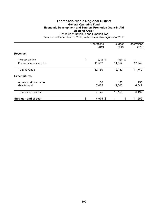### **Thompson-Nicola Regional District General Operating Fund Economic Development and Tourism Promotion Grant-in-Aid Electoral Area P** Schedule of Revenue and Expenditures

|                                            | Operations<br>2019     | <b>Budget</b><br>2019 | Operations<br>2018 |
|--------------------------------------------|------------------------|-----------------------|--------------------|
| Revenue:                                   |                        |                       |                    |
| Tax requisition<br>Previous year's surplus | \$<br>598 \$<br>11,552 | 598 \$<br>11,552      | 17,749             |
| Total revenue                              | 12,150                 | 12,150                | 17,749             |
| <b>Expenditures:</b>                       |                        |                       |                    |
| Administration charge<br>Grant-in-aid      | 150<br>7,025           | 150<br>12,000         | 150<br>6,047       |
| <b>Total expenditures</b>                  | 7,175                  | 12,150                | 6,197              |
| Surplus - end of year                      | \$<br>4,975 \$         | \$                    | 11,552             |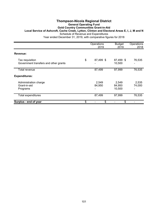### **Thompson-Nicola Regional District General Operating Fund Gold Country Communities Grant-in-Aid Local Service of Ashcroft, Cache Creek, Lytton, Clinton and Electoral Areas E, I, J, M and N** Schedule of Revenue and Expenditures Year ended December 31, 2019, with comparative figures for 2018

Operations Budget Operations<br>2019 2019 2018 2019 2019 2018 **Revenue:** Tax requisition <br>Government transfers and other grants <br>Government transfers and other grants <br>Government transfers and other grants Government transfers and other grants Total revenue 87,499 97,999 76,535 **Expenditures:** Administration charge 2,549 2,549 2,535 Grant-in-aid 84,950 84,950 74,000 Programs 10,500 - 10,500 - 10,500 - 10,500 - 10,500 - 10,500 - 10,500 - 10,500 - 10,500 - 10,500 - 10,500 - 10,500 - 10,500 - 10,500 - 10,500 - 10,500 - 10,500 - 10,500 - 10,500 - 10,500 - 10,500 - 10,500 - 10,500 - 10,500 Total expenditures 1990 87,499 97,999 76,535 **Surplus - end of year \$** 5 - \$ - \$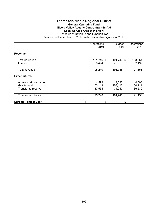# **Thompson-Nicola Regional District General Operating Fund Nicola Valley Aquatic Centre Grant-in-Aid Local Service Area of M and N**

|                                                              | Operations<br>2019         | <b>Budget</b><br>2019      | Operations<br>2018         |
|--------------------------------------------------------------|----------------------------|----------------------------|----------------------------|
| Revenue:                                                     |                            |                            |                            |
| Tax requisition<br>Interest                                  | \$<br>191,746 \$<br>3,494  | 191,746 \$                 | 188,654<br>2,499           |
| Total revenue                                                | 195,240                    | 191,746                    | 191,153                    |
| <b>Expenditures:</b>                                         |                            |                            |                            |
| Administration charge<br>Grant-in-aid<br>Transfer to reserve | 4,593<br>153,113<br>37,534 | 4,593<br>153,113<br>34,040 | 4,503<br>150,111<br>36,539 |
| Total expenditures                                           | 195,240                    | 191,746                    | 191,153                    |
| Surplus - end of year                                        | \$<br>\$                   | \$                         |                            |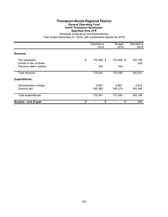## **Thompson-Nicola Regional District General Operating Fund North Thompson Sportsplex Specified Area of A**

|                                            | Operations<br>2019 | <b>Budget</b><br>2019 | Operations<br>2018 |
|--------------------------------------------|--------------------|-----------------------|--------------------|
| Revenue:                                   |                    |                       |                    |
| Tax requisition<br>Grants in lieu of taxes | \$<br>170,006 \$   | 170,006 \$            | 165,196<br>335     |
| Previous year's surplus                    | 335                | 334                   |                    |
| Total revenue                              | 170,341            | 170,340               | 165,531            |
| <b>Expenditures:</b>                       |                    |                       |                    |
| Administration charge<br>Grant-in-aid      | 4,961<br>165,380   | 4,961<br>165,379      | 4,812<br>160,384   |
| Total expenditures                         | 170,341            | 170,340               | 165,196            |
| Surplus - end of year                      | \$<br>\$           | \$                    | 335                |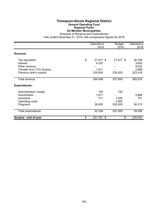## **Thompson-Nicola Regional District General Operating Fund Regional Parks All Member Municipalities**

Schedule of Revenue and Expenditures

|                                  | Operations<br>2019  | <b>Budget</b><br>2019 | Operations<br>2018 |
|----------------------------------|---------------------|-----------------------|--------------------|
| <b>Revenue:</b>                  |                     |                       |                    |
| Tax requisition                  | \$<br>21,917 \$     | 21,917 \$             | 26,784             |
| Interest                         | 4,337               |                       | 3,643              |
| Other revenue                    |                     |                       | 9,022              |
| <b>Transfer from TCA Surplus</b> | 1,911               |                       | 2,668              |
| Previous year's surplus          | 235,934             | 235,933               | 223,416            |
| Total revenue                    | 264,099             | 257,850               | 265,533            |
| <b>Expenditures:</b>             |                     |                       |                    |
| Administration charge            | 150                 | 150                   |                    |
| Amortization                     | 1,911               |                       | 2,668              |
| Insurance                        | 777                 | 1,200                 | 721                |
| Operating costs                  |                     | 4,500                 |                    |
| Programs                         | 39,500              | 252,000               | 26,210             |
| Total expenditures               | 42,338              | 257,850               | 29,599             |
| Surplus - end of year            | \$<br>221,761<br>\$ | \$                    | 235,934            |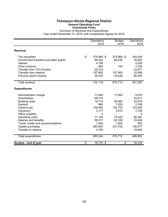## **Thompson-Nicola Regional District General Operating Fund Community Parks**

Summary of Revenue and Expenditures Year ended December 31, 2019, with comparative figures for 2018

|                                       | Operations<br>2019 | <b>Budget</b><br>2019          | Operations<br>2018 |
|---------------------------------------|--------------------|--------------------------------|--------------------|
| <b>Revenue:</b>                       |                    |                                |                    |
| Tax requisition                       | \$<br>375,969 \$   | 375,969 \$                     | 344,545            |
| Government transfers and other grants | 69,250             | 66,250                         | 25,267             |
| Interest                              | 4,758              |                                | 6,025              |
| Other revenue                         | 483                | 150                            | 2,325              |
| <b>Transfer from TCA Surplus</b>      | 48,319             |                                | 43,877             |
| Transfer from reserve                 | 197,905            | 197,905                        | 22,899             |
| Previous year's surplus               | 35,435             | 35,438                         | 86,349             |
| <b>Total revenue</b>                  | 732,119            | 675,712                        | 531,287            |
| <b>Expenditures:</b>                  |                    |                                |                    |
| Administration charge                 | 17,064             | 17,064                         | 9,476              |
| Amortization                          | 48,319             |                                | 43,877             |
| <b>Building costs</b>                 | 18,774             | 28,060                         | 24,816             |
| General                               | 986                | 1,000                          | 2,036              |
| Grant-in-aid                          | 148,000            | 152,700                        | 143,000            |
| Insurance                             | 3,177              | 3,910                          | 2,726              |
| Office supplies                       | 5                  |                                | 5                  |
| Operating costs                       | 71,145             | 79,320                         | 60,367             |
| Salaries and benefits                 | 59,077             | 60,106                         | 53,436             |
| Travel, meals and accommodations      | 1,094              | 1,850                          | 932                |
| Capital purchases                     | 280,945            | 331,702                        | 136,577            |
| Transfer to reserve                   | 4,758              |                                | 18,604             |
| Total expenditures                    | 653,344            | 675,712                        | 495,852            |
| Surplus - end of year                 | \$<br>78,775 \$    | \$<br>$\overline{\phantom{a}}$ | 35,435             |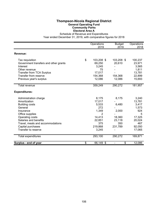## **Thompson-Nicola Regional District General Operating Fund Community Parks Electoral Area A**

Schedule of Revenue and Expenditures

|                                       | Operations<br>2019 | <b>Budget</b><br>2019          | Operations<br>2018 |
|---------------------------------------|--------------------|--------------------------------|--------------------|
| Revenue:                              |                    |                                |                    |
| Tax requisition                       | \$<br>103,208 \$   | 103,208 \$                     | 100,237            |
| Government transfers and other grants | 69,250             | 20,610                         | 23,971             |
| Interest                              | 3,245              |                                | 3,565              |
| Other revenue                         | 75                 |                                | 1,811              |
| <b>Transfer from TCA Surplus</b>      | 17,017             |                                | 13,781             |
| Transfer from reserve                 | 154,368            | 154,368                        | 22,899             |
| Previous year's surplus               | 12,086             | 12,086                         | 15,693             |
| <b>Total revenue</b>                  | 359,249            | 290,272                        | 181,957            |
| <b>Expenditures:</b>                  |                    |                                |                    |
| Administration charge                 | 8,175              | 8,175                          | 3,240              |
| Amortization                          | 17,017             |                                | 13,781             |
| <b>Building costs</b>                 | 5,533              | 6,480                          | 3,417              |
| General                               | 272                |                                | 1,573              |
| Insurance                             | 1,349              | 2,000                          | 924                |
| Office supplies                       | 2                  |                                | 5                  |
| Operating costs                       | 14,413             | 18,360                         | 17,325             |
| Salaries and benefits                 | 22,851             | 23,118                         | 20,024             |
| Travel, meals and accommodations      | 375                | 350                            | 467                |
| Capital purchases                     | 219,868            | 231,789                        | 92,050             |
| Transfer to reserve                   | 3,245              |                                | 17,065             |
| Total expenditures                    | 293,100            | 290,272                        | 169,871            |
| Surplus - end of year                 | \$<br>66,149 \$    | \$<br>$\overline{\phantom{a}}$ | 12,086             |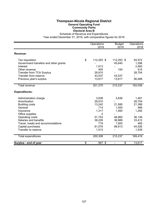## **Thompson-Nicola Regional District General Operating Fund Community Parks Electoral Area B**

Schedule of Revenue and Expenditures

|                                       | Operations<br>2019 | <b>Budget</b><br>2019              | Operations<br>2018 |
|---------------------------------------|--------------------|------------------------------------|--------------------|
| Revenue:                              |                    |                                    |                    |
| Tax requisition                       | \$<br>112,293 \$   | 112,293 \$                         | 93,572             |
| Government transfers and other grants |                    | 45,640                             | 1,296              |
| Interest                              | 1,513              |                                    | 2,460              |
| Other revenue                         | 405                | 150                                | 515                |
| <b>Transfer from TCA Surplus</b>      | 29,910             |                                    | 28,704             |
| Transfer from reserve                 | 43,537             | 43,537                             |                    |
| Previous year's surplus               | 13,617             | 13,617                             | 56,489             |
| <b>Total revenue</b>                  | 201,275            | 215,237                            | 183,036            |
| <b>Expenditures:</b>                  |                    |                                    |                    |
| Administration charge                 | 3,836              | 3,836                              | 1,481              |
| Amortization                          | 29,910             |                                    | 28,704             |
| <b>Building costs</b>                 | 13,242             | 21,580                             | 21,398             |
| General                               | 714                | 1,000                              | 466                |
| Insurance                             | 1,317              | 1,460                              | 1,292              |
| Office supplies                       | 2                  |                                    |                    |
| Operating costs                       | 51,753             | 48,960                             | 36,136             |
| Salaries and benefits                 | 36,226             | 36,988                             | 33,412             |
| Travel, meals and accommodations      | 719                | 1,500                              | 465                |
| Capital purchases                     | 61,076             | 99,913                             | 44,526             |
| Transfer to reserve                   | 1,513              |                                    | 1,539              |
| Total expenditures                    | 200,308            | 215,237                            | 169,419            |
| Surplus - end of year                 | \$<br>967 \$       | \$<br>$\qquad \qquad \blacksquare$ | 13,617             |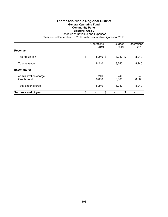### **Thompson-Nicola Regional District General Operating Fund Community Parks Electoral Area J**

Schedule of Revenue and Expenses

|                                       | Operations<br>2019 | <b>Budget</b><br>2019 | Operations<br>2018 |
|---------------------------------------|--------------------|-----------------------|--------------------|
| <b>Revenue:</b>                       |                    |                       |                    |
| Tax requisition                       | \$<br>$8,240$ \$   | $8,240$ \$            | 8,240              |
| Total revenue                         | 8,240              | 8,240                 | 8,240              |
| <b>Expenditures:</b>                  |                    |                       |                    |
| Administration charge<br>Grant-in-aid | 240<br>8,000       | 240<br>8,000          | 240<br>8,000       |
| Total expenditures                    | 8,240              | 8,240                 | 8,240              |
| Surplus - end of year                 | \$<br>\$           | \$                    |                    |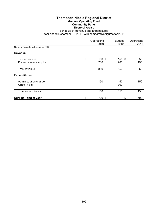#### **Thompson-Nicola Regional District General Operating Fund Community Parks Electoral Area L** Schedule of Revenue and Expenditures

|                                            | Operations<br>2019  | <b>Budget</b><br>2019 | Operations<br>2018 |
|--------------------------------------------|---------------------|-----------------------|--------------------|
| Name of Table for referencing: T60         |                     |                       |                    |
| Revenue:                                   |                     |                       |                    |
| Tax requisition<br>Previous year's surplus | \$<br>150 \$<br>700 | 150 \$<br>700         | 655<br>195         |
| Total revenue                              | 850                 | 850                   | 850                |
| <b>Expenditures:</b>                       |                     |                       |                    |
| Administration charge<br>Grant-in-aid      | 150                 | 150<br>700            | 150                |
| Total expenditures                         | 150                 | 850                   | 150                |
| Surplus - end of year                      | \$<br>700 \$        | \$                    | 700                |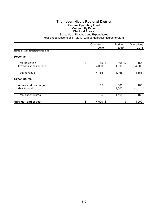## **Thompson-Nicola Regional District General Operating Fund Community Parks Electoral Area N**

Schedule of Revenue and Expenditures

|                                            | Operations<br>2019    | <b>Budget</b><br>2019 | Operations<br>2018 |
|--------------------------------------------|-----------------------|-----------------------|--------------------|
| Name of Table for referencing: S91         |                       |                       |                    |
| Revenue:                                   |                       |                       |                    |
| Tax requisition<br>Previous year's surplus | \$<br>165 \$<br>4,000 | 165 \$<br>4,000       | 165<br>4,000       |
| Total revenue                              | 4,165                 | 4,165                 | 4,165              |
| <b>Expenditures:</b>                       |                       |                       |                    |
| Administration charge<br>Grant-in-aid      | 165                   | 165<br>4,000          | 165<br>-           |
| Total expenditures                         | 165                   | 4,165                 | 165                |
| Surplus - end of year                      | \$<br>$4,000$ \$      | \$                    | 4,000              |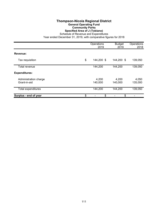## **Thompson-Nicola Regional District General Operating Fund Community Parks Specified Area of J (Tobiano)**

Schedule of Revenue and Expenditures

|                                       | Operations<br>2019 | <b>Budget</b><br>2019 | Operations<br>2018 |
|---------------------------------------|--------------------|-----------------------|--------------------|
| Revenue:                              |                    |                       |                    |
| Tax requisition                       | \$<br>144,200 \$   | 144,200 \$            | 139,050            |
| Total revenue                         | 144,200            | 144,200               | 139,050            |
| <b>Expenditures:</b>                  |                    |                       |                    |
| Administration charge<br>Grant-in-aid | 4,200<br>140,000   | 4,200<br>140,000      | 4,050<br>135,000   |
| Total expenditures                    | 144,200            | 144,200               | 139,050            |
| Surplus - end of year                 | \$<br>\$           | \$                    |                    |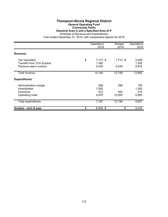#### **Thompson-Nicola Regional District General Operating Fund Community Parks**

**Electoral Area O and a Specified Area of P**

Schedule of Revenue and Expenditures

|                                                                                | Operations<br>2019               | <b>Budget</b><br>2019 | Operations<br>2018           |
|--------------------------------------------------------------------------------|----------------------------------|-----------------------|------------------------------|
| Revenue:                                                                       |                                  |                       |                              |
| Tax requisition<br><b>Transfer from TCA Surplus</b><br>Previous year's surplus | \$<br>7,713 \$<br>1,392<br>5,035 | 7,713 \$<br>5,035     | 2,626<br>1,392<br>9,974      |
| Total revenue                                                                  | 14,140                           | 12,748                | 13,992                       |
| <b>Expenditures:</b>                                                           |                                  |                       |                              |
| Administration charge<br>Amortization<br>Insurance<br>Operating costs          | 298<br>1,392<br>512<br>4,979     | 298<br>450<br>12,000  | 150<br>1,392<br>510<br>6,905 |
| <b>Total expenditures</b>                                                      | 7,181                            | 12,748                | 8,957                        |
| Surplus - end of year                                                          | \$<br>6,959 \$                   | \$                    | 5,035                        |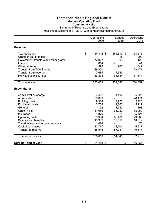#### **Thompson-Nicola Regional District General Operating Fund Community Halls** Summary of Revenue and Expenditures Year ended December 31, 2019, with comparative figures for 2018

|                                                  | Operations<br>2019 | <b>Budget</b><br>2019 | Operations<br>2018 |
|--------------------------------------------------|--------------------|-----------------------|--------------------|
| <b>Revenue:</b>                                  |                    |                       |                    |
| Tax requisition                                  | \$<br>154,312 \$   | 154,312 \$            | 154,515            |
| Grants in lieu of taxes                          |                    | 115                   | 209                |
| Government transfers and other grants            | 72,027             | 5,000                 | 123                |
| Interest                                         | 814                |                       | 1,541              |
| Other revenue                                    | 1,596              | 700                   | 1,649              |
| <b>Transfer from TCA Surplus</b>                 | 29,800             |                       | 28,471             |
| Transfer from reserve<br>Previous year's surplus | 7,685<br>66,834    | 7,685<br>66,834       | 67,544             |
|                                                  |                    |                       |                    |
| Total revenue                                    | 333,068            | 234,646               | 254,052            |
| <b>Expenditures:</b>                             |                    |                       |                    |
| Administration charge                            | 4,402              | 4,402                 | 5,029              |
| Amortization                                     | 29,800             |                       | 28,471             |
| <b>Building costs</b>                            | 9,334              | 17,950                | 9,720              |
| <b>Equipment costs</b>                           | 3,788              | 2,200                 | 5,912              |
| General                                          | 22                 | 1,780                 | 198                |
| Grant-in-aid                                     | 131,056            | 65,059                | 65,059             |
| Insurance                                        | 4,879              | 5,025                 | 5,424              |
| Operating costs                                  | 29,994             | 35,481                | 29,886             |
| Salaries and benefits                            | 11,989             | 12,518                | 10,912             |
| Travel, meals and accommodations                 | 1,024              |                       | 73                 |
| Capital purchases                                | 23,777             | 32,500                | 15,917             |
| Transfer to reserve                              | 58,545             | 57,731                | 10,617             |
| <b>Total expenditures</b>                        | 308,610            | 234,646               | 187,218            |
| Surplus - end of year                            | \$<br>24,458 \$    | \$                    | 66,834             |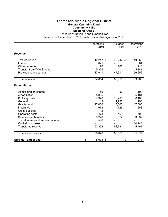## **Thompson-Nicola Regional District General Operating Fund Community Halls Electoral Area B**

Schedule of Revenue and Expenditures

|                                  | Operations      | <b>Budget</b> | Operations |
|----------------------------------|-----------------|---------------|------------|
|                                  | 2019            | 2019          | 2018       |
| Revenue:                         |                 |               |            |
| Tax requisition                  | \$<br>40,247 \$ | 40,247 \$     | 40,353     |
| Interest                         | 621             |               | 1,384      |
| Other revenue                    | 70              | 200           | 218        |
| <b>Transfer from TCA Surplus</b> | 5,805           |               | 5.181      |
| Previous year's surplus          | 47,911          | 47,911        | 56,652     |
| <b>Total revenue</b>             | 94,654          | 88,358        | 103,788    |
| <b>Expenditures:</b>             |                 |               |            |
| Administration charge            | 150             | 150           | 1,108      |
| Amortization                     | 5,805           |               | 5,181      |
| <b>Building costs</b>            | 7,378           | 10,200        | 8,185      |
| General                          | 19              | 1,780         | 196        |
| Grant-in-aid                     | 17,000          | 17,000        | 17,000     |
| Insurance                        | 673             | 725           | 668        |
| Office supplies                  | 2               |               |            |
| Operating costs                  | 473             | 2,450         | 798        |
| Salaries and benefits            | 3,228           | 3,322         | 3,037      |
| Travel, meals and accommodations | 596             |               |            |
| Capital purchases                |                 |               | 14,243     |
| Transfer to reserve              | 53,352          | 52,731        | 5,461      |
| Total expenditures               | 88,676          | 88,358        | 55,877     |
| Surplus - end of year            | \$<br>5,978 \$  | \$            | 47,911     |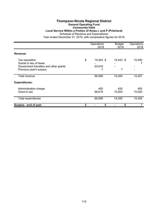## **Thompson-Nicola Regional District General Operating Fund Community Halls**

#### **Local Service Within a Portion of Areas L and P (Pritchard)**

Schedule of Revenue and Expenditures

|                                                                  | Operations<br>2019 | <b>Budget</b><br>2019 | Operations<br>2018 |
|------------------------------------------------------------------|--------------------|-----------------------|--------------------|
| Revenue:                                                         |                    |                       |                    |
| Tax requisition<br>Grants in lieu of taxes                       | \$<br>15,443 \$    | 15,443 \$             | 15,450             |
| Government transfers and other grants<br>Previous year's surplus | 53,619             | 7                     |                    |
| Total revenue                                                    | 69,069             | 15,450                | 15,457             |
| <b>Expenditures:</b>                                             |                    |                       |                    |
| Administration charge<br>Grant-in-aid                            | 450<br>68,619      | 450<br>15,000         | 450<br>15,000      |
| Total expenditures                                               | 69,069             | 15,450                | 15,450             |
| Surplus - end of year                                            | \$<br>\$           | \$                    |                    |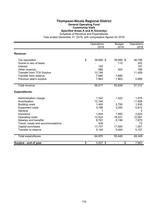## **Thompson-Nicola Regional District General Operating Fund Community Halls**

**Specified Areas A and B (Vavenby)** Schedule of Revenue and Expenditures

|                                  | Operations       | <b>Budget</b> | Operations |
|----------------------------------|------------------|---------------|------------|
|                                  | 2019             | 2019          | 2018       |
| Revenue:                         |                  |               |            |
| Tax requisition                  | \$<br>39,586 \$  | 39,586 \$     | 38,799     |
| Grants in lieu of taxes          |                  | 115           | 202        |
| Interest                         | 193              |               | 157        |
| Other revenue                    | 886              | 500           | 796        |
| Transfer from TCA Surplus        | 12,164           |               | 11,459     |
| Transfer from reserve            | 7,685            | 7,685         |            |
| Previous year's surplus          | 7,963            | 7,963         | 5,899      |
| Total revenue                    | 68,477           | 55,849        | 57,312     |
| <b>Expenditures:</b>             |                  |               |            |
| Administration charge            | 1,322            | 1,322         | 1,075      |
| Amortization                     | 12,164           |               | 11,459     |
| <b>Building costs</b>            | 1,400            | 2,750         | 1,535      |
| <b>Equipment costs</b>           | 3,788            | 2,200         | 5,912      |
| General                          |                  |               | 2          |
| Insurance                        | 1,644            | 1,850         | 2,623      |
| Operating costs                  | 12,522           | 16,031        | 12,087     |
| Salaries and benefits            | 8,761            | 9,196         | 7,875      |
| Travel, meals and accommodations | 428              |               | 73         |
| Capital purchases                | 17,747           | 17,500        | 1,551      |
| Transfer to reserve              | 5,193            | 5,000         | 5,157      |
| <b>Total expenditures</b>        | 64,970           | 55,849        | 49,349     |
| Surplus - end of year            | \$<br>$3,507$ \$ | \$            | 7,963      |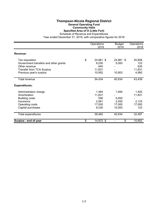#### **Thompson-Nicola Regional District General Operating Fund Community Halls Specified Area of O (Little Fort)**

Schedule of Revenue and Expenditures

|                                       | Operations<br>2019 | <b>Budget</b><br>2019 | Operations<br>2018 |
|---------------------------------------|--------------------|-----------------------|--------------------|
| Revenue:                              |                    |                       |                    |
| Tax requisition                       | \$<br>24,981 \$    | 24,981 \$             | 25,858             |
| Government transfers and other grants | 6,030              | 5,000                 | 123                |
| Other revenue                         | 640                |                       | 635                |
| <b>Transfer from TCA Surplus</b>      | 11,831             |                       | 11,831             |
| Previous year's surplus               | 10,952             | 10,953                | 4,992              |
| Total revenue                         | 54,434             | 40,934                | 43,439             |
| <b>Expenditures:</b>                  |                    |                       |                    |
| Administration charge                 | 1,484              | 1,484                 | 1,400              |
| Amortization                          | 11,831             |                       | 11,831             |
| <b>Building costs</b>                 | 556                | 5,000                 |                    |
| Insurance                             | 2,561              | 2,450                 | 2,133              |
| Operating costs                       | 17,000             | 17,000                | 17,000             |
| Capital purchases                     | 6,030              | 15,000                | 123                |
| Total expenditures                    | 39,462             | 40,934                | 32,487             |
| Surplus - end of year                 | \$<br>14,972 \$    | \$                    | 10,952             |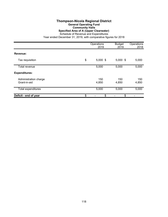### **Thompson-Nicola Regional District General Operating Fund Community Halls Specified Area of A (Upper Clearwater)**

Schedule of Revenue and Expenditures

|                                       | Operations<br>2019 | <b>Budget</b><br>2019 | Operations<br>2018 |
|---------------------------------------|--------------------|-----------------------|--------------------|
| Revenue:                              |                    |                       |                    |
| Tax requisition                       | \$<br>$5,000$ \$   | $5,000$ \$            | 5,000              |
| Total revenue                         | 5,000              | 5,000                 | 5,000              |
| <b>Expenditures:</b>                  |                    |                       |                    |
| Administration charge<br>Grant-in-aid | 150<br>4,850       | 150<br>4,850          | 150<br>4,850       |
| Total expenditures                    | 5,000              | 5,000                 | 5,000              |
| Deficit - end of year                 | \$<br>\$           | \$                    |                    |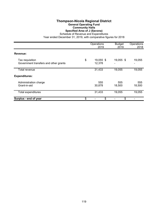## **Thompson-Nicola Regional District General Operating Fund Community Halls Specified Area of J (Savona)**

Schedule of Revenue and Expenditures

|                                                          | Operations<br>2019        | <b>Budget</b><br>2019 | Operations<br>2018 |
|----------------------------------------------------------|---------------------------|-----------------------|--------------------|
| Revenue:                                                 |                           |                       |                    |
| Tax requisition<br>Government transfers and other grants | \$<br>19,055 \$<br>12,378 | 19,055 \$             | 19,055             |
| Total revenue                                            | 31,433                    | 19,055                | 19,055             |
| <b>Expenditures:</b>                                     |                           |                       |                    |
| Administration charge<br>Grant-in-aid                    | 555<br>30,878             | 555<br>18,500         | 555<br>18,500      |
| Total expenditures                                       | 31,433                    | 19,055                | 19,055             |
| Surplus - end of year                                    | \$<br>\$                  | \$                    |                    |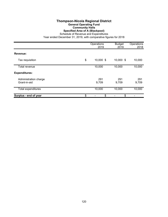#### **Thompson-Nicola Regional District General Operating Fund Community Halls Specified Area of A (Blackpool)**

Schedule of Revenue and Expenditures

|                                       | Operations<br>2019 | <b>Budget</b><br>2019 | Operations<br>2018 |
|---------------------------------------|--------------------|-----------------------|--------------------|
| Revenue:                              |                    |                       |                    |
| Tax requisition                       | \$<br>10,000 \$    | 10,000 \$             | 10,000             |
| Total revenue                         | 10,000             | 10,000                | 10,000             |
| <b>Expenditures:</b>                  |                    |                       |                    |
| Administration charge<br>Grant-in-aid | 291<br>9,709       | 291<br>9,709          | 291<br>9,709       |
| Total expenditures                    | 10,000             | 10,000                | 10,000             |
| Surplus - end of year                 | \$<br>\$           | \$                    |                    |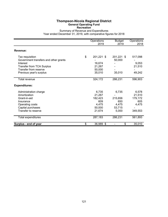# **Thompson-Nicola Regional District General Operating Fund**

**Recreation**

Summary of Revenue and Expenditures Year ended December 31, 2019, with comparative figures for 2018

|                                                                      | Operations<br>2019         | <b>Budget</b><br>2019 | Operations<br>2018 |
|----------------------------------------------------------------------|----------------------------|-----------------------|--------------------|
| Revenue:                                                             |                            |                       |                    |
| Tax requisition<br>Government transfers and other grants<br>Interest | \$<br>201,221 \$<br>16,674 | 201,221 \$<br>50,000  | 517,098<br>9,053   |
| <b>Transfer from TCA Surplus</b>                                     | 21,267                     |                       | 21,510             |
| Transfer from reserve                                                | 50,000                     |                       |                    |
| Previous year's surplus                                              | 35,010                     | 35,010                | 49,242             |
| Total revenue                                                        | 324,172                    | 286,231               | 596,903            |
| <b>Expenditures:</b>                                                 |                            |                       |                    |
| Administration charge                                                | 6,735                      | 6,735                 | 6,578              |
| Amortization                                                         | 21,267                     |                       | 21,510             |
| Grant-in-aid                                                         | 182,423                    | 215,656               | 179,172            |
| Insurance                                                            | 609                        | 650                   | 605                |
| Operating costs                                                      | 4,475                      | 4,475                 | 4,475              |
| Capital purchases                                                    | 50,000                     | 53,715                |                    |
| Transfer to reserve                                                  | 21,674                     | 5,000                 | 349,553            |
| Total expenditures                                                   | 287,183                    | 286,231               | 561,893            |
| Surplus - end of year                                                | \$<br>36,989 \$            | \$                    | 35,010             |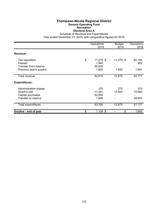#### **Thompson-Nicola Regional District General Operating Fund Recreation Electoral Area A**

Schedule of Revenue and Expenditures

|                             | Operations<br>2019       | <b>Budget</b><br>2019 | Operations<br>2018 |
|-----------------------------|--------------------------|-----------------------|--------------------|
| Revenue:                    |                          |                       |                    |
| Tax requisition<br>Interest | \$<br>11,275 \$<br>1,940 | 11,275 \$             | 60,184<br>902      |
| Transfer from reserve       | 50,000                   |                       |                    |
| Previous year's surplus     | 1,600                    | 1,600                 | 1,691              |
| Total revenue               | 64,815                   | 12,875                | 62,777             |
| <b>Expenditures:</b>        |                          |                       |                    |
| Administration charge       | 375                      | 375                   | 375                |
| Grant-in-aid                | 11,391                   | 12,500                | 10,900             |
| Capital purchases           | 50,000                   |                       |                    |
| Transfer to reserve         | 1,940                    |                       | 49,902             |
| Total expenditures          | 63,706                   | 12,875                | 61,177             |
| Surplus - end of year       | \$<br>1,109 \$           | \$                    | 1,600              |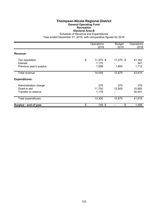### **Thompson-Nicola Regional District General Operating Fund Recreation Electoral Area B**

Schedule of Revenue and Expenditures

|                                                              | Operations<br>2019                  | <b>Budget</b><br>2019 | Operations<br>2018      |
|--------------------------------------------------------------|-------------------------------------|-----------------------|-------------------------|
| Revenue:                                                     |                                     |                       |                         |
| Tax requisition<br>Interest<br>Previous year's surplus       | \$<br>$11,275$ \$<br>1,175<br>1,599 | 11,275 \$<br>1,600    | 41,162<br>541<br>1,712  |
| Total revenue                                                | 14,049                              | 12,875                | 43,415                  |
| <b>Expenditures:</b>                                         |                                     |                       |                         |
| Administration charge<br>Grant-in-aid<br>Transfer to reserve | 375<br>11,750<br>1,175              | 375<br>12,500         | 375<br>10,900<br>30,541 |
| Total expenditures                                           | 13,300                              | 12,875                | 41,816                  |
| Surplus - end of year                                        | \$<br>749 \$                        | \$                    | 1,599                   |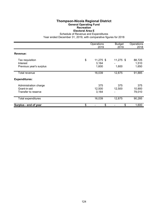### **Thompson-Nicola Regional District General Operating Fund Recreation Electoral Area E**

Schedule of Revenue and Expenditures

|                                                              | Operations<br>2019                  | <b>Budget</b><br>2019 | Operations<br>2018       |
|--------------------------------------------------------------|-------------------------------------|-----------------------|--------------------------|
| Revenue:                                                     |                                     |                       |                          |
| Tax requisition<br>Interest<br>Previous year's surplus       | \$<br>$11,275$ \$<br>3,164<br>1,600 | 11,275 \$<br>1,600    | 88,725<br>1,510<br>1,650 |
| Total revenue                                                | 16,039                              | 12,875                | 91,885                   |
| <b>Expenditures:</b>                                         |                                     |                       |                          |
| Administration charge<br>Grant-in-aid<br>Transfer to reserve | 375<br>12,500<br>3,164              | 375<br>12,500         | 375<br>10,900<br>79,010  |
| <b>Total expenditures</b>                                    | 16,039                              | 12,875                | 90,285                   |
| Surplus - end of year                                        | \$<br>\$                            | \$                    | 1,600                    |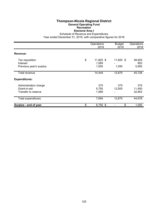## **Thompson-Nicola Regional District General Operating Fund Recreation Electoral Area I**

Schedule of Revenue and Expenditures

|                                                              | Operations<br>2019                | <b>Budget</b><br>2019 | Operations<br>2018      |
|--------------------------------------------------------------|-----------------------------------|-----------------------|-------------------------|
| Revenue:                                                     |                                   |                       |                         |
| Tax requisition<br>Interest<br>Previous year's surplus       | \$<br>11,825 \$<br>1,569<br>1,050 | 11,825 \$<br>1,050    | 38,925<br>853<br>5,950  |
| Total revenue                                                | 14,444                            | 12,875                | 45,728                  |
| <b>Expenditures:</b>                                         |                                   |                       |                         |
| Administration charge<br>Grant-in-aid<br>Transfer to reserve | 375<br>5,750<br>1,569             | 375<br>12,500         | 375<br>11,450<br>32,853 |
| Total expenditures                                           | 7,694                             | 12,875                | 44,678                  |
| Surplus - end of year                                        | \$<br>6,750 \$                    | \$                    | 1,050                   |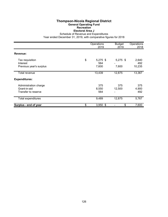#### **Thompson-Nicola Regional District General Operating Fund Recreation Electoral Area J**

Schedule of Revenue and Expenditures

|                             | Operations<br>2019      | <b>Budget</b><br>2019 | Operations<br>2018 |
|-----------------------------|-------------------------|-----------------------|--------------------|
| Revenue:                    |                         |                       |                    |
|                             |                         |                       |                    |
| Tax requisition<br>Interest | \$<br>$5,275$ \$<br>564 | $5,275$ \$            | 2,640<br>492       |
| Previous year's surplus     | 7,600                   | 7,600                 | 10,235             |
|                             |                         |                       |                    |
| Total revenue               | 13,439                  | 12,875                | 13,367             |
| <b>Expenditures:</b>        |                         |                       |                    |
| Administration charge       | 375                     | 375                   | 375                |
| Grant-in-aid                | 8,550                   | 12,500                | 4,900              |
| Transfer to reserve         | 564                     |                       | 492                |
| Total expenditures          | 9,489                   | 12,875                | 5,767              |
| Surplus - end of year       | \$<br>$3,950$ \$        | \$                    | 7,600              |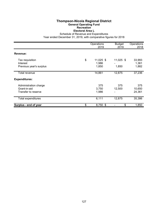## **Thompson-Nicola Regional District General Operating Fund Recreation Electoral Area L**

Schedule of Revenue and Expenditures

|                                                              | Operations<br>2019                | <b>Budget</b><br>2019 | Operations<br>2018       |
|--------------------------------------------------------------|-----------------------------------|-----------------------|--------------------------|
| Revenue:                                                     |                                   |                       |                          |
| Tax requisition<br>Interest<br>Previous year's surplus       | \$<br>11,025 \$<br>1,986<br>1,850 | 11,025 \$<br>1,850    | 33,993<br>1,361<br>1,882 |
| Total revenue                                                | 14,861                            | 12,875                | 37,236                   |
| <b>Expenditures:</b>                                         |                                   |                       |                          |
| Administration charge<br>Grant-in-aid<br>Transfer to reserve | 375<br>3,750<br>1,986             | 375<br>12,500<br>-    | 375<br>10,650<br>24,361  |
| Total expenditures                                           | 6,111                             | 12,875                | 35,386                   |
| Surplus - end of year                                        | \$<br>8,750 \$                    | \$                    | 1,850                    |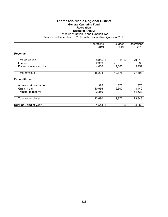#### **Thompson-Nicola Regional District General Operating Fund Recreation Electoral Area M**

Schedule of Revenue and Expenditures

|                                                              | Operations<br>2019               | <b>Budget</b><br>2019 | Operations<br>2018       |
|--------------------------------------------------------------|----------------------------------|-----------------------|--------------------------|
| Revenue:                                                     |                                  |                       |                          |
| Tax requisition<br>Interest<br>Previous year's surplus       | \$<br>8,815 \$<br>2,359<br>4,060 | 8,815 \$<br>4,060     | 70,618<br>1,033<br>5,757 |
| Total revenue                                                | 15,234                           | 12,875                | 77,408                   |
| <b>Expenditures:</b>                                         |                                  |                       |                          |
| Administration charge<br>Grant-in-aid<br>Transfer to reserve | 375<br>10,956<br>2,359           | 375<br>12,500         | 375<br>8,440<br>64,533   |
| Total expenditures                                           | 13,690                           | 12,875                | 73,348                   |
| Surplus - end of year                                        | \$<br>$1,544$ \$                 | \$                    | 4,060                    |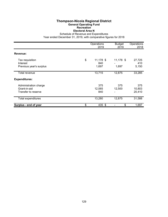## **Thompson-Nicola Regional District General Operating Fund Recreation Electoral Area N**

Schedule of Revenue and Expenditures

|                                                              | Operations<br>2019 |                             |                    | Operations<br>2018      |  |
|--------------------------------------------------------------|--------------------|-----------------------------|--------------------|-------------------------|--|
| Revenue:                                                     |                    |                             |                    |                         |  |
| Tax requisition<br>Interest<br>Previous year's surplus       | \$                 | $11,178$ \$<br>840<br>1,697 | 11,178 \$<br>1,697 | 27,725<br>410<br>5,150  |  |
| Total revenue                                                |                    | 13,715                      | 12,875             | 33,285                  |  |
| <b>Expenditures:</b>                                         |                    |                             |                    |                         |  |
| Administration charge<br>Grant-in-aid<br>Transfer to reserve |                    | 375<br>12,065<br>840        | 375<br>12,500      | 375<br>10,803<br>20,410 |  |
| Total expenditures                                           |                    | 13,280                      | 12,875             | 31,588                  |  |
| Surplus - end of year                                        | \$                 | 435 \$                      | \$                 | 1,697                   |  |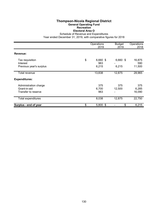### **Thompson-Nicola Regional District General Operating Fund Recreation Electoral Area O**

Schedule of Revenue and Expenditures

|                                       |    | Operations<br>2019 | <b>Budget</b><br>2019 | Operations<br>2018 |  |
|---------------------------------------|----|--------------------|-----------------------|--------------------|--|
| Revenue:                              |    |                    |                       |                    |  |
| Tax requisition<br>Interest           | \$ | $6,660$ \$<br>963  | 6,660 \$              | 16,875<br>590      |  |
| Previous year's surplus               |    | 6,215              | 6,215                 | 11,500             |  |
| Total revenue                         |    | 13,838             | 12,875                | 28,965             |  |
| <b>Expenditures:</b>                  |    |                    |                       |                    |  |
| Administration charge<br>Grant-in-aid |    | 375                | 375                   | 375                |  |
| Transfer to reserve                   |    | 6,700<br>963       | 12,500<br>-           | 6,285<br>16,090    |  |
| Total expenditures                    |    | 8,038              | 12,875                | 22,750             |  |
| Surplus - end of year                 | \$ | $5,800$ \$         | \$                    | 6,215              |  |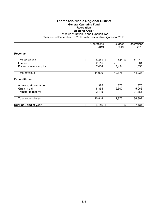### **Thompson-Nicola Regional District General Operating Fund Recreation Electoral Area P**

Schedule of Revenue and Expenditures

|                                                              | Operations<br>2019 | <b>Budget</b><br>2019 | Operations<br>2018 |                        |
|--------------------------------------------------------------|--------------------|-----------------------|--------------------|------------------------|
| Revenue:                                                     |                    |                       |                    |                        |
| Tax requisition<br>Interest                                  | \$                 | $5,441$ \$<br>2,115   | $5,441$ \$         | 41,219<br>1,361        |
| Previous year's surplus                                      |                    | 7,434                 | 7,434              | 1,656                  |
| Total revenue                                                |                    | 14,990                | 12,875             | 44,236                 |
| <b>Expenditures:</b>                                         |                    |                       |                    |                        |
| Administration charge<br>Grant-in-aid<br>Transfer to reserve |                    | 375<br>8,354<br>2,115 | 375<br>12,500      | 375<br>5,066<br>31,361 |
| Total expenditures                                           |                    | 10,844                | 12,875             | 36,802                 |
| Surplus - end of year                                        | \$                 | $4,146$ \$            | \$                 | 7,434                  |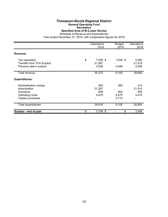# **Thompson-Nicola Regional District**

**General Operating Fund**

**Recreation**

**Specified Area of M (Lower Nicola)**

Schedule of Revenue and Expenditures

|                                                     | Operations<br>2019       | <b>Budget</b><br>2019 | Operations<br>2018 |
|-----------------------------------------------------|--------------------------|-----------------------|--------------------|
| Revenue:                                            |                          |                       |                    |
| Tax requisition<br><b>Transfer from TCA Surplus</b> | \$<br>7,059 \$<br>21,267 | 7,059 \$              | 5,282<br>21,510    |
| Previous year's surplus                             | 2,046                    | 2,046                 | 2,058              |
| Total revenue                                       | 30,372                   | 9,105                 | 28,850             |
| <b>Expenditures:</b>                                |                          |                       |                    |
| Administration charge                               | 265                      | 265                   | 214                |
| Amortization                                        | 21,267                   |                       | 21,510             |
| Insurance                                           | 609                      | 650                   | 605                |
| Operating costs                                     | 4,475                    | 4,475                 | 4,475              |
| Capital purchases                                   |                          | 3,715                 |                    |
| Total expenditures                                  | 26,616                   | 9,105                 | 26,804             |
| Surplus - end of year                               | \$<br>$3,756$ \$         | \$                    | 2,046              |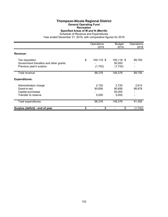# **Thompson-Nicola Regional District**

**General Operating Fund**

**Recreation**

**Specified Areas of M and N (Merritt)**

Schedule of Revenue and Expenditures

|                                                                                     | Operations<br>2019          | <b>Budget</b><br>2019              | Operations<br>2018 |
|-------------------------------------------------------------------------------------|-----------------------------|------------------------------------|--------------------|
| Revenue:                                                                            |                             |                                    |                    |
| Tax requisition<br>Government transfers and other grants<br>Previous year's surplus | \$<br>100,118 \$<br>(1,742) | 100,118 \$<br>50,000<br>(1,742)    | 89,750<br>-        |
| Total revenue                                                                       | 98,376                      | 148,376                            | 89,750             |
| <b>Expenditures:</b>                                                                |                             |                                    |                    |
| Administration charge<br>Grant-in-aid<br>Capital purchases<br>Transfer to reserve   | 2,720<br>90,656<br>5,000    | 2,720<br>90,656<br>50,000<br>5,000 | 2,614<br>88,878    |
| Total expenditures                                                                  | 98,376                      | 148,376                            | 91,492             |
| Surplus (deficit) - end of year                                                     | \$<br>\$                    | \$                                 | (1, 742)           |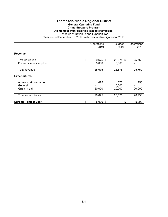#### **Thompson-Nicola Regional District General Operating Fund Crime Stoppers Program All Member Municipalities (except Kamloops)**

Schedule of Revenue and Expenditures

|                                                  | Operations<br>2019       | <b>Budget</b><br>2019  | Operations<br>2018 |
|--------------------------------------------------|--------------------------|------------------------|--------------------|
| Revenue:                                         |                          |                        |                    |
| Tax requisition<br>Previous year's surplus       | \$<br>20,675 \$<br>5,000 | 20,675 \$<br>5,000     | 25,750             |
| Total revenue                                    | 25,675                   | 25,675                 | 25,750             |
| <b>Expenditures:</b>                             |                          |                        |                    |
| Administration charge<br>General<br>Grant-in-aid | 675<br>20,000            | 675<br>5,000<br>20,000 | 750<br>20,000      |
| Total expenditures                               | 20,675                   | 25,675                 | 20,750             |
| Surplus - end of year                            | \$<br>$5,000$ \$         | \$                     | 5,000              |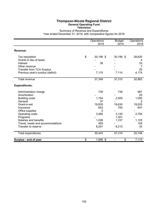## **Thompson-Nicola Regional District General Operating Fund**

**Television**

Summary of Revenue and Expenditures

|                                   | Operations<br>2019 | <b>Budget</b><br>2019          | Operations<br>2018 |
|-----------------------------------|--------------------|--------------------------------|--------------------|
| Revenue:                          |                    |                                |                    |
| Tax requisition                   | \$<br>$30,196$ \$  | 30,196 \$                      | 28,620             |
| Grants in lieu of taxes           |                    |                                | 4                  |
| Interest                          | 38                 |                                | 33                 |
| Other revenue                     |                    |                                | 7                  |
| <b>Transfer from TCA Surplus</b>  |                    |                                | 25                 |
| Previous year's surplus (deficit) | 7,115              | 7,114                          | 4,174              |
| <b>Total revenue</b>              | 37,349             | 37,310                         | 32,863             |
| <b>Expenditures:</b>              |                    |                                |                    |
| Administration charge             | 739                | 739                            | 987                |
| Amortization                      |                    |                                | 25                 |
| <b>Building costs</b>             | 1,154              | 2,500                          | 1,050              |
| General                           | 37                 |                                | 2                  |
| Grant-in-aid                      | 19,630             | 19,630                         | 19,025             |
| Insurance                         | 652                | 700                            | 647                |
| Office supplies                   | 2                  |                                |                    |
| Operating costs                   | 3,485              | 3,120                          | 2,750              |
| Programs                          |                    | 1,301                          |                    |
| Salaries and benefits             | 1,038              | 1,107                          | 1,125              |
| Travel, meals and accommodations  | 455                |                                | 104                |
| Transfer to reserve               | 8,251              | 8,213                          | 33                 |
| Total expenditures                | 35,443             | 37,310                         | 25,748             |
| Surplus - end of year             | \$<br>1,906 \$     | \$<br>$\overline{\phantom{0}}$ | 7,115              |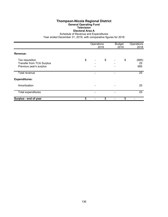#### **Thompson-Nicola Regional District General Operating Fund Television Electoral Area A**

Schedule of Revenue and Expenditures

|                                                                                | Operations | 2019 | <b>Budget</b><br>2019 | Operations<br>2018 |
|--------------------------------------------------------------------------------|------------|------|-----------------------|--------------------|
| Revenue:                                                                       |            |      |                       |                    |
| Tax requisition<br><b>Transfer from TCA Surplus</b><br>Previous year's surplus | \$         | \$   | \$                    | (685)<br>25<br>685 |
| Total revenue                                                                  |            |      |                       | 25                 |
| <b>Expenditures:</b>                                                           |            |      |                       |                    |
| Amortization                                                                   |            |      |                       | 25                 |
| Total expenditures                                                             |            |      |                       | 25                 |
| Surplus - end of year                                                          | \$         | \$   | \$                    |                    |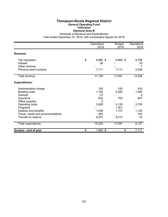#### **Thompson-Nicola Regional District General Operating Fund Television Electoral Area B**

Schedule of Revenue and Expenditures

|                                  | Operations<br>2019 | <b>Budget</b><br>2019 | Operations<br>2018 |
|----------------------------------|--------------------|-----------------------|--------------------|
|                                  |                    |                       |                    |
| Revenue:                         |                    |                       |                    |
| Tax requisition                  | \$<br>$9,980$ \$   | $9,980$ \$            | 9,759              |
| Interest                         | 38                 |                       | 33                 |
| Other revenue                    |                    |                       |                    |
| Previous year's surplus          | 7,111              | 7,111                 | 3,439              |
| Total revenue                    | 17,129             | 17,091                | 13,238             |
| <b>Expenditures:</b>             |                    |                       |                    |
| Administration charge            | 150                | 150                   | 416                |
| <b>Building costs</b>            | 1,154              | 2,500                 | 1,050              |
| General                          | 37                 |                       | 2                  |
| Insurance                        | 652                | 700                   | 647                |
| Office supplies                  | 2                  |                       |                    |
| Operating costs                  | 3,485              | 3,120                 | 2,750              |
| Programs                         |                    | 1,301                 |                    |
| Salaries and benefits            | 1,038              | 1,107                 | 1,125              |
| Travel, meals and accommodations | 455                |                       | 104                |
| Transfer to reserve              | 8,251              | 8,213                 | 33                 |
| Total expenditures               | 15,224             | 17,091                | 6,127              |
| Surplus - end of year            | \$<br>1,905 \$     | \$                    | 7,111              |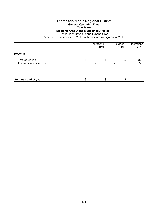## **Thompson-Nicola Regional District**

**General Operating Fund**

**Television**

## **Electoral Area O and a Specified Area of P**

Schedule of Revenue and Expenditures

|                                            | Operations<br>2019    |    | <b>Budget</b><br>2019 |    | Operations<br>2018 |
|--------------------------------------------|-----------------------|----|-----------------------|----|--------------------|
| Revenue:                                   |                       |    |                       |    |                    |
| Tax requisition<br>Previous year's surplus | \$<br>$\qquad \qquad$ | \$ |                       | \$ | (50)<br>50         |
|                                            |                       |    |                       |    |                    |
| Surplus - end of year                      |                       | \$ |                       | \$ |                    |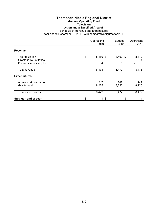# **Thompson-Nicola Regional District**

**General Operating Fund**

#### **Television Lytton and a Specified Area of I**

Schedule of Revenue and Expenditures

|                                                    | Operations<br>2019   | <b>Budget</b><br>2019 | Operations<br>2018 |
|----------------------------------------------------|----------------------|-----------------------|--------------------|
| Revenue:                                           |                      |                       |                    |
| Tax requisition                                    | \$<br>8,469 \$       | 8,469 \$              | 8,472              |
| Grants in lieu of taxes<br>Previous year's surplus | 4                    | 3                     | 4                  |
| Total revenue                                      | 8,473                | 8,472                 | 8,476              |
| <b>Expenditures:</b>                               |                      |                       |                    |
| Administration charge<br>Grant-in-aid              | 247<br>8,225         | 247<br>8,225          | 247<br>8,225       |
| Total expenditures                                 | 8,472                | 8,472                 | 8,472              |
| Surplus - end of year                              | \$<br>1 <sup>°</sup> | \$                    | 4                  |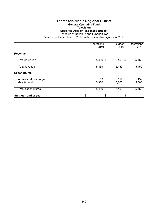## **Thompson-Nicola Regional District General Operating Fund**

**Television Specified Area of I (Spences Bridge)**

Schedule of Revenue and Expenditures

|                                       | Operations<br>2019 |              | Operations<br>2018 |  |
|---------------------------------------|--------------------|--------------|--------------------|--|
| Revenue:                              |                    |              |                    |  |
| Tax requisition                       | \$<br>5,459 \$     | 5,459 \$     | 5,459              |  |
| Total revenue                         | 5,459              | 5,459        | 5,459              |  |
| <b>Expenditures:</b>                  |                    |              |                    |  |
| Administration charge<br>Grant-in-aid | 159<br>5,300       | 159<br>5,300 | 159<br>5,300       |  |
| Total expenditures                    | 5,459              | 5,459        | 5,459              |  |
| Surplus - end of year                 | \$<br>\$           | \$           |                    |  |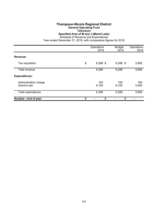#### **Thompson-Nicola Regional District General Operating Fund Television Specified Area of M and J (Mamit Lake)**

Schedule of Revenue and Expenditures

|                                       | Operations<br>2019 | <b>Budget</b><br>2019 | Operations<br>2018 |
|---------------------------------------|--------------------|-----------------------|--------------------|
| Revenue:                              |                    |                       |                    |
| Tax requisition                       | \$<br>$6,288$ \$   | $6,288$ \$            | 5,665              |
| Total revenue                         | 6,288              | 6,288                 | 5,665              |
| <b>Expenditures:</b>                  |                    |                       |                    |
| Administration charge<br>Grant-in-aid | 183<br>6,105       | 183<br>6,105          | 165<br>5,500       |
| Total expenditures                    | 6,288              | 6,288                 | 5,665              |
| Surplus - end of year                 | \$<br>\$           | \$                    |                    |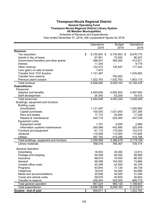### **Thompson-Nicola Regional District General Operating Fund Thompson-Nicola Regional District Library System All Member Municipalities**

Schedule of Revenue and Expenditures

|                                          | Operations         | <b>Budget</b>                | Operations      |
|------------------------------------------|--------------------|------------------------------|-----------------|
|                                          | 2019               | 2019                         | 2018            |
| <b>Revenue:</b>                          |                    |                              |                 |
| Tax requisition                          | \$<br>6,730,853 \$ | 6,730,853 \$                 | 6,676,770       |
| Grants in lieu of taxes                  | 97,951             | 70,000                       | 96,207          |
| Government transfers and other grants    | 388,047            | 350,000                      | 412,671         |
| Interest                                 | 11,204             | $\qquad \qquad \blacksquare$ | 9,775           |
| Other revenue                            | 122,472            | 125,547                      | 117,243         |
| Loss (gain) on sale of assets            | 1,873              |                              |                 |
| <b>Transfer from TCA Surplus</b>         | 1,131,497          |                              | 1,030,662       |
| Transfer from reserve                    |                    | 750,000                      |                 |
| Previous year's surplus                  | 1,022,763          | 1,022,763                    | 1,803,110       |
| Total revenue                            | 9,506,660          | 9,049,163                    | 10,146,438      |
| <b>Expenditures:</b>                     |                    |                              |                 |
| Personnel                                |                    |                              |                 |
| Salaries and benefits                    | 4,450,608          | 4,900,000                    | 4,487,650       |
| Staff development                        | 34,340             | 53,200                       | 18,415          |
| Total personnel                          | 4,484,948          | 4,953,200                    | 4,506,065       |
| Buildings, equipment and furniture       |                    |                              |                 |
| <b>Building costs</b>                    |                    |                              |                 |
| Amortization                             | 1,131,497          |                              | 1,030,662       |
| Capital purchases                        | 100,000            | 1,021,000                    | 237,285         |
| Rent and leases                          | 17,172             | 20,000                       | 17,326          |
| Repairs & maintenance                    | 245,716            | 225,000                      | 447,039         |
| <b>Equipment costs</b>                   |                    |                              |                 |
| Equipment rental                         | 1,791              | 6,500                        | 2,999           |
| Information systems maintenance          | 290,088            | 452,690                      | 320,509         |
| Furniture and equipment                  | 61,115             | 110,000                      | 133,015         |
| Janitorial                               | 115,058            | 112,000                      | 110,565         |
| <b>Utilities</b>                         | 397,162            | 419,286                      | 419,789         |
| Total buildings, equipment and furniture | 2,359,599          | 2,366,476                    | 2,719,189       |
| Library materials                        | 768,018            | 769,367                      | 729,774         |
| <b>General Operation</b>                 |                    |                              |                 |
| Advertising                              | 18,553             | 20,000                       | 12,813          |
| Postage and shipping                     | 94,049             | 94,000                       | 99,956          |
| Insurance                                | 68,919             | 75,000                       | 66,302          |
| General                                  | 68,098             | 104,000                      | 73,866          |
| Outside office costs                     | 40,259             | 42,500                       | 40,378          |
| Programs                                 | 93,844             | 71,120                       | 38,738          |
| Telephone                                | 78,616             | 54,000                       | 84,969          |
| Meals and accommodations                 | 30,006             | 34,500                       | 31,046          |
| Travel and vehicle costs                 | 58,676             | 40,000                       | 30,804          |
| Transfer to reserve                      | 436,204            | 425,000                      | 689,775         |
| Total general operation                  | 987,224            | 960,120                      | 1,168,647       |
| <b>Total expenditures</b>                | 8,599,789          | 9,049,163                    | 9,123,675       |
| Surplus - end of year                    | \$<br>906,871 \$   |                              | \$<br>1,022,763 |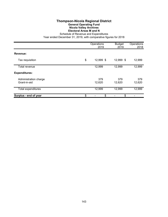## **Thompson-Nicola Regional District General Operating Fund Nicola Valley Archives Electoral Areas M and N**

Schedule of Revenue and Expenditures

|                                       | Operations<br>2019 | <b>Budget</b><br>2019 | Operations<br>2018 |
|---------------------------------------|--------------------|-----------------------|--------------------|
| Revenue:                              |                    |                       |                    |
| Tax requisition                       | \$<br>12,999 \$    | 12,999 \$             | 12,999             |
| Total revenue                         | 12,999             | 12,999                | 12,999             |
| <b>Expenditures:</b>                  |                    |                       |                    |
| Administration charge<br>Grant-in-aid | 379<br>12,620      | 379<br>12,620         | 379<br>12,620      |
| <b>Total expenditures</b>             | 12,999             | 12,999                | 12,999             |
| Surplus - end of year                 | \$<br>\$           | \$                    |                    |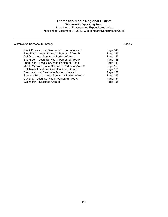# **Thompson-Nicola Regional District**

**Waterworks Operating Fund**

Schedules of Revenue and Expenditures Index Year ended December 31, 2019, with comparative figures for 2018

### Waterworks Services: Summary **Page 7** Number 2014 19:30 Number 2014

| Black Pines - Local Service in Portion of Area P    | Page 145 |
|-----------------------------------------------------|----------|
| Blue River - Local Service in Portion of Area B     | Page 146 |
| Del Oro - Local Service in Portion of Area L        | Page 147 |
| Evergreen - Local Service in Portion of Area P      | Page 148 |
| Loon Lake - Local Service in Portion of Area E      | Page 149 |
| Maple Mission - Local Service in Portion of Area O  | Page 150 |
| Pritchard - Local Service in Portion of Area P      | Page 151 |
| Savona - Local Service in Portion of Area J         | Page 152 |
| Spences Bridge - Local Service in Portion of Area I | Page 153 |
| Vavenby - Local Service in Portion of Area A        | Page 154 |
| Walhachin - Specified Area of I                     | Page 155 |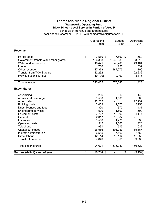### **Thompson-Nicola Regional District Waterworks Operating Fund Black Pines - Local Service in Portion of Area P**

Schedule of Revenue and Expenditures Year ended December 31, 2019, with comparative figures for 2018

Operations Budget Operations 2019 2019 2018 **Revenue:** Parcel taxes **8 7,560 \$ 7,560 \$ 7,560 \$ 7,560** Government transfers and other grants<br>
Water and sewer tolls
126,368
1,045,983
58,512
48,421
43,200
49,104 Water and sewer tolls Interest 700 225 539 Other revenue 27,373 487,273 100 Transfer from TCA Surplus 22,232 - 22,232 22,232 Previous year's surplus (9,199) (9,199) 3,376 Total revenue 223,455 1,575,042 141,423 **Expenditures:** Advertising 145<br>
Administration charge 1.500<br>
Administration charge 1.500<br>
296 1.500<br>
1.500 1.500 Administration charge Amortization 22,232 - 22,232 Building costs 2,053 2,575 2,158 Dues, licences and fees 670 and the state of the 320 670 and 431 Engineering services and the services of the services of the services of the services of the services of the services of the services of the services of the services of the services of the services of the services of the s Equipment costs 6 and 10,690 and 147 General 2,017 19,382 - Insurance 1,558 1,775 1,538 Operating costs 1,512 1,503 1,423 Telephone 931 615 632 Capital purchases 126,556 1,505,983 85,867<br>
Indirect administration 1,505,983 85,867<br>
6,515 7,560 7,560 Indirect administration Direct labour 12,114 12,114 11,653 Transfer to reserve 8,865 9,836 Total expenditures 194,671 1,575,042 150,622 **Surplus (deficit) - end of year \$** 28,784 \$ - \$ (9,199)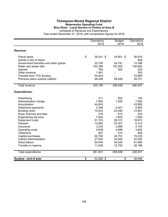### **Thompson-Nicola Regional District Waterworks Operating Fund Blue River - Local Service in Portion of Area B**

Schedule of Revenue and Expenditures

|                                       | Operations<br>2019 | <b>Budget</b><br>2019 | Operations<br>2018 |
|---------------------------------------|--------------------|-----------------------|--------------------|
| Revenue:                              |                    |                       |                    |
| Parcel taxes                          | \$<br>36,241 \$    | 34,801 \$             | 36,819             |
| Grants in lieu of taxes               |                    |                       | 828                |
| Government transfers and other grants | 20,750             | 24,791                | 14,399             |
| Water and sewer tolls                 | 152,399            | 150,300               | 150,063            |
| Interest                              | 765                | 500                   | 302                |
| Other revenue                         | 1,941              |                       | 350                |
| <b>Transfer from TCA Surplus</b>      | 44,643             |                       | 43,995             |
| Previous year's surplus (deficit)     | 48,456             | 48,456                | 39,701             |
| <b>Total revenue</b>                  | 305,195            | 258,848               | 286,457            |
| <b>Expenditures:</b>                  |                    |                       |                    |
| Advertising                           | 311                | 822                   | 102                |
| Administration charge                 | 7,500              | 7,500                 | 7,500              |
| Amortization                          | 44,643             |                       | 43,995             |
| Debenture payments                    | 2,306              | 2,401                 | 2,802              |
| <b>Building costs</b>                 | 14,933             | 22,495                | 14,961             |
| Dues, licences and fees               | 219                | 812                   | 223                |
| <b>Engineering services</b>           | 7,500              | 7,500                 | 7,500              |
| <b>Equipment costs</b>                | 51,153             | 29,101                | 18,872             |
| General                               | 10,882             | 57,027                | 6,313              |
| Insurance                             | 3,234              | 3,568                 | 3,150              |
| Operating costs                       | 4,638              | 4,689                 | 3,924              |
| Telephone                             | 847                | 914                   | 846                |
| Capital purchases                     | 20,750             | 24,791                | 15,235             |
| Indirect administration               | 27,922             | 32,400                | 32,400             |
| Direct labour                         | 54,045             | 54,045                | 51,990             |
| Transfer to reserve                   | 11,048             | 10,783                | 28,188             |
| Total expenditures                    | 261,931            | 258,848               | 238,001            |
| Surplus - end of year                 | \$<br>43,264 \$    | \$                    | 48,456             |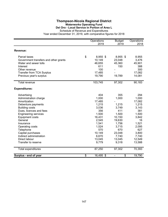#### **Thompson-Nicola Regional District Waterworks Operating Fund Del Oro - Local Service in Portion of Area L**

Schedule of Revenue and Expenditures

|                                       | Operations      | <b>Budget</b> | Operations |
|---------------------------------------|-----------------|---------------|------------|
|                                       | 2019            | 2019          | 2018       |
| Revenue:                              |                 |               |            |
| Parcel taxes                          | \$<br>8,955 \$  | 8,955 \$      | 8,955      |
| Government transfers and other grants | 10,149          | 23,048        | 3,476      |
| Water and sewer tolls                 | 46,655          | 45,360        | 45,901     |
| Interest                              | 611             | 150           | 388        |
| Other revenue                         | 100             |               | 300        |
| <b>Transfer from TCA Surplus</b>      | 17,485          |               | 17,082     |
| Previous year's surplus               | 19,790          | 19,789        | 14,081     |
| Total revenue                         | 103,745         | 97,302        | 90,183     |
| <b>Expenditures:</b>                  |                 |               |            |
| Advertising                           | 404             | 355           | 294        |
| Administration charge                 | 1,000           | 1,000         | 1,000      |
| Amortization                          | 17,485          |               | 17,082     |
| Debenture payments                    | 1,215           | 1,215         | 1,215      |
| <b>Building costs</b>                 | 3,036           | 3,749         | 3,143      |
| Dues, licences and fees               | 356             | 411           | 381        |
| <b>Engineering services</b>           | 1,500           | 1,500         | 1,500      |
| <b>Equipment costs</b>                | 16,431          | 10,150        | 3,842      |
| General                               | 2,545           | 19,630        | 16         |
| Insurance                             | 1,541           | 1,756         | 1,521      |
| Operating costs                       | 1,524           | 3,715         | 2,095      |
| Telephone                             | 570             | 670           | 627        |
| Capital purchases                     | 10,149          | 23,048        | 3,800      |
| Indirect administration               | 6,670           | 7,740         | 7,740      |
| Direct labour                         | 13,045          | 13,045        | 12,549     |
| Transfer to reserve                   | 9,779           | 9,318         | 13,588     |
| Total expenditures                    | 87,250          | 97,302        | 70,393     |
| Surplus - end of year                 | \$<br>16,495 \$ | \$            | 19,790     |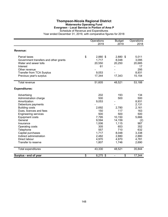#### **Thompson-Nicola Regional District Waterworks Operating Fund Evergreen - Local Service in Portion of Area P**

Schedule of Revenue and Expenditures

|                                       | Operations<br>2019 | <b>Budget</b><br>2019 | Operations<br>2018 |
|---------------------------------------|--------------------|-----------------------|--------------------|
| <b>Revenue:</b>                       |                    |                       |                    |
| Parcel taxes                          | \$<br>2,880 \$     | 2,880 \$              | 5,011              |
| Government transfers and other grants | 1,717              | 8,048                 | 3,095              |
| Water and sewer tolls                 | 20,550             | 20,250                | 20,685             |
| Interest                              | 61                 |                       | 17                 |
| Other revenue                         |                    |                       | 295                |
| <b>Transfer from TCA Surplus</b>      | 9,053              |                       | 8,931              |
| Previous year's surplus               | 17,344             | 17,343                | 15,154             |
| <b>Total revenue</b>                  | 51,605             | 48,521                | 53,188             |
| <b>Expenditures:</b>                  |                    |                       |                    |
| Advertising                           | 202                | 193                   | 134                |
| Administration charge                 | 500                | 500                   | 500                |
| Amortization                          | 9,053              |                       | 8,931              |
| Debenture payments                    |                    |                       | 2,131              |
| <b>Building costs</b>                 | 2,692              | 2,780                 | 2,161              |
| Dues, licences and fees               | 150                | 117                   | 163                |
| <b>Engineering services</b>           | 500                | 500                   | 500                |
| <b>Equipment costs</b>                | 7,795              | 10,150                | 5,666              |
| General                               | 9,594              | 14,159                | (2)                |
| Insurance                             | 1,006              | 1,115                 | 987                |
| Operating costs                       | 305                | 653                   | 352                |
| Telephone                             | 557                | 710                   | 632                |
| Capital purchases                     | 1,717              | 8,048                 | 3,338              |
| Indirect administration               | 2,482              | 2,880                 | 2,880              |
| Direct labour                         | 4,970              | 4,970                 | 4,781              |
| Transfer to reserve                   | 1,807              | 1,746                 | 2,690              |
| <b>Total expenditures</b>             | 43,330             | 48,521                | 35,844             |
| Surplus - end of year                 | \$<br>8,275 \$     | \$                    | 17,344             |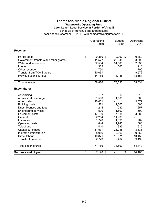#### **Thompson-Nicola Regional District Waterworks Operating Fund Loon Lake - Local Service in Portion of Area E**

Schedule of Revenue and Expenditures

|                                       |                 | Operations<br>2019 | <b>Budget</b><br>2019 | Operations<br>2018 |
|---------------------------------------|-----------------|--------------------|-----------------------|--------------------|
|                                       |                 |                    |                       |                    |
| Revenue:                              |                 |                    |                       |                    |
| Parcel taxes                          | \$              | 9,360 \$           | 9,360 \$              | 9,360              |
| Government transfers and other grants |                 | 11,577             | 23,048                | 3,095              |
| Water and sewer tolls                 |                 | 32,584             | 31,500                | 32,535             |
| Interest                              |                 | 369                | 500                   | 218                |
| Other revenue                         |                 | 750                |                       | 700                |
| <b>Transfer from TCA Surplus</b>      |                 | 10,061             |                       | 9,572              |
| Previous year's surplus               |                 | 14,185             | 14,185                | 13,154             |
| <b>Total revenue</b>                  |                 | 78,886             | 78,593                | 68,634             |
|                                       |                 |                    |                       |                    |
| <b>Expenditures:</b>                  |                 |                    |                       |                    |
| Advertising                           |                 | 187                | 310                   | 210                |
| Administration charge                 |                 | 1,500              | 1,500                 | 1,500              |
| Amortization                          |                 | 10,061             |                       | 9,572              |
| <b>Building costs</b>                 |                 | 1,521              | 2,000                 | 1,606              |
| Dues, licences and fees               |                 | 244                | 280                   | 257                |
| <b>Engineering services</b>           |                 | 1,500              | 1,500                 | 1,500              |
| <b>Equipment costs</b>                |                 | 17,180             | 7,815                 | 3,889              |
| General                               |                 | 2,254              | 14,930                |                    |
| Insurance                             |                 | 1,778              | 1,895                 | 1,762              |
| Operating costs                       |                 | 844                | 1,745                 | 888                |
| Telephone                             |                 | 1,410              | 935                   | 910                |
| Capital purchases                     |                 | 11,577             | 23,048                | 3,338              |
| Indirect administration               |                 | 8,066              | 9,360                 | 9,360              |
| Direct labour                         |                 | 10,871             | 10,871                | 10,458             |
| Transfer to reserve                   |                 | 2,773              | 2,404                 | 9,199              |
| Total expenditures                    |                 | 71,766             | 78,593                | 54,449             |
| Surplus - end of year                 | $\overline{\$}$ | 7,120 \$           | \$                    | 14,185             |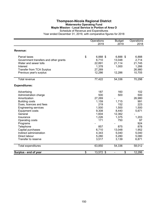#### **Thompson-Nicola Regional District Waterworks Operating Fund Maple Mission - Local Service in Portion of Area O** Schedule of Revenue and Expenditures

Year ended December 31, 2019, with comparative figures for 2018

|                                                                                                                                                                                                                                                                                                                               | Operations<br>2019                                                                                                         | <b>Budget</b><br>2019                                                                                              | Operations<br>2018                                                                                                    |
|-------------------------------------------------------------------------------------------------------------------------------------------------------------------------------------------------------------------------------------------------------------------------------------------------------------------------------|----------------------------------------------------------------------------------------------------------------------------|--------------------------------------------------------------------------------------------------------------------|-----------------------------------------------------------------------------------------------------------------------|
| Revenue:                                                                                                                                                                                                                                                                                                                      |                                                                                                                            |                                                                                                                    |                                                                                                                       |
| Parcel taxes<br>Government transfers and other grants<br>Water and sewer tolls<br>Interest<br><b>Transfer from TCA Surplus</b><br>Previous year's surplus                                                                                                                                                                     | \$<br>6,888 \$<br>6,710<br>22,891<br>1,378<br>27,269<br>12,286                                                             | 6,888 \$<br>13,048<br>21,114<br>1,000<br>12,286                                                                    | 6,888<br>2,714<br>21,745<br>1,266<br>26,980<br>10,705                                                                 |
| <b>Total revenue</b>                                                                                                                                                                                                                                                                                                          | 77,422                                                                                                                     | 54,336                                                                                                             | 70,298                                                                                                                |
| <b>Expenditures:</b>                                                                                                                                                                                                                                                                                                          |                                                                                                                            |                                                                                                                    |                                                                                                                       |
| Advertising<br>Administration charge<br>Amortization<br><b>Building costs</b><br>Dues, licences and fees<br><b>Engineering services</b><br><b>Equipment costs</b><br>General<br>Insurance<br>Operating costs<br>Programs<br>Telephone<br>Capital purchases<br>Indirect administration<br>Direct labour<br>Transfer to reserve | 187<br>500<br>27,269<br>1,159<br>219<br>1,500<br>9,308<br>1,604<br>1,226<br>171<br>857<br>6,710<br>4,343<br>5,280<br>3,517 | 160<br>500<br>1,715<br>152<br>1,500<br>8,440<br>12,362<br>1,375<br>750<br>875<br>13,048<br>5,040<br>5,280<br>3,139 | 102<br>500<br>26,980<br>991<br>223<br>1,500<br>5,671<br>1,203<br>97<br>924<br>878<br>1,952<br>5,040<br>5,080<br>6,871 |
| Total expenditures                                                                                                                                                                                                                                                                                                            | 63,850                                                                                                                     | 54,336                                                                                                             | 58,012                                                                                                                |
| Surplus - end of year                                                                                                                                                                                                                                                                                                         | \$<br>13,572 \$                                                                                                            | \$                                                                                                                 | 12,286                                                                                                                |

150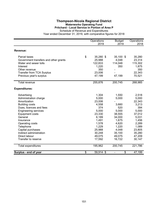#### **Thompson-Nicola Regional District Waterworks Operating Fund Pritchard - Local Service in Portion of Area P**

Schedule of Revenue and Expenditures

|                                       | Operations<br>2019 | <b>Budget</b><br>2019 | Operations<br>2018 |
|---------------------------------------|--------------------|-----------------------|--------------------|
| Revenue:                              |                    |                       |                    |
| Parcel taxes                          | \$<br>35,280 \$    | 35,100 \$             | 35,280             |
| Government transfers and other grants | 25,988             | 4,048                 | 23,314             |
| Water and sewer tolls                 | 122,833            | 114,048               | 115,302            |
| Interest                              | 1,220              | 350                   | 1,875              |
| Other revenue                         | 350                |                       | 350                |
| <b>Transfer from TCA Surplus</b>      | 23,006             |                       | 22,343             |
| Previous year's surplus               | 47,199             | 47,199                | 70,521             |
| <b>Total revenue</b>                  | 255,876            | 200,745               | 268,985            |
| <b>Expenditures:</b>                  |                    |                       |                    |
| Advertising                           | 1,304              | 1,550                 | 2,518              |
| Administration charge                 | 5,000              | 5,000                 | 5,000              |
| Amortization                          | 23,006             |                       | 22,343             |
| <b>Building costs</b>                 | 4,558              | 3,660                 | 3,213              |
| Dues, licences and fees               | 374                | 520                   | 394                |
| <b>Engineering services</b>           | 5,000              | 5,000                 | 5,000              |
| <b>Equipment costs</b>                | 23,330             | 38,555                | 37,012             |
| General                               | 6,189              | 34,000                | 5,031              |
| Insurance                             | 1,491              | 1,675                 | 1,456              |
| Operating costs                       | 1,578              | 4,620                 | 2,289              |
| Telephone                             | 1,229              | 1,220                 | 1,089              |
| Capital purchases                     | 25,988             | 4,048                 | 23,805             |
| Indirect administration               | 30,248             | 35,100                | 35,280             |
| Direct labour                         | 49,075             | 49,075                | 47,209             |
| Transfer to reserve                   | 17,592             | 16,722                | 30,147             |
| Total expenditures                    | 195,962            | 200,745               | 221,786            |
| Surplus - end of year                 | \$<br>59,914 \$    | \$<br>$\blacksquare$  | 47,199             |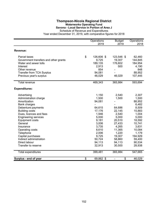### **Thompson-Nicola Regional District Waterworks Operating Fund Savona - Local Service in Portion of Area J**

Schedule of Revenue and Expenditures Year ended December 31, 2019, with comparative figures for 2018

|                                       | Operations<br>2019 | <b>Budget</b><br>2019 | Operations<br>2018 |
|---------------------------------------|--------------------|-----------------------|--------------------|
| <b>Revenue:</b>                       |                    |                       |                    |
| Parcel taxes                          | \$<br>126,606 \$   | 123,546 \$            | 62,460             |
| Government transfers and other grants | 9,725              | 19,307                | 144,845            |
| Water and sewer tolls                 | 189,135            | 176,602               | 184,954            |
| Interest                              | 2,913              | 500                   | 4,190              |
| Other revenue                         | 854                |                       | 848                |
| <b>Transfer from TCA Surplus</b>      | 94,081             |                       | 88,952             |
| Previous year's surplus               | 46,029             | 46,029                | 107,445            |
| <b>Total revenue</b>                  | 469,343            | 365,984               | 593,694            |
| <b>Expenditures:</b>                  |                    |                       |                    |
| Advertising                           | 1,150              | 2,540                 | 2,307              |
| Administration charge                 | 1,500              | 1,500                 | 1,500              |
| Amortization                          | 94,081             |                       | 88,952             |
| Bank charges                          |                    |                       | 6,482              |
| Debenture payments                    | 64,615             | 64,686                | 8,509              |
| <b>Building costs</b>                 | 17,176             | 22,145                | 15,883             |
| Dues, licences and fees               | 1,946              | 2,540                 | 1,004              |
| <b>Engineering services</b>           | 5,000              | 5,000                 | 5,000              |
| <b>Equipment costs</b>                | 9,181              | 20,510                | 18,592             |
| General                               | 3,006              | 27,433                | 10,741             |
| Insurance                             | 3,735              | 4,265                 | 3,631              |
| Operating costs                       | 8,610              | 11,365                | 10,084             |
| Telephone                             | 2,006              | 1,220                 | 1,179              |
| Capital purchases                     | 9,725              | 19,307                | 194,929            |
| Indirect administration               | 50,724             | 58,860                | 59,400             |
| Direct labour                         | 94,113             | 94,113                | 90,534             |
| Transfer to reserve                   | 32,913             | 30,500                | 28,938             |
| Total expenditures                    | 399,481            | 365,984               | 547,665            |
| Surplus - end of year                 | \$<br>69,862 \$    | \$                    | 46,029             |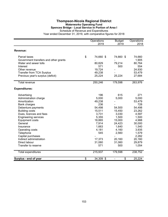#### **Thompson-Nicola Regional District Waterworks Operating Fund Spences Bridge - Local Service in Portion of Area I** Schedule of Revenue and Expenditures

|                                       | Operations<br>2019 | <b>Budget</b><br>2019 | Operations<br>2018 |
|---------------------------------------|--------------------|-----------------------|--------------------|
| Revenue:                              |                    |                       |                    |
| Parcel taxes                          | \$<br>74,660 \$    | 74,660 \$             | 74,660             |
| Government transfers and other grants |                    |                       | 1,905              |
| Water and sewer tolls                 | 80,829             | 79,214                | 80,764             |
| Interest                              | 571                | 500                   | 554                |
| Other revenue                         | 19,724             |                       | 24,930             |
| <b>Transfer from TCA Surplus</b>      | 49,238             |                       | 53,479             |
| Previous year's surplus (deficit)     | 25,224             | 25,224                | 27,684             |
| <b>Total revenue</b>                  | 250,246            | 179,598               | 263,976            |
| <b>Expenditures:</b>                  |                    |                       |                    |
| Advertising                           | 196                | 615                   | 271                |
| Administration charge                 | 5,000              | 5,000                 | 5,000              |
| Amortization                          | 49,238             |                       | 53,479             |
| <b>Bank charges</b>                   | 236                |                       | 728                |
| Debenture payments                    | 54,498             | 54,500                | 54,498             |
| <b>Building costs</b>                 | 15,511             | 15,450                | 23,262             |
| Dues, licences and fees               | 3,731              | 3,030                 | 4,597              |
| <b>Engineering services</b>           | 5,355              | 1,500                 | 1,500              |
| <b>Equipment costs</b>                | 18,865             | 15,000                | 4,988              |
| General                               | 7,914              | 24,423                | 30,000             |
| Insurance                             | 1,663              | 1,640                 | 1,540              |
| Operating costs                       | 4,181              | 4,160                 | 3,935              |
| Telephone                             | 545                | 2,560                 | 1,579              |
| Capital purchases                     |                    |                       | 2,282              |
| Indirect administration               | 17,373             | 20,160                | 20,160             |
| Direct labour                         | 31,060             | 31,060                | 29,879             |
| Transfer to reserve                   | 571                | 500                   | 1,054              |
| Total expenditures                    | 215,937            | 179,598               | 238,752            |
| Surplus - end of year                 | \$<br>34,309 \$    | \$                    | 25,224             |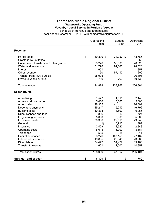### **Thompson-Nicola Regional District Waterworks Operating Fund Vavenby - Local Service in Portion of Area A**

Schedule of Revenue and Expenditures

|                                                                | Operations<br>2019 | <b>Budget</b><br>2019 | Operations<br>2018 |  |
|----------------------------------------------------------------|--------------------|-----------------------|--------------------|--|
| Revenue:                                                       |                    |                       |                    |  |
|                                                                |                    |                       |                    |  |
| Parcel taxes                                                   | \$<br>39,390 \$    | 38,257 \$             | 43,765             |  |
| Grants in lieu of taxes                                        | 23,276             | 50,038                | 655<br>26,628      |  |
| Government transfers and other grants<br>Water and sewer tolls | 101,796            | 91,800                | 98,520             |  |
| Interest                                                       | 601                |                       | 357                |  |
| Other revenue                                                  | 150                | 57,112                | 200                |  |
| <b>Transfer from TCA Surplus</b>                               | 28,905             |                       | 26,301             |  |
| Previous year's surplus                                        | 760                | 760                   | 10,438             |  |
|                                                                |                    |                       |                    |  |
| Total revenue                                                  | 194,878            | 237,967               | 206,864            |  |
| <b>Expenditures:</b>                                           |                    |                       |                    |  |
| Advertising                                                    | 1,577              | 1,015                 | 2,140              |  |
| Administration charge                                          | 5,000              | 5,000                 | 5,000              |  |
| Amortization                                                   | 28,905             |                       | 26,301             |  |
| Debenture payments                                             | 15,217             | 15,217                | 16,792             |  |
| <b>Building costs</b>                                          | 10,333             | 8,500                 | 9,055              |  |
| Dues, licences and fees                                        | 886                | 810                   | 724                |  |
| <b>Engineering services</b>                                    | 5,000              | 5,000                 | 5,000              |  |
| Equipment costs                                                | 30,336             | 22,610                | 29,943             |  |
| General                                                        | (1)                | 3,913                 | 481                |  |
| Insurance                                                      | 2,409              | 2,620                 | 2,343              |  |
| Operating costs                                                | 8,613              | 6,700                 | 8,564              |  |
| Telephone                                                      | 585                | 915                   | 811                |  |
| Capital purchases                                              | 23,276             | 107,150               | 27,167             |  |
| Indirect administration                                        | 19,855             | 23,040                | 23,760             |  |
| Direct labour                                                  | 34,477             | 34,477                | 33,166             |  |
| Transfer to reserve                                            | 1,601              | 1,000                 | 14,857             |  |
| Total expenditures                                             | 188,069            | 237,967               | 206,104            |  |
| Surplus - end of year                                          | \$<br>6,809 \$     | \$                    | 760                |  |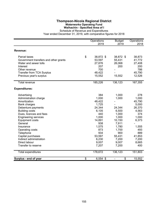### **Thompson-Nicola Regional District Waterworks Operating Fund Walhachin - Specified Area of I**

Schedule of Revenue and Expenditures Year ended December 31, 2019, with comparative figures for 2018

|                                       | Operations<br>2019 | <b>Budget</b><br>2019 | Operations<br>2018 |  |
|---------------------------------------|--------------------|-----------------------|--------------------|--|
| <b>Revenue:</b>                       |                    |                       |                    |  |
| Parcel taxes                          | \$<br>38,872 \$    | 38,872 \$             | 38,873             |  |
| Government transfers and other grants | 53,597             | 55,431                | 41,772             |  |
| Water and sewer tolls                 | 27,876             | 26,068                | 27,408             |  |
| Interest                              | 207                | 200                   | 200                |  |
| Other revenue                         | 700                |                       | 786                |  |
| <b>Transfer from TCA Surplus</b>      | 48,422             |                       | 45,790             |  |
| Previous year's surplus               | 15,552             | 15,552                | 12,526             |  |
| <b>Total revenue</b>                  | 185,226            | 136,123               | 167,355            |  |
| <b>Expenditures:</b>                  |                    |                       |                    |  |
| Advertising                           | 384                | 1,000                 | 278                |  |
| Administration charge                 | 1,000              | 1,000                 | 1,000              |  |
| Amortization                          | 48,422             |                       | 45,790             |  |
| <b>Bank charges</b>                   | 1,725              |                       | 5,000              |  |
| Debenture payments                    | 24,344             | 24,344                | 26,370             |  |
| <b>Building costs</b>                 | 6,105              | 6,500                 | 4,563              |  |
| Dues, licences and fees               | 440                | 1,000                 | 374                |  |
| <b>Engineering services</b>           | 1,000              | 1,000                 | 1,000              |  |
| <b>Equipment costs</b>                | 14,891             | 10,150                | 6,373              |  |
| General                               | 938                | 7,911                 |                    |  |
| Insurance                             | 1,575              | 1,780                 | 1,555              |  |
| Operating costs                       | 873                | 1,700                 | 493                |  |
| Telephone                             | 934                | 900                   | 889                |  |
| Capital purchases                     | 53,597             | 55,431                | 41,853             |  |
| Indirect administration               | 6,230              | 7,200                 | 7,200              |  |
| Direct labour                         | 9,007              | 9,007                 | 8,665              |  |
| Transfer to reserve                   | 7,207              | 7,200                 | 400                |  |
| Total expenditures                    | 178,672            | 136,123               | 151,803            |  |
| Surplus - end of year                 | \$<br>$6,554$ \$   | \$                    | 15,552             |  |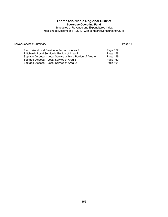# **Thompson-Nicola Regional District**

**Sewerage Operating Fund**

Schedules of Revenue and Expenditures Index Year ended December 31, 2019, with comparative figures for 2018

Sewer Services: Summary **Page 11** 

| Paul Lake - Local Service in Portion of Area P              | Page 157 |
|-------------------------------------------------------------|----------|
| Pritchard - Local Service in Portion of Area P              | Page 158 |
| Septage Disposal - Local Service within a Portion of Area A | Page 159 |
| Septage Disposal - Local Service of Area B                  | Page 160 |
| Septage Disposal - Local Service of Area O                  | Page 161 |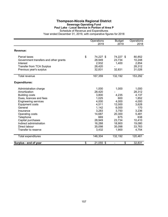# **Thompson-Nicola Regional District Sewerage Operating Fund**

**Paul Lake - Local Service in Portion of Area P**

Schedule of Revenue and Expenditures

|                                       | Operations<br>2019 | <b>Budget</b><br>2019              | Operations<br>2018 |
|---------------------------------------|--------------------|------------------------------------|--------------------|
| Revenue:                              |                    |                                    |                    |
| Parcel taxes                          | \$<br>74,227 \$    | 74,227 \$                          | 80,852             |
| Government transfers and other grants | 28,949             | 23,734                             | 10,248             |
| Interest                              | 2,932              | 1,400                              | 2,854              |
| <b>Transfer from TCA Surplus</b>      | 28,420             |                                    | 28,312             |
| Previous year's surplus               | 32,831             | 32,831                             | 31,026             |
| <b>Total revenue</b>                  | 167,359            | 132,192                            | 153,292            |
| <b>Expenditures:</b>                  |                    |                                    |                    |
| Administration charge                 | 1,000              | 1,000                              | 1,000              |
| Amortization                          | 28,420             |                                    | 28,312             |
| <b>Building costs</b>                 | 3,800              | 4,235                              | 4,137              |
| Dues, licences and fees               | 1,025              | 600                                | 1,852              |
| <b>Engineering services</b>           | 4,000              | 4,000                              | 4,000              |
| <b>Equipment costs</b>                | 4,511              | 12,000                             | 3,628              |
| General                               | 1,142              | 6,000                              | 170                |
| Insurance                             | 3,283              | 3,750                              | 3,236              |
| Operating costs                       | 14,687             | 20,300                             | 5,481              |
| Telephone                             | 669                | 675                                | 638                |
| Capital purchases                     | 28,949             | 23,734                             | 10,410             |
| Indirect administration               | 16,288             | 18,900                             | 19,080             |
| Direct labour                         | 35,098             | 35,098                             | 33,763             |
| Transfer to reserve                   | 3,432              | 1,900                              | 4,754              |
| <b>Total expenditures</b>             | 146,304            | 132,192                            | 120,461            |
| Surplus - end of year                 | \$<br>21,055 \$    | \$<br>$\qquad \qquad \blacksquare$ | 32,831             |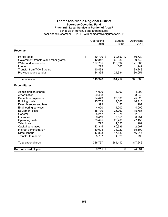#### **Thompson-Nicola Regional District Sewerage Operating Fund Pritchard - Local Service in Portion of Area P**

Schedule of Revenue and Expenditures

|                                       | Operations<br>2019 | <b>Budget</b><br>2019              | Operations<br>2018 |  |
|---------------------------------------|--------------------|------------------------------------|--------------------|--|
| Revenue:                              |                    |                                    |                    |  |
| Parcel taxes                          | \$<br>60,730 \$    | 60,550 \$                          | 60,730             |  |
| Government transfers and other grants | 42,342             | 60,336                             | 39,742             |  |
| Water and sewer tolls                 | 127,765            | 118,692                            | 121,565            |  |
| Interest                              | 1,279              | 500                                | 1,249              |  |
| <b>Transfer from TCA Surplus</b>      | 90,498             |                                    | 88,243             |  |
| Previous year's surplus               | 24,334             | 24,334                             | 30,051             |  |
| Total revenue                         | 346,948            | 264,412                            | 341,580            |  |
| <b>Expenditures:</b>                  |                    |                                    |                    |  |
| Administration charge                 | 4,000              | 4,000                              | 4,000              |  |
| Amortization                          | 90,498             |                                    | 88,243             |  |
| Debenture payments                    | 24,443             | 25,630                             | 25,628             |  |
| <b>Building costs</b>                 | 15,753             | 14,500                             | 16,718             |  |
| Dues, licences and fees               | 393                | 150                                | 297                |  |
| <b>Engineering services</b>           | 4,000              | 4,000                              | 4,000              |  |
| <b>Equipment costs</b>                | 15,739             | 25,760                             | 15,786             |  |
| General                               | 5,247              | 10,075                             | 2,246              |  |
| Insurance                             | 6,419              | 7,555                              | 6,754              |  |
| Operating costs                       | 33,495             | 23,700                             | 27,155             |  |
| Telephone                             | 772                | 1,025                              | 909                |  |
| Capital purchases                     | 42,345             | 60,336                             | 42,597             |  |
| Indirect administration               | 30,093             | 34,920                             | 35,100             |  |
| Direct labour                         | 47,833             | 47,833                             | 46,014             |  |
| Transfer to reserve                   | 5,707              | 4,928                              | 1,799              |  |
| Total expenditures                    | 326,737            | 264,412                            | 317,246            |  |
| Surplus - end of year                 | \$<br>20,211 \$    | \$<br>$\qquad \qquad \blacksquare$ | 24,334             |  |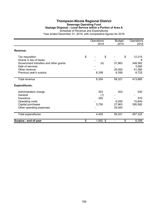### **Thompson-Nicola Regional District Sewerage Operating Fund Septage Disposal - Local Service within a Portion of Area A** Schedule of Revenue and Expenditures

|                                                           | Operations<br>2019 | <b>Budget</b><br>2019 | Operations<br>2018 |
|-----------------------------------------------------------|--------------------|-----------------------|--------------------|
| Revenue:                                                  |                    |                       |                    |
| Tax requisition<br>Grants in lieu of taxes                | \$<br>\$           | \$                    | 12,215<br>8        |
| Government transfers and other grants<br>Sale of services | (4)                | 27,963                | 348,582<br>3,060   |
| Other revenue<br>Previous year's surplus                  | 6,358              | 25,000<br>6,358       | 41,090<br>8,725    |
| <b>Total revenue</b>                                      | 6,354              | 59,321                | 413,680            |
| <b>Expenditures:</b>                                      |                    |                       |                    |
| Administration charge                                     | 303                | 303                   | 530                |
| General                                                   | (1)                |                       |                    |
| Insurance<br>Operating costs                              | 350                | 6,055                 | 570<br>10,640      |
| Capital purchases                                         | 3,750              | 27,963                | 395,582            |
| Other operating expenses                                  |                    | 25,000                |                    |
| Total expenditures                                        | 4,402              | 59,321                | 407,322            |
| Surplus - end of year                                     | \$<br>1,952 \$     | \$                    | 6,358              |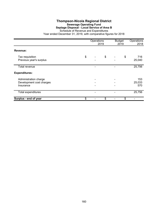### **Thompson-Nicola Regional District Sewerage Operating Fund Septage Disposal - Local Service of Area B**

Schedule of Revenue and Expenditures

|                                                                | Operations<br>2019 |  |    | <b>Budget</b><br>2019 | Operations<br>2018   |
|----------------------------------------------------------------|--------------------|--|----|-----------------------|----------------------|
| Revenue:                                                       |                    |  |    |                       |                      |
| Tax requisition<br>Previous year's surplus                     | \$                 |  | \$ | \$                    | 716<br>25,040        |
| Total revenue                                                  |                    |  |    |                       | 25,756               |
| <b>Expenditures:</b>                                           |                    |  |    |                       |                      |
| Administration charge<br>Development cost charges<br>Insurance |                    |  |    |                       | 153<br>25,033<br>570 |
| Total expenditures                                             |                    |  |    |                       | 25,756               |
| Surplus - end of year                                          | \$                 |  | \$ | \$                    |                      |